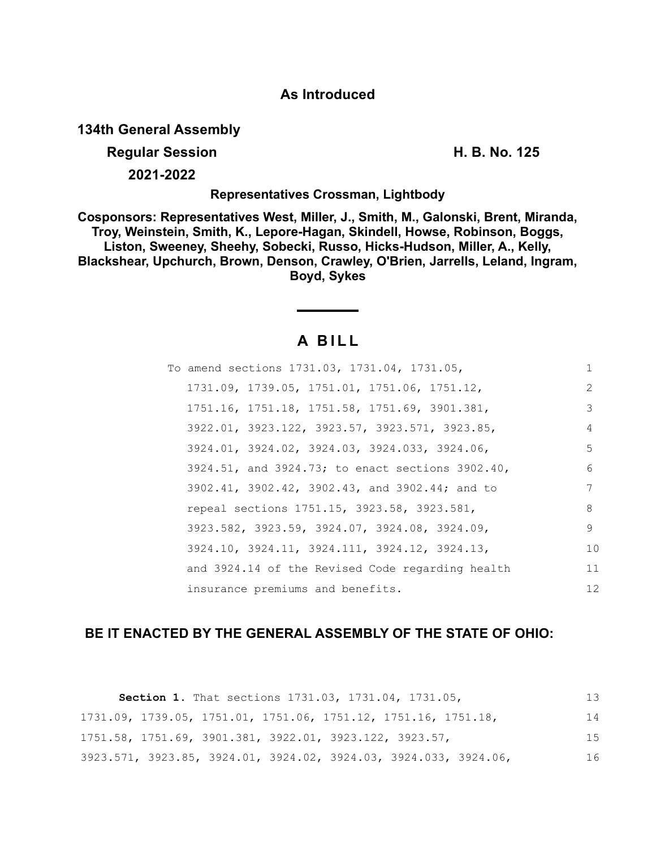## **As Introduced**

**134th General Assembly**

**Regular Session H. B. No. 125**

**2021-2022**

**Representatives Crossman, Lightbody**

**Cosponsors: Representatives West, Miller, J., Smith, M., Galonski, Brent, Miranda, Troy, Weinstein, Smith, K., Lepore-Hagan, Skindell, Howse, Robinson, Boggs, Liston, Sweeney, Sheehy, Sobecki, Russo, Hicks-Hudson, Miller, A., Kelly, Blackshear, Upchurch, Brown, Denson, Crawley, O'Brien, Jarrells, Leland, Ingram, Boyd, Sykes**

# **A B I L L**

| To amend sections 1731.03, 1731.04, 1731.05,     |               |
|--------------------------------------------------|---------------|
| 1731.09, 1739.05, 1751.01, 1751.06, 1751.12,     | $\mathcal{L}$ |
| 1751.16, 1751.18, 1751.58, 1751.69, 3901.381,    | 3             |
| 3922.01, 3923.122, 3923.57, 3923.571, 3923.85,   | 4             |
| 3924.01, 3924.02, 3924.03, 3924.033, 3924.06,    | 5             |
| 3924.51, and 3924.73; to enact sections 3902.40, | 6             |
| 3902.41, 3902.42, 3902.43, and 3902.44; and to   | 7             |
| repeal sections 1751.15, 3923.58, 3923.581,      | 8             |
| 3923.582, 3923.59, 3924.07, 3924.08, 3924.09,    | 9             |
| 3924.10, 3924.11, 3924.111, 3924.12, 3924.13,    | 10            |
| and 3924.14 of the Revised Code regarding health | 11            |
| insurance premiums and benefits.                 | 12            |

## **BE IT ENACTED BY THE GENERAL ASSEMBLY OF THE STATE OF OHIO:**

| <b>Section 1.</b> That sections 1731.03, 1731.04, 1731.05,       | 13  |
|------------------------------------------------------------------|-----|
| 1731.09, 1739.05, 1751.01, 1751.06, 1751.12, 1751.16, 1751.18,   | 14  |
| 1751.58, 1751.69, 3901.381, 3922.01, 3923.122, 3923.57,          | 1.5 |
| 3923.571, 3923.85, 3924.01, 3924.02, 3924.03, 3924.033, 3924.06, | 16  |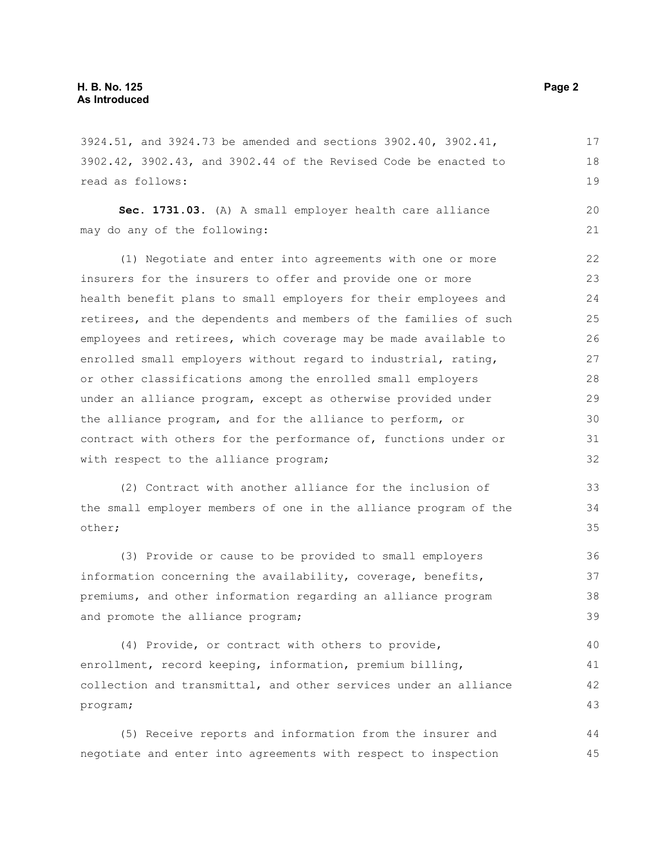3924.51, and 3924.73 be amended and sections 3902.40, 3902.41, 3902.42, 3902.43, and 3902.44 of the Revised Code be enacted to read as follows: 17 18 19

**Sec. 1731.03.** (A) A small employer health care alliance may do any of the following: 20 21

(1) Negotiate and enter into agreements with one or more insurers for the insurers to offer and provide one or more health benefit plans to small employers for their employees and retirees, and the dependents and members of the families of such employees and retirees, which coverage may be made available to enrolled small employers without regard to industrial, rating, or other classifications among the enrolled small employers under an alliance program, except as otherwise provided under the alliance program, and for the alliance to perform, or contract with others for the performance of, functions under or with respect to the alliance program; 22 23 24 25 26 27 28 29 30 31 32

(2) Contract with another alliance for the inclusion of the small employer members of one in the alliance program of the other;

(3) Provide or cause to be provided to small employers information concerning the availability, coverage, benefits, premiums, and other information regarding an alliance program and promote the alliance program; 36 37 38 39

(4) Provide, or contract with others to provide, enrollment, record keeping, information, premium billing, collection and transmittal, and other services under an alliance program; 40 41 42 43

(5) Receive reports and information from the insurer and negotiate and enter into agreements with respect to inspection 44 45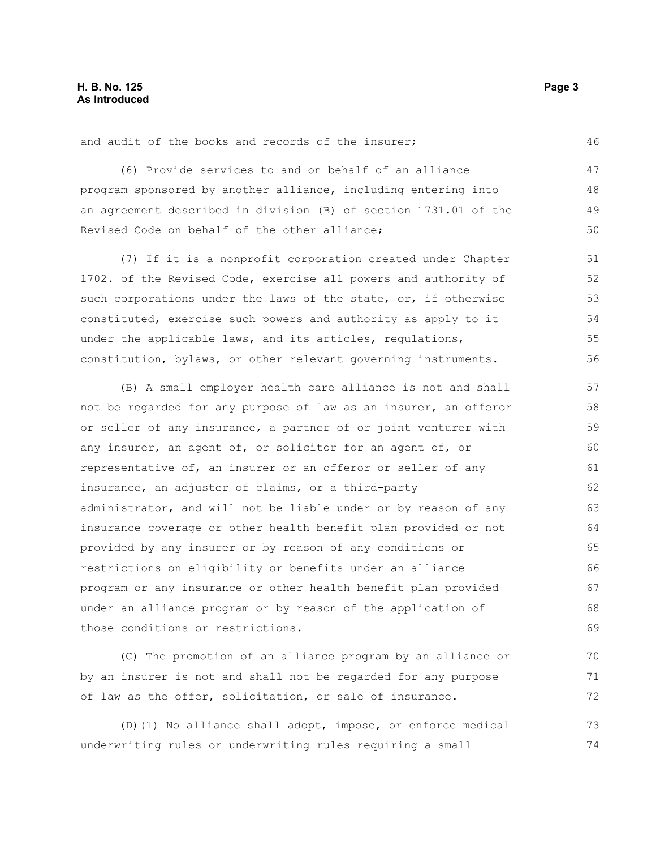and audit of the books and records of the insurer;

(6) Provide services to and on behalf of an alliance program sponsored by another alliance, including entering into an agreement described in division (B) of section 1731.01 of the Revised Code on behalf of the other alliance; 47 48 49 50

(7) If it is a nonprofit corporation created under Chapter 1702. of the Revised Code, exercise all powers and authority of such corporations under the laws of the state, or, if otherwise constituted, exercise such powers and authority as apply to it under the applicable laws, and its articles, regulations, constitution, bylaws, or other relevant governing instruments. 51 52 53

(B) A small employer health care alliance is not and shall not be regarded for any purpose of law as an insurer, an offeror or seller of any insurance, a partner of or joint venturer with any insurer, an agent of, or solicitor for an agent of, or representative of, an insurer or an offeror or seller of any insurance, an adjuster of claims, or a third-party administrator, and will not be liable under or by reason of any insurance coverage or other health benefit plan provided or not provided by any insurer or by reason of any conditions or restrictions on eligibility or benefits under an alliance program or any insurance or other health benefit plan provided under an alliance program or by reason of the application of those conditions or restrictions. 57 58 59 60 61 62 63 64 65 66 67 68 69

(C) The promotion of an alliance program by an alliance or by an insurer is not and shall not be regarded for any purpose of law as the offer, solicitation, or sale of insurance. 70 71 72

(D)(1) No alliance shall adopt, impose, or enforce medical underwriting rules or underwriting rules requiring a small 73 74

46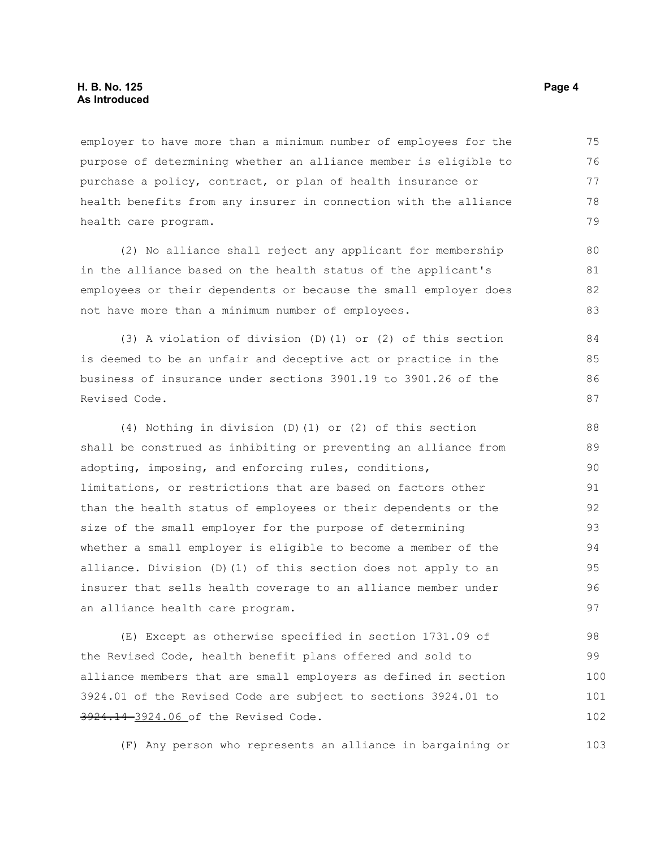employer to have more than a minimum number of employees for the purpose of determining whether an alliance member is eligible to purchase a policy, contract, or plan of health insurance or health benefits from any insurer in connection with the alliance health care program. 75 76 77 78 79

(2) No alliance shall reject any applicant for membership in the alliance based on the health status of the applicant's employees or their dependents or because the small employer does not have more than a minimum number of employees.

(3) A violation of division (D)(1) or (2) of this section is deemed to be an unfair and deceptive act or practice in the business of insurance under sections 3901.19 to 3901.26 of the Revised Code.

(4) Nothing in division (D)(1) or (2) of this section shall be construed as inhibiting or preventing an alliance from adopting, imposing, and enforcing rules, conditions, limitations, or restrictions that are based on factors other than the health status of employees or their dependents or the size of the small employer for the purpose of determining whether a small employer is eligible to become a member of the alliance. Division (D)(1) of this section does not apply to an insurer that sells health coverage to an alliance member under an alliance health care program. 88 89 90 91 92 93 94 95 96 97

(E) Except as otherwise specified in section 1731.09 of the Revised Code, health benefit plans offered and sold to alliance members that are small employers as defined in section 3924.01 of the Revised Code are subject to sections 3924.01 to 3924.14 3924.06 of the Revised Code. 98 99 100 101 102

(F) Any person who represents an alliance in bargaining or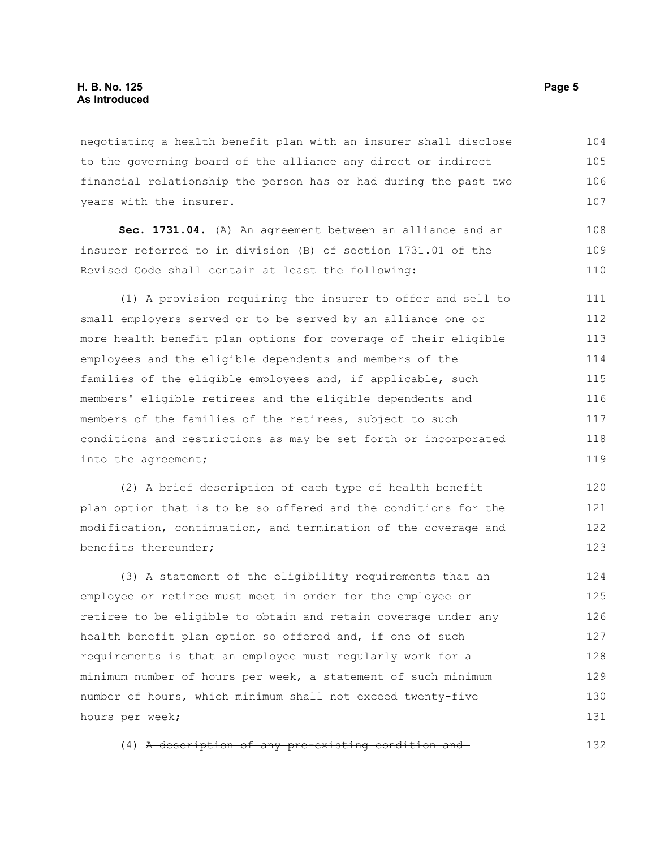negotiating a health benefit plan with an insurer shall disclose to the governing board of the alliance any direct or indirect financial relationship the person has or had during the past two years with the insurer. 104 105 106 107

**Sec. 1731.04.** (A) An agreement between an alliance and an insurer referred to in division (B) of section 1731.01 of the Revised Code shall contain at least the following: 108 109 110

(1) A provision requiring the insurer to offer and sell to small employers served or to be served by an alliance one or more health benefit plan options for coverage of their eligible employees and the eligible dependents and members of the families of the eligible employees and, if applicable, such members' eligible retirees and the eligible dependents and members of the families of the retirees, subject to such conditions and restrictions as may be set forth or incorporated into the agreement; 111 112 113 114 115 116 117 118 119

(2) A brief description of each type of health benefit plan option that is to be so offered and the conditions for the modification, continuation, and termination of the coverage and benefits thereunder; 120 121 122 123

(3) A statement of the eligibility requirements that an employee or retiree must meet in order for the employee or retiree to be eligible to obtain and retain coverage under any health benefit plan option so offered and, if one of such requirements is that an employee must regularly work for a minimum number of hours per week, a statement of such minimum number of hours, which minimum shall not exceed twenty-five hours per week; 124 125 126 127 128 129 130 131

(4) A description of any pre-existing condition and 132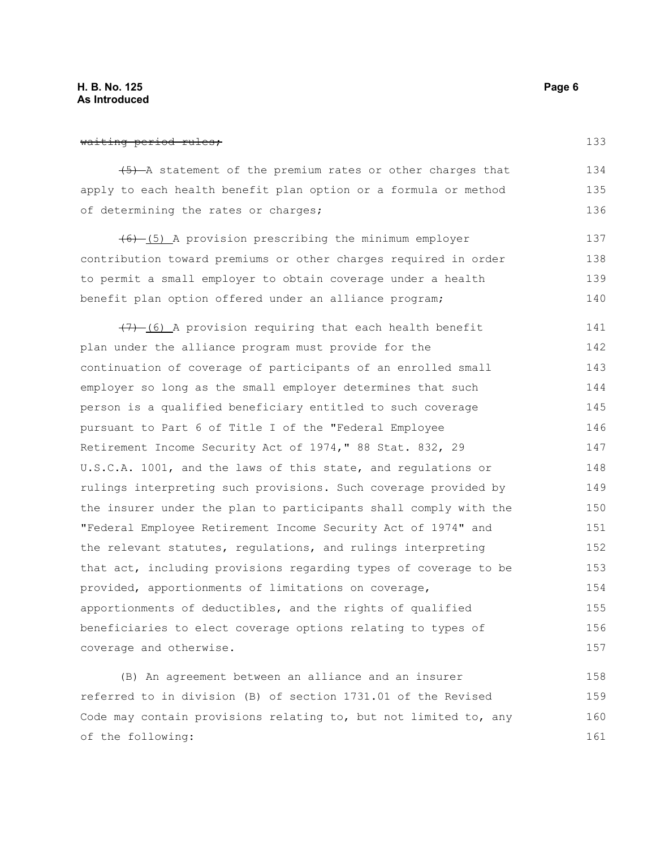(5) A statement of the premium rates or other charges that apply to each health benefit plan option or a formula or method of determining the rates or charges; 134 135 136

(6) (5) A provision prescribing the minimum employer contribution toward premiums or other charges required in order to permit a small employer to obtain coverage under a health benefit plan option offered under an alliance program; 137 138 139 140

 $(7)$  (6) A provision requiring that each health benefit plan under the alliance program must provide for the continuation of coverage of participants of an enrolled small employer so long as the small employer determines that such person is a qualified beneficiary entitled to such coverage pursuant to Part 6 of Title I of the "Federal Employee Retirement Income Security Act of 1974," 88 Stat. 832, 29 U.S.C.A. 1001, and the laws of this state, and regulations or rulings interpreting such provisions. Such coverage provided by the insurer under the plan to participants shall comply with the "Federal Employee Retirement Income Security Act of 1974" and the relevant statutes, regulations, and rulings interpreting that act, including provisions regarding types of coverage to be provided, apportionments of limitations on coverage, apportionments of deductibles, and the rights of qualified beneficiaries to elect coverage options relating to types of coverage and otherwise. 141 142 143 144 145 146 147 148 149 150 151 152 153 154 155 156 157

(B) An agreement between an alliance and an insurer referred to in division (B) of section 1731.01 of the Revised Code may contain provisions relating to, but not limited to, any of the following: 158 159 160 161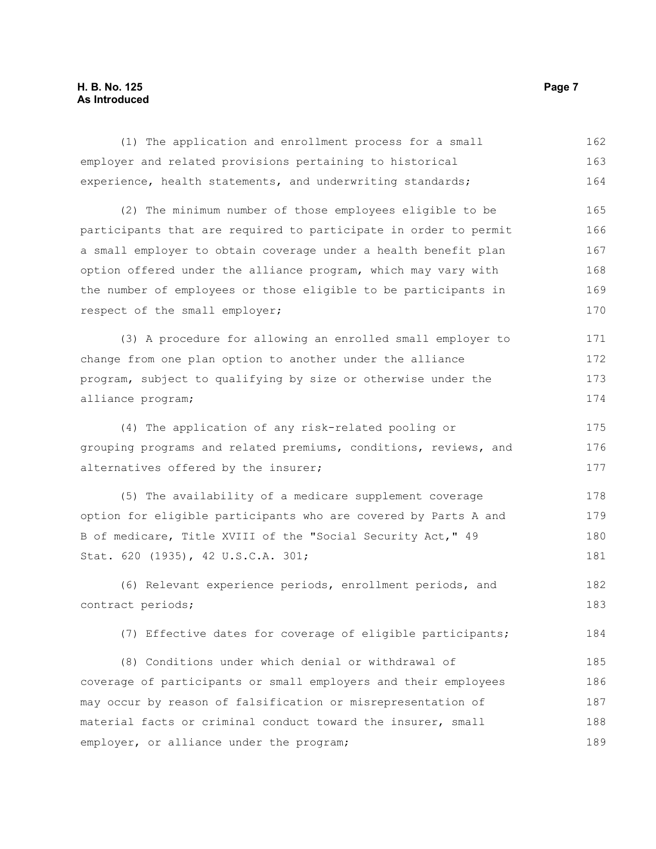### **H. B. No. 125 Page 7 As Introduced**

| (1) The application and enrollment process for a small           | 162 |
|------------------------------------------------------------------|-----|
| employer and related provisions pertaining to historical         | 163 |
| experience, health statements, and underwriting standards;       | 164 |
| (2) The minimum number of those employees eligible to be         | 165 |
| participants that are required to participate in order to permit | 166 |
| a small employer to obtain coverage under a health benefit plan  | 167 |
| option offered under the alliance program, which may vary with   | 168 |
| the number of employees or those eligible to be participants in  | 169 |
| respect of the small employer;                                   | 170 |
| (3) A procedure for allowing an enrolled small employer to       | 171 |
| change from one plan option to another under the alliance        | 172 |
| program, subject to qualifying by size or otherwise under the    | 173 |
| alliance program;                                                | 174 |
| (4) The application of any risk-related pooling or               | 175 |
| grouping programs and related premiums, conditions, reviews, and |     |
| alternatives offered by the insurer;                             | 177 |
| (5) The availability of a medicare supplement coverage           | 178 |
| option for eligible participants who are covered by Parts A and  | 179 |
| B of medicare, Title XVIII of the "Social Security Act," 49      | 180 |
| Stat. 620 (1935), 42 U.S.C.A. 301;                               | 181 |
| (6) Relevant experience periods, enrollment periods, and         | 182 |
| contract periods;                                                | 183 |
| (7) Effective dates for coverage of eligible participants;       | 184 |
| (8) Conditions under which denial or withdrawal of               | 185 |
| coverage of participants or small employers and their employees  | 186 |
| may occur by reason of falsification or misrepresentation of     | 187 |
| material facts or criminal conduct toward the insurer, small     | 188 |
| employer, or alliance under the program;                         | 189 |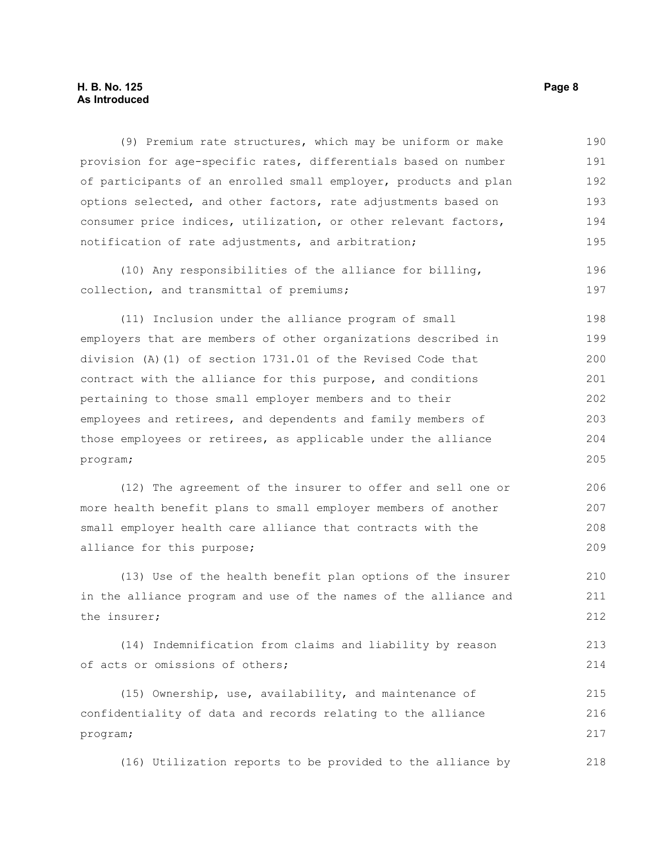#### **H. B. No. 125 Page 8 As Introduced**

(9) Premium rate structures, which may be uniform or make provision for age-specific rates, differentials based on number of participants of an enrolled small employer, products and plan options selected, and other factors, rate adjustments based on consumer price indices, utilization, or other relevant factors, notification of rate adjustments, and arbitration; 190 191 192 193 194 195

(10) Any responsibilities of the alliance for billing, collection, and transmittal of premiums; 196 197

(11) Inclusion under the alliance program of small employers that are members of other organizations described in division (A)(1) of section 1731.01 of the Revised Code that contract with the alliance for this purpose, and conditions pertaining to those small employer members and to their employees and retirees, and dependents and family members of those employees or retirees, as applicable under the alliance program; 198 199 200 201 202 203 204 205

(12) The agreement of the insurer to offer and sell one or more health benefit plans to small employer members of another small employer health care alliance that contracts with the alliance for this purpose; 206 207 208 209

(13) Use of the health benefit plan options of the insurer in the alliance program and use of the names of the alliance and the insurer; 210 211 212

(14) Indemnification from claims and liability by reason of acts or omissions of others; 213 214

(15) Ownership, use, availability, and maintenance of confidentiality of data and records relating to the alliance program; 215 216 217

(16) Utilization reports to be provided to the alliance by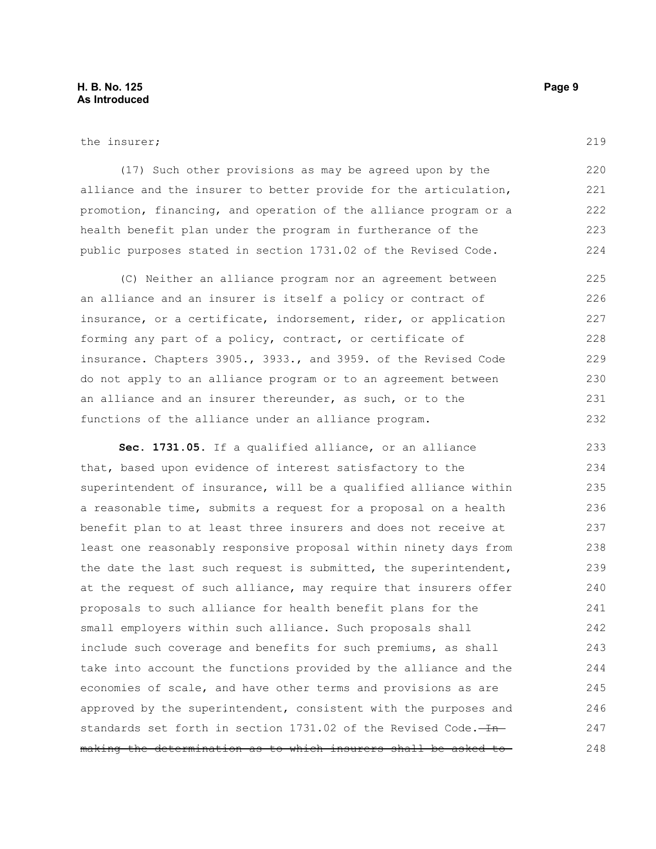(17) Such other provisions as may be agreed upon by the alliance and the insurer to better provide for the articulation, promotion, financing, and operation of the alliance program or a health benefit plan under the program in furtherance of the public purposes stated in section 1731.02 of the Revised Code. 222

(C) Neither an alliance program nor an agreement between an alliance and an insurer is itself a policy or contract of insurance, or a certificate, indorsement, rider, or application forming any part of a policy, contract, or certificate of insurance. Chapters 3905., 3933., and 3959. of the Revised Code do not apply to an alliance program or to an agreement between an alliance and an insurer thereunder, as such, or to the functions of the alliance under an alliance program. 225 226 227 228 229 230 231 232

**Sec. 1731.05.** If a qualified alliance, or an alliance that, based upon evidence of interest satisfactory to the superintendent of insurance, will be a qualified alliance within a reasonable time, submits a request for a proposal on a health benefit plan to at least three insurers and does not receive at least one reasonably responsive proposal within ninety days from the date the last such request is submitted, the superintendent, at the request of such alliance, may require that insurers offer proposals to such alliance for health benefit plans for the small employers within such alliance. Such proposals shall include such coverage and benefits for such premiums, as shall take into account the functions provided by the alliance and the economies of scale, and have other terms and provisions as are approved by the superintendent, consistent with the purposes and standards set forth in section  $1731.02$  of the Revised Code. $-Hn$ making the determination as to which insurers shall be asked to 233 234 235 236 237 238 239 240 241 242 243 244 245 246 247 248

219

220 221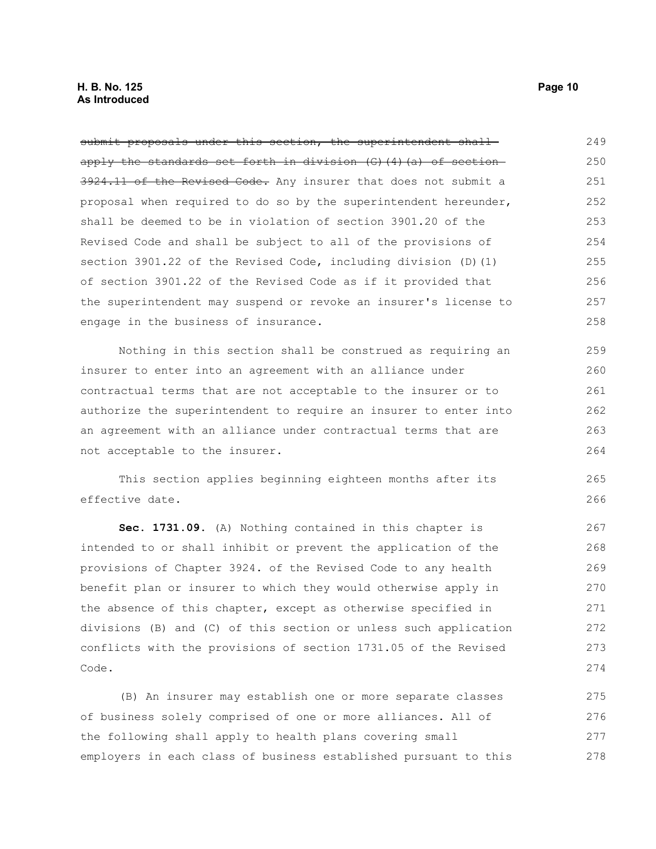submit proposals under this section, the superintendent shallapply the standards set forth in division (G)(4)(a) of section 3924.11 of the Revised Code. Any insurer that does not submit a proposal when required to do so by the superintendent hereunder, shall be deemed to be in violation of section 3901.20 of the Revised Code and shall be subject to all of the provisions of section 3901.22 of the Revised Code, including division (D)(1) of section 3901.22 of the Revised Code as if it provided that the superintendent may suspend or revoke an insurer's license to engage in the business of insurance. 249 250 251 252 253 254 255 256 257 258

Nothing in this section shall be construed as requiring an insurer to enter into an agreement with an alliance under contractual terms that are not acceptable to the insurer or to authorize the superintendent to require an insurer to enter into an agreement with an alliance under contractual terms that are not acceptable to the insurer.

This section applies beginning eighteen months after its effective date.

**Sec. 1731.09.** (A) Nothing contained in this chapter is intended to or shall inhibit or prevent the application of the provisions of Chapter 3924. of the Revised Code to any health benefit plan or insurer to which they would otherwise apply in the absence of this chapter, except as otherwise specified in divisions (B) and (C) of this section or unless such application conflicts with the provisions of section 1731.05 of the Revised Code.

(B) An insurer may establish one or more separate classes of business solely comprised of one or more alliances. All of the following shall apply to health plans covering small employers in each class of business established pursuant to this 275 276 277 278

265 266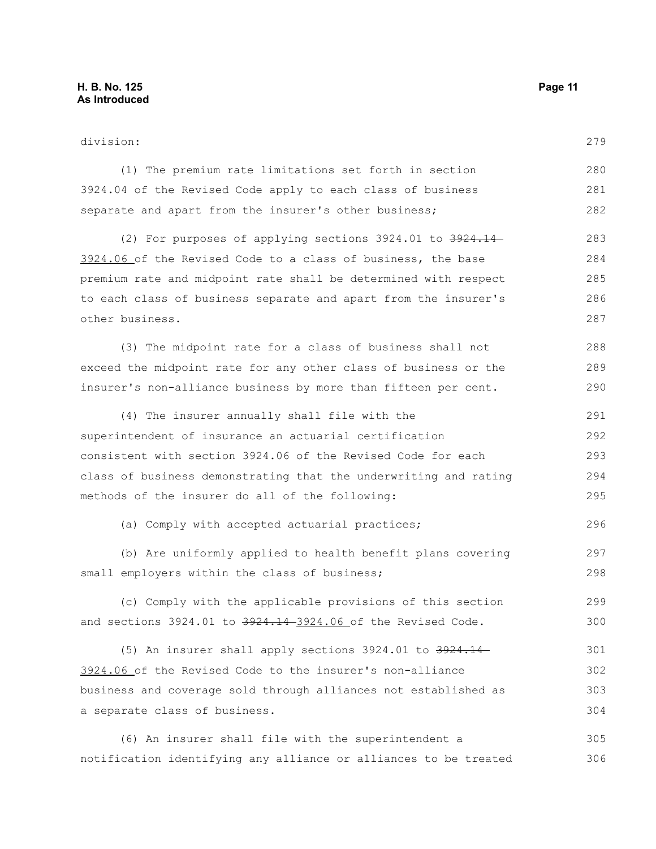| division:                                                        |     |
|------------------------------------------------------------------|-----|
| (1) The premium rate limitations set forth in section            | 280 |
| 3924.04 of the Revised Code apply to each class of business      | 281 |
| separate and apart from the insurer's other business;            | 282 |
| (2) For purposes of applying sections 3924.01 to 3924.14         | 283 |
| 3924.06 of the Revised Code to a class of business, the base     | 284 |
| premium rate and midpoint rate shall be determined with respect  | 285 |
| to each class of business separate and apart from the insurer's  | 286 |
| other business.                                                  | 287 |
| (3) The midpoint rate for a class of business shall not          | 288 |
| exceed the midpoint rate for any other class of business or the  | 289 |
| insurer's non-alliance business by more than fifteen per cent.   | 290 |
| (4) The insurer annually shall file with the                     | 291 |
| superintendent of insurance an actuarial certification           | 292 |
| consistent with section 3924.06 of the Revised Code for each     | 293 |
| class of business demonstrating that the underwriting and rating |     |
| methods of the insurer do all of the following:                  |     |
| (a) Comply with accepted actuarial practices;                    | 296 |
| (b) Are uniformly applied to health benefit plans covering       | 297 |
| small employers within the class of business;                    | 298 |
| (c) Comply with the applicable provisions of this section        | 299 |
| and sections 3924.01 to 3924.14-3924.06 of the Revised Code.     | 300 |
| (5) An insurer shall apply sections 3924.01 to 3924.14-          | 301 |
| 3924.06 of the Revised Code to the insurer's non-alliance        | 302 |
| business and coverage sold through alliances not established as  | 303 |
| a separate class of business.                                    | 304 |
| (6) An insurer shall file with the superintendent a              | 305 |
| notification identifying any alliance or alliances to be treated | 306 |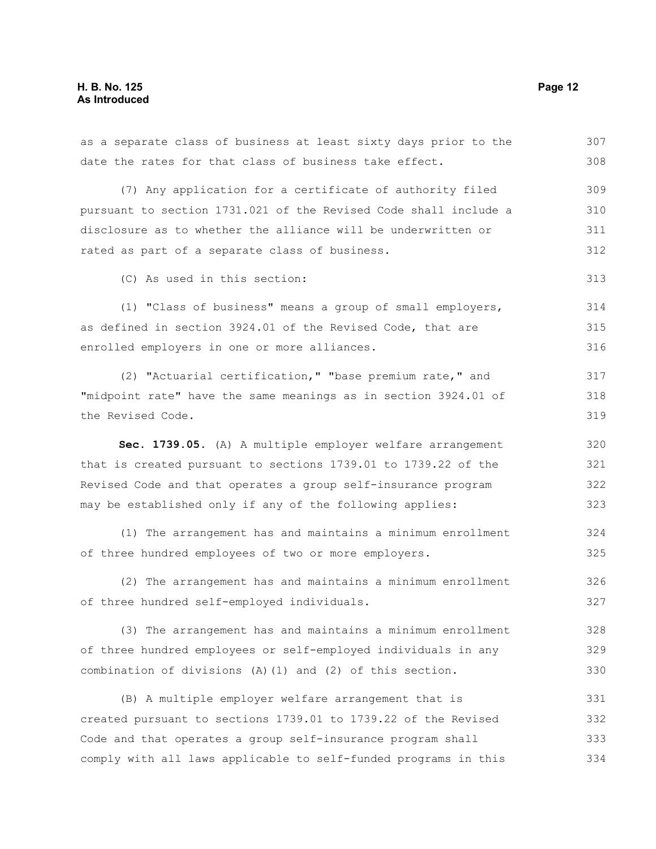as a separate class of business at least sixty days prior to the date the rates for that class of business take effect. (7) Any application for a certificate of authority filed pursuant to section 1731.021 of the Revised Code shall include a disclosure as to whether the alliance will be underwritten or rated as part of a separate class of business. (C) As used in this section: (1) "Class of business" means a group of small employers, as defined in section 3924.01 of the Revised Code, that are enrolled employers in one or more alliances. (2) "Actuarial certification," "base premium rate," and "midpoint rate" have the same meanings as in section 3924.01 of the Revised Code. **Sec. 1739.05.** (A) A multiple employer welfare arrangement that is created pursuant to sections 1739.01 to 1739.22 of the Revised Code and that operates a group self-insurance program may be established only if any of the following applies: (1) The arrangement has and maintains a minimum enrollment of three hundred employees of two or more employers. (2) The arrangement has and maintains a minimum enrollment of three hundred self-employed individuals. (3) The arrangement has and maintains a minimum enrollment of three hundred employees or self-employed individuals in any combination of divisions (A)(1) and (2) of this section. (B) A multiple employer welfare arrangement that is created pursuant to sections 1739.01 to 1739.22 of the Revised Code and that operates a group self-insurance program shall comply with all laws applicable to self-funded programs in this 308 309 310 311 312 313 314 315 316 317 318 319 320 321 322 323 324 325 326 327 328 329 330 331 332 333 334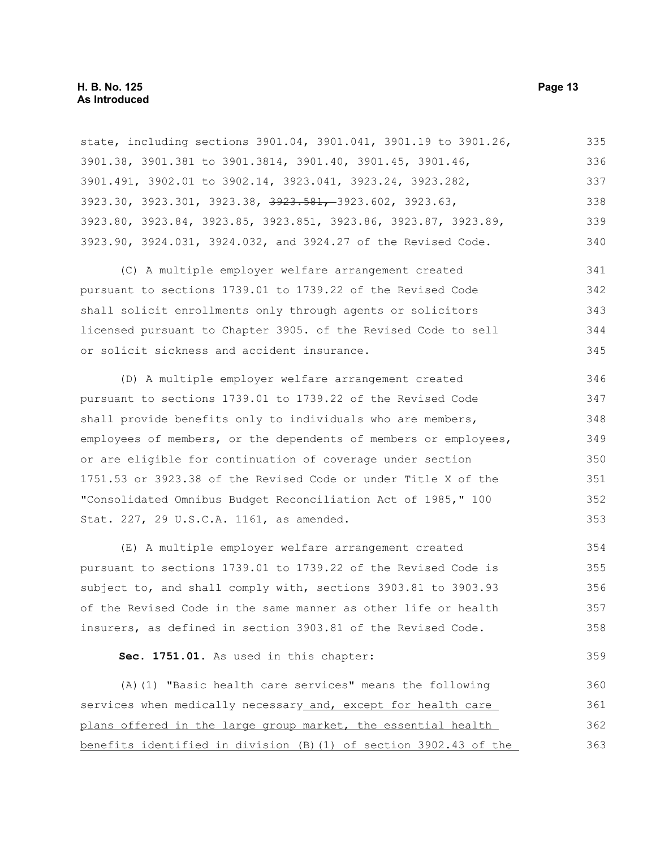state, including sections 3901.04, 3901.041, 3901.19 to 3901.26, 3901.38, 3901.381 to 3901.3814, 3901.40, 3901.45, 3901.46, 3901.491, 3902.01 to 3902.14, 3923.041, 3923.24, 3923.282, 3923.30, 3923.301, 3923.38, 3923.581, 3923.602, 3923.63, 3923.80, 3923.84, 3923.85, 3923.851, 3923.86, 3923.87, 3923.89, 3923.90, 3924.031, 3924.032, and 3924.27 of the Revised Code. 335 336 337 338 339 340

(C) A multiple employer welfare arrangement created pursuant to sections 1739.01 to 1739.22 of the Revised Code shall solicit enrollments only through agents or solicitors licensed pursuant to Chapter 3905. of the Revised Code to sell or solicit sickness and accident insurance. 341 342 343 344 345

(D) A multiple employer welfare arrangement created pursuant to sections 1739.01 to 1739.22 of the Revised Code shall provide benefits only to individuals who are members, employees of members, or the dependents of members or employees, or are eligible for continuation of coverage under section 1751.53 or 3923.38 of the Revised Code or under Title X of the "Consolidated Omnibus Budget Reconciliation Act of 1985," 100 Stat. 227, 29 U.S.C.A. 1161, as amended. 346 347 348 349 350 351 352 353

(E) A multiple employer welfare arrangement created pursuant to sections 1739.01 to 1739.22 of the Revised Code is subject to, and shall comply with, sections 3903.81 to 3903.93 of the Revised Code in the same manner as other life or health insurers, as defined in section 3903.81 of the Revised Code. 354 355 356 357 358

**Sec. 1751.01.** As used in this chapter:

(A)(1) "Basic health care services" means the following services when medically necessary and, except for health care plans offered in the large group market, the essential health benefits identified in division (B)(1) of section 3902.43 of the 360 361 362 363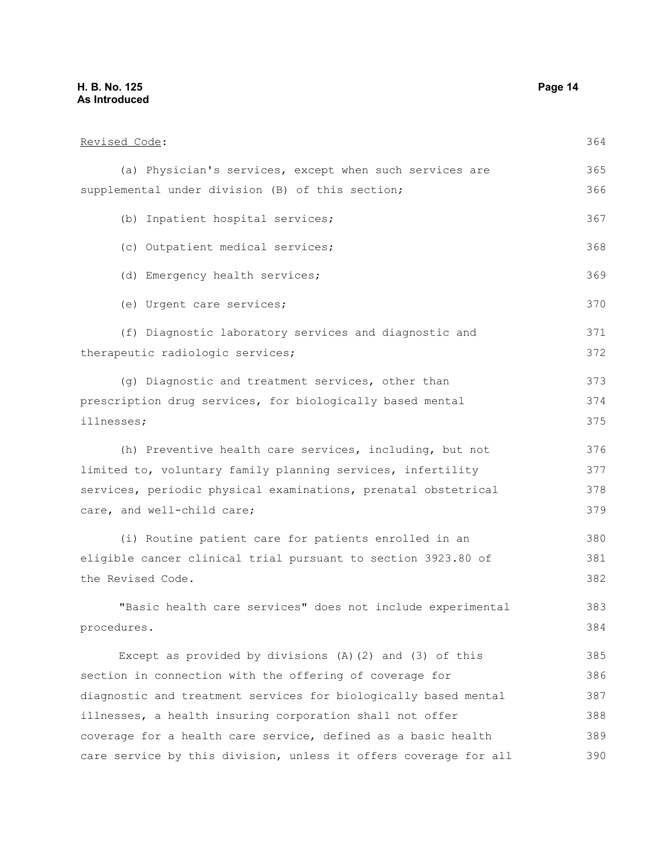### **H. B. No. 125 Page 14 As Introduced**

| Revised Code:                                                   | 364 |
|-----------------------------------------------------------------|-----|
| (a) Physician's services, except when such services are         | 365 |
| supplemental under division (B) of this section;                | 366 |
| (b) Inpatient hospital services;                                | 367 |
| (c) Outpatient medical services;                                | 368 |
| (d) Emergency health services;                                  | 369 |
| (e) Urgent care services;                                       | 370 |
| (f) Diagnostic laboratory services and diagnostic and           | 371 |
| therapeutic radiologic services;                                | 372 |
| (g) Diagnostic and treatment services, other than               | 373 |
| prescription drug services, for biologically based mental       | 374 |
| illnesses;                                                      | 375 |
| (h) Preventive health care services, including, but not         | 376 |
| limited to, voluntary family planning services, infertility     | 377 |
| services, periodic physical examinations, prenatal obstetrical  | 378 |
| care, and well-child care;                                      | 379 |
| (i) Routine patient care for patients enrolled in an            | 380 |
| eligible cancer clinical trial pursuant to section 3923.80 of   | 381 |
| the Revised Code.                                               | 382 |
| "Basic health care services" does not include experimental      | 383 |
| procedures.                                                     | 384 |
| Except as provided by divisions $(A)$ $(2)$ and $(3)$ of this   | 385 |
| section in connection with the offering of coverage for         | 386 |
| diagnostic and treatment services for biologically based mental | 387 |
| illnesses, a health insuring corporation shall not offer        | 388 |
| coverage for a health care service, defined as a basic health   | 389 |

care service by this division, unless it offers coverage for all 390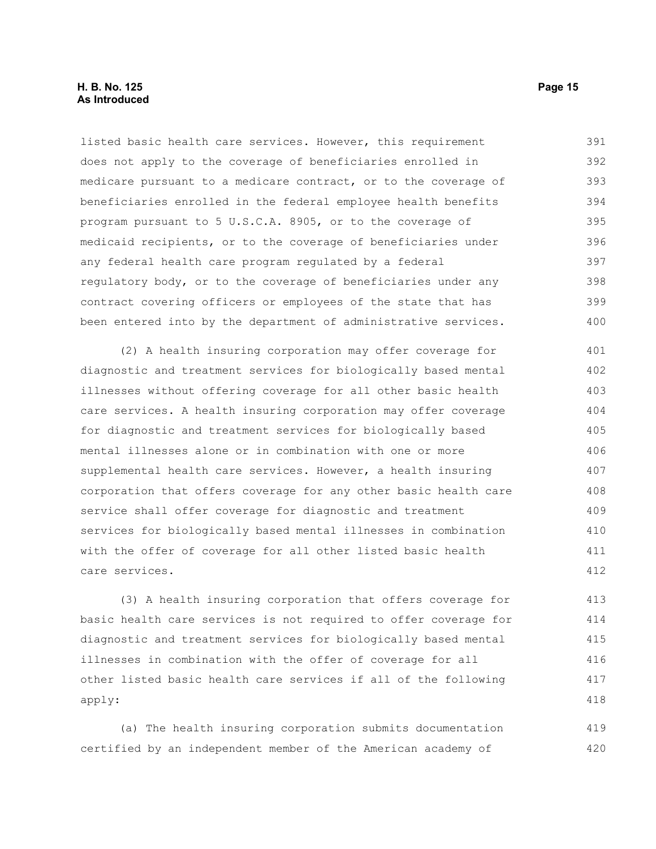#### **H. B. No. 125 Page 15 As Introduced**

listed basic health care services. However, this requirement does not apply to the coverage of beneficiaries enrolled in medicare pursuant to a medicare contract, or to the coverage of beneficiaries enrolled in the federal employee health benefits program pursuant to 5 U.S.C.A. 8905, or to the coverage of medicaid recipients, or to the coverage of beneficiaries under any federal health care program regulated by a federal regulatory body, or to the coverage of beneficiaries under any contract covering officers or employees of the state that has been entered into by the department of administrative services. 391 392 393 394 395 396 397 398 399 400

(2) A health insuring corporation may offer coverage for diagnostic and treatment services for biologically based mental illnesses without offering coverage for all other basic health care services. A health insuring corporation may offer coverage for diagnostic and treatment services for biologically based mental illnesses alone or in combination with one or more supplemental health care services. However, a health insuring corporation that offers coverage for any other basic health care service shall offer coverage for diagnostic and treatment services for biologically based mental illnesses in combination with the offer of coverage for all other listed basic health care services. 401 402 403 404 405 406 407 408 409 410 411 412

(3) A health insuring corporation that offers coverage for basic health care services is not required to offer coverage for diagnostic and treatment services for biologically based mental illnesses in combination with the offer of coverage for all other listed basic health care services if all of the following apply: 413 414 415 416 417 418

(a) The health insuring corporation submits documentation certified by an independent member of the American academy of 419 420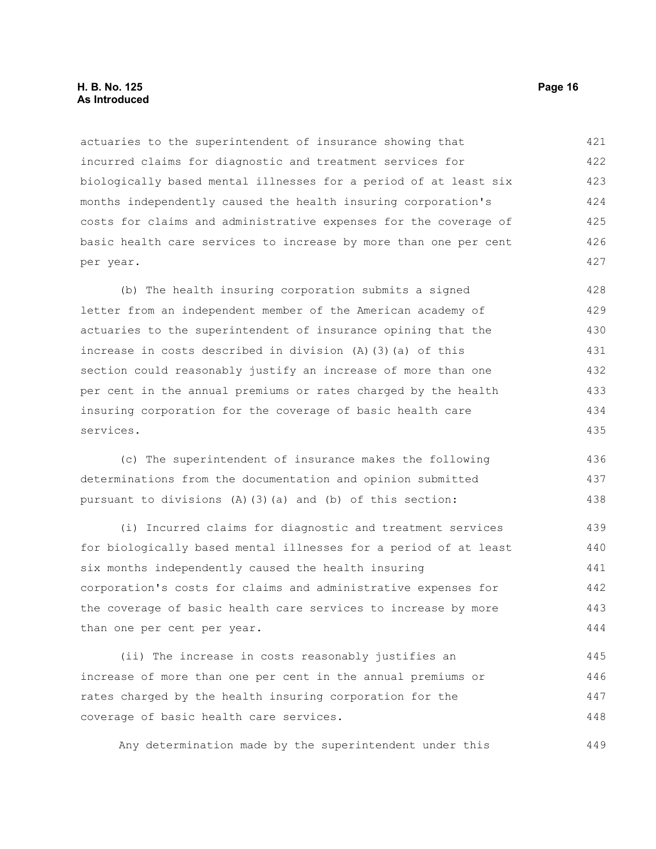#### **H. B. No. 125 Page 16 As Introduced**

actuaries to the superintendent of insurance showing that incurred claims for diagnostic and treatment services for biologically based mental illnesses for a period of at least six months independently caused the health insuring corporation's costs for claims and administrative expenses for the coverage of basic health care services to increase by more than one per cent per year. 421 422 423 424 425 426 427

(b) The health insuring corporation submits a signed letter from an independent member of the American academy of actuaries to the superintendent of insurance opining that the increase in costs described in division (A)(3)(a) of this section could reasonably justify an increase of more than one per cent in the annual premiums or rates charged by the health insuring corporation for the coverage of basic health care services. 428 429 430 431 432 433 434 435

(c) The superintendent of insurance makes the following determinations from the documentation and opinion submitted pursuant to divisions (A)(3)(a) and (b) of this section: 436 437 438

(i) Incurred claims for diagnostic and treatment services for biologically based mental illnesses for a period of at least six months independently caused the health insuring corporation's costs for claims and administrative expenses for the coverage of basic health care services to increase by more than one per cent per year. 439 440 441 442 443 444

(ii) The increase in costs reasonably justifies an increase of more than one per cent in the annual premiums or rates charged by the health insuring corporation for the coverage of basic health care services. 445 446 447 448

Any determination made by the superintendent under this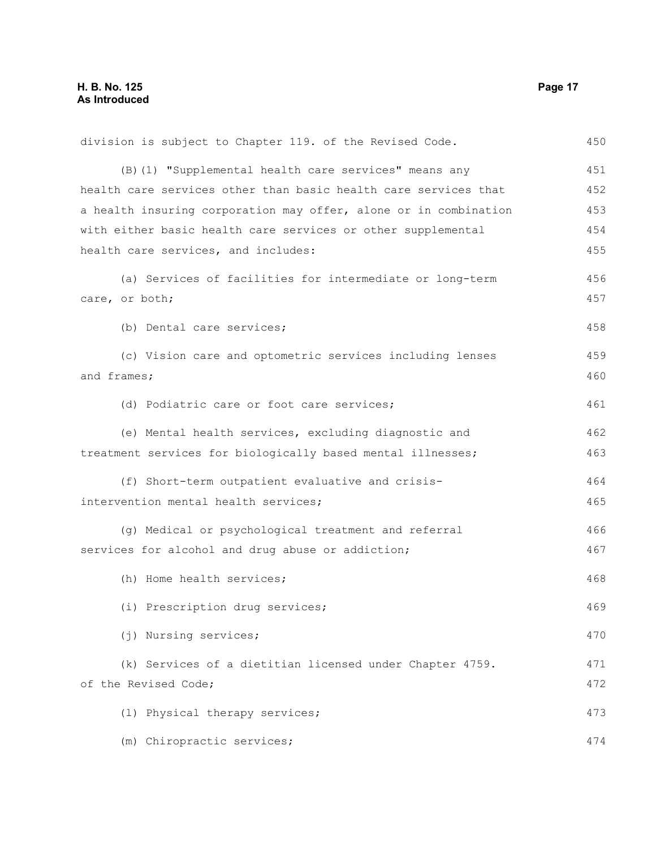| division is subject to Chapter 119. of the Revised Code.         | 450 |
|------------------------------------------------------------------|-----|
| (B) (1) "Supplemental health care services" means any            | 451 |
| health care services other than basic health care services that  | 452 |
| a health insuring corporation may offer, alone or in combination | 453 |
| with either basic health care services or other supplemental     | 454 |
| health care services, and includes:                              | 455 |
| (a) Services of facilities for intermediate or long-term         | 456 |
| care, or both;                                                   | 457 |
| (b) Dental care services;                                        | 458 |
| (c) Vision care and optometric services including lenses         | 459 |
| and frames;                                                      | 460 |
| (d) Podiatric care or foot care services;                        | 461 |
| (e) Mental health services, excluding diagnostic and             | 462 |
| treatment services for biologically based mental illnesses;      | 463 |
| (f) Short-term outpatient evaluative and crisis-                 | 464 |
| intervention mental health services;                             | 465 |
| (g) Medical or psychological treatment and referral              | 466 |
| services for alcohol and drug abuse or addiction;                | 467 |
| (h) Home health services;                                        | 468 |
| (i) Prescription drug services;                                  | 469 |
| (j) Nursing services;                                            | 470 |
| (k) Services of a dietitian licensed under Chapter 4759.         | 471 |
| of the Revised Code;                                             | 472 |
| (1) Physical therapy services;                                   | 473 |
| (m) Chiropractic services;                                       | 474 |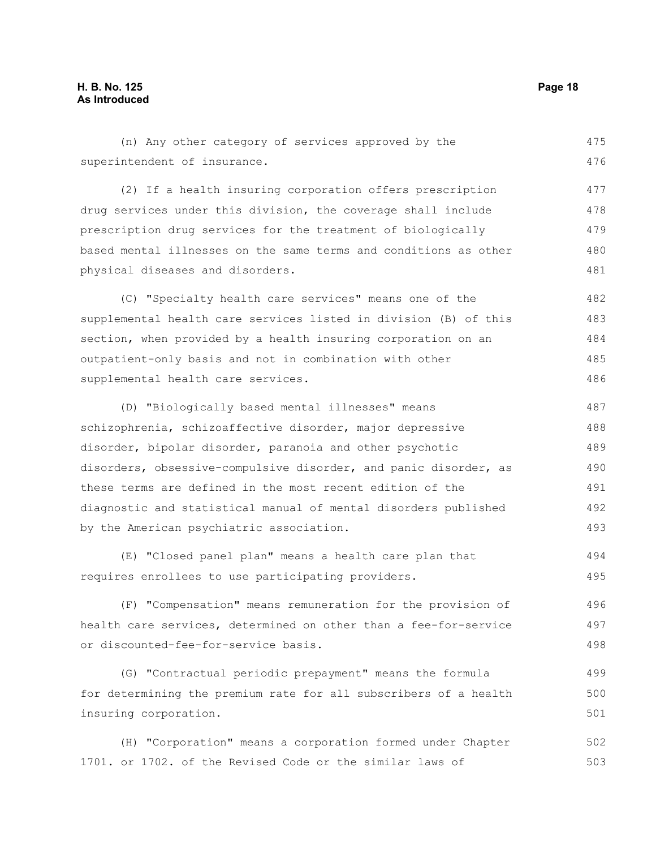(n) Any other category of services approved by the superintendent of insurance. 475 476

(2) If a health insuring corporation offers prescription drug services under this division, the coverage shall include prescription drug services for the treatment of biologically based mental illnesses on the same terms and conditions as other physical diseases and disorders. 477 478 479 480 481

(C) "Specialty health care services" means one of the supplemental health care services listed in division (B) of this section, when provided by a health insuring corporation on an outpatient-only basis and not in combination with other supplemental health care services. 482 483 484 485 486

(D) "Biologically based mental illnesses" means schizophrenia, schizoaffective disorder, major depressive disorder, bipolar disorder, paranoia and other psychotic disorders, obsessive-compulsive disorder, and panic disorder, as these terms are defined in the most recent edition of the diagnostic and statistical manual of mental disorders published by the American psychiatric association. 487 488 489 490 491 492 493

(E) "Closed panel plan" means a health care plan that requires enrollees to use participating providers. 494 495

(F) "Compensation" means remuneration for the provision of health care services, determined on other than a fee-for-service or discounted-fee-for-service basis. 496 497 498

(G) "Contractual periodic prepayment" means the formula for determining the premium rate for all subscribers of a health insuring corporation. 499 500 501

(H) "Corporation" means a corporation formed under Chapter 1701. or 1702. of the Revised Code or the similar laws of 502 503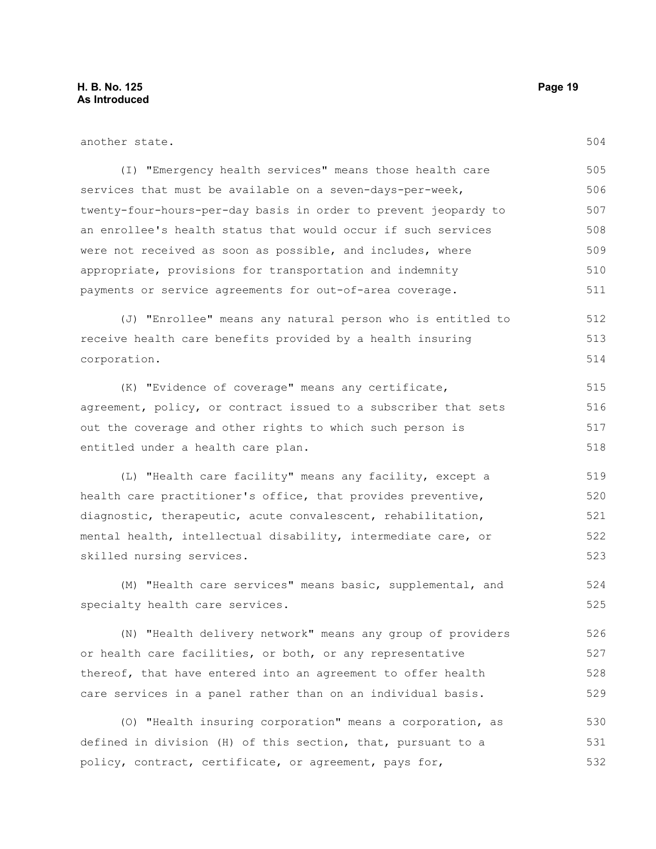532

| another state.                                                  | 504 |
|-----------------------------------------------------------------|-----|
| (I) "Emergency health services" means those health care         | 505 |
| services that must be available on a seven-days-per-week,       | 506 |
| twenty-four-hours-per-day basis in order to prevent jeopardy to | 507 |
| an enrollee's health status that would occur if such services   | 508 |
| were not received as soon as possible, and includes, where      | 509 |
| appropriate, provisions for transportation and indemnity        | 510 |
| payments or service agreements for out-of-area coverage.        | 511 |
| (J) "Enrollee" means any natural person who is entitled to      | 512 |
| receive health care benefits provided by a health insuring      | 513 |
| corporation.                                                    | 514 |
| (K) "Evidence of coverage" means any certificate,               | 515 |
| agreement, policy, or contract issued to a subscriber that sets | 516 |
| out the coverage and other rights to which such person is       | 517 |
| entitled under a health care plan.                              | 518 |
| (L) "Health care facility" means any facility, except a         | 519 |
| health care practitioner's office, that provides preventive,    | 520 |
| diagnostic, therapeutic, acute convalescent, rehabilitation,    | 521 |
| mental health, intellectual disability, intermediate care, or   | 522 |
| skilled nursing services.                                       | 523 |
| (M) "Health care services" means basic, supplemental, and       | 524 |
| specialty health care services.                                 | 525 |
| (N) "Health delivery network" means any group of providers      | 526 |
| or health care facilities, or both, or any representative       | 527 |
| thereof, that have entered into an agreement to offer health    | 528 |
| care services in a panel rather than on an individual basis.    | 529 |
| (O) "Health insuring corporation" means a corporation, as       | 530 |
| defined in division (H) of this section, that, pursuant to a    | 531 |

policy, contract, certificate, or agreement, pays for,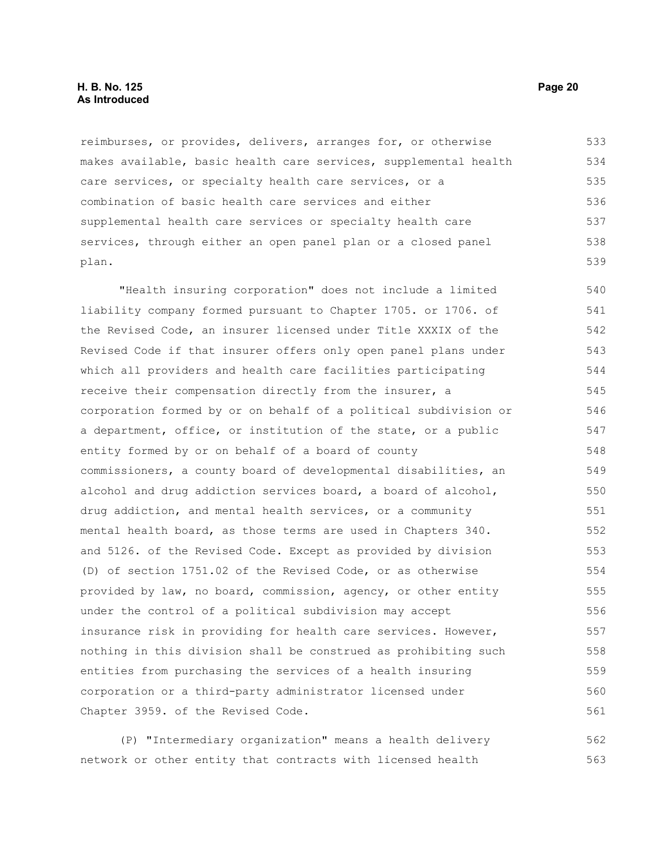reimburses, or provides, delivers, arranges for, or otherwise makes available, basic health care services, supplemental health care services, or specialty health care services, or a combination of basic health care services and either supplemental health care services or specialty health care services, through either an open panel plan or a closed panel plan. 533 534 535 536 537 538 539

"Health insuring corporation" does not include a limited liability company formed pursuant to Chapter 1705. or 1706. of the Revised Code, an insurer licensed under Title XXXIX of the Revised Code if that insurer offers only open panel plans under which all providers and health care facilities participating receive their compensation directly from the insurer, a corporation formed by or on behalf of a political subdivision or a department, office, or institution of the state, or a public entity formed by or on behalf of a board of county commissioners, a county board of developmental disabilities, an alcohol and drug addiction services board, a board of alcohol, drug addiction, and mental health services, or a community mental health board, as those terms are used in Chapters 340. and 5126. of the Revised Code. Except as provided by division (D) of section 1751.02 of the Revised Code, or as otherwise provided by law, no board, commission, agency, or other entity under the control of a political subdivision may accept insurance risk in providing for health care services. However, nothing in this division shall be construed as prohibiting such entities from purchasing the services of a health insuring corporation or a third-party administrator licensed under Chapter 3959. of the Revised Code. 540 541 542 543 544 545 546 547 548 549 550 551 552 553 554 555 556 557 558 559 560 561

(P) "Intermediary organization" means a health delivery network or other entity that contracts with licensed health 562 563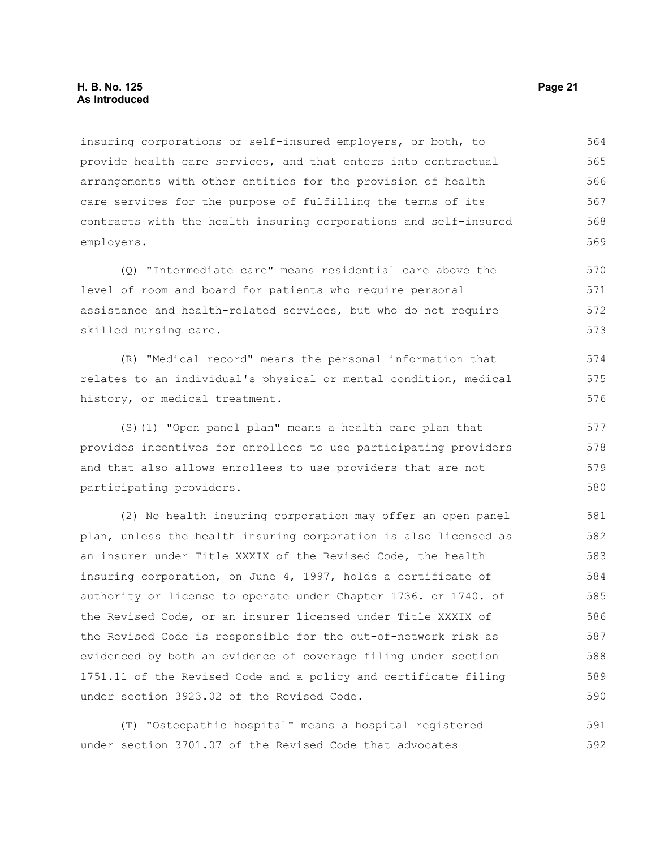#### **H. B. No. 125 Page 21 As Introduced**

insuring corporations or self-insured employers, or both, to provide health care services, and that enters into contractual arrangements with other entities for the provision of health care services for the purpose of fulfilling the terms of its contracts with the health insuring corporations and self-insured employers. 564 565 566 567 568 569

(Q) "Intermediate care" means residential care above the level of room and board for patients who require personal assistance and health-related services, but who do not require skilled nursing care. 570 571 572 573

(R) "Medical record" means the personal information that relates to an individual's physical or mental condition, medical history, or medical treatment. 574 575 576

(S)(1) "Open panel plan" means a health care plan that provides incentives for enrollees to use participating providers and that also allows enrollees to use providers that are not participating providers.

(2) No health insuring corporation may offer an open panel plan, unless the health insuring corporation is also licensed as an insurer under Title XXXIX of the Revised Code, the health insuring corporation, on June 4, 1997, holds a certificate of authority or license to operate under Chapter 1736. or 1740. of the Revised Code, or an insurer licensed under Title XXXIX of the Revised Code is responsible for the out-of-network risk as evidenced by both an evidence of coverage filing under section 1751.11 of the Revised Code and a policy and certificate filing under section 3923.02 of the Revised Code. 581 582 583 584 585 586 587 588 589 590

(T) "Osteopathic hospital" means a hospital registered under section 3701.07 of the Revised Code that advocates 591 592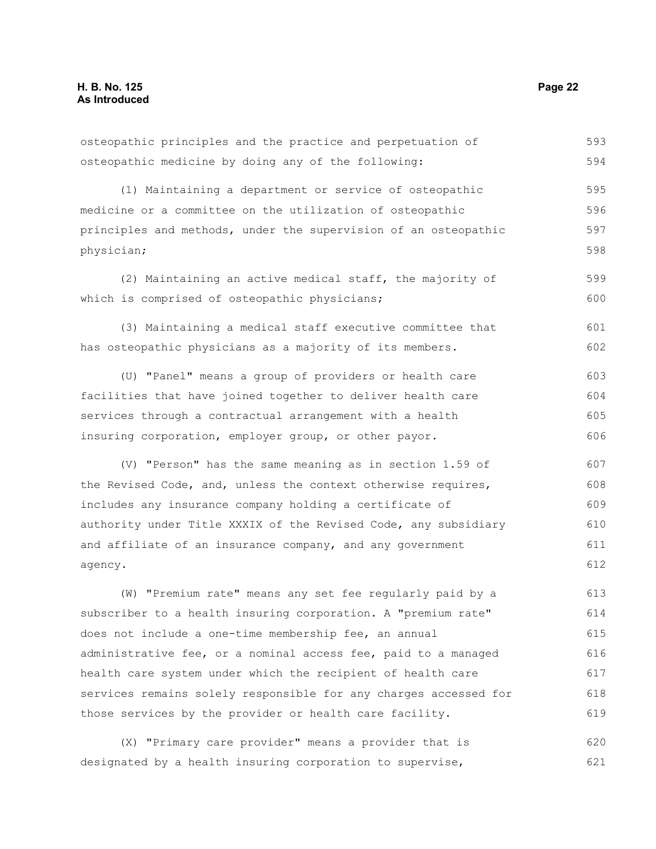| osteopathic principles and the practice and perpetuation of      | 593 |
|------------------------------------------------------------------|-----|
| osteopathic medicine by doing any of the following:              | 594 |
| (1) Maintaining a department or service of osteopathic           | 595 |
| medicine or a committee on the utilization of osteopathic        | 596 |
| principles and methods, under the supervision of an osteopathic  | 597 |
| physician;                                                       | 598 |
| (2) Maintaining an active medical staff, the majority of         | 599 |
| which is comprised of osteopathic physicians;                    | 600 |
| (3) Maintaining a medical staff executive committee that         | 601 |
| has osteopathic physicians as a majority of its members.         | 602 |
| (U) "Panel" means a group of providers or health care            | 603 |
| facilities that have joined together to deliver health care      | 604 |
| services through a contractual arrangement with a health         | 605 |
| insuring corporation, employer group, or other payor.            | 606 |
| (V) "Person" has the same meaning as in section 1.59 of          | 607 |
| the Revised Code, and, unless the context otherwise requires,    | 608 |
| includes any insurance company holding a certificate of          | 609 |
| authority under Title XXXIX of the Revised Code, any subsidiary  | 610 |
| and affiliate of an insurance company, and any government        | 611 |
| agency.                                                          | 612 |
| (W) "Premium rate" means any set fee regularly paid by a         | 613 |
| subscriber to a health insuring corporation. A "premium rate"    | 614 |
| does not include a one-time membership fee, an annual            | 615 |
| administrative fee, or a nominal access fee, paid to a managed   | 616 |
| health care system under which the recipient of health care      | 617 |
| services remains solely responsible for any charges accessed for | 618 |
| those services by the provider or health care facility.          | 619 |
| (X) "Primary care provider" means a provider that is             | 620 |

designated by a health insuring corporation to supervise,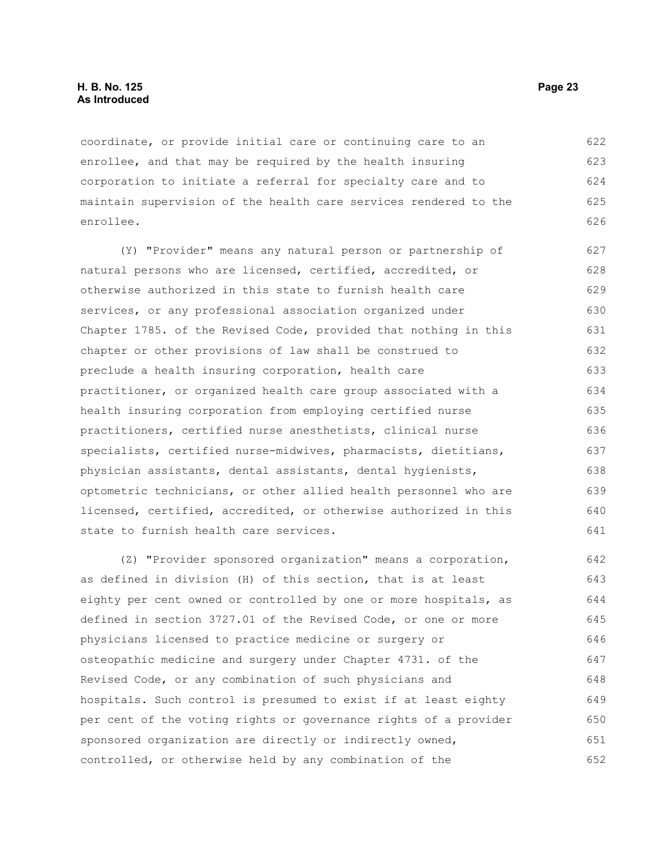coordinate, or provide initial care or continuing care to an enrollee, and that may be required by the health insuring corporation to initiate a referral for specialty care and to maintain supervision of the health care services rendered to the enrollee. 622 623 624 625 626

(Y) "Provider" means any natural person or partnership of natural persons who are licensed, certified, accredited, or otherwise authorized in this state to furnish health care services, or any professional association organized under Chapter 1785. of the Revised Code, provided that nothing in this chapter or other provisions of law shall be construed to preclude a health insuring corporation, health care practitioner, or organized health care group associated with a health insuring corporation from employing certified nurse practitioners, certified nurse anesthetists, clinical nurse specialists, certified nurse-midwives, pharmacists, dietitians, physician assistants, dental assistants, dental hygienists, optometric technicians, or other allied health personnel who are licensed, certified, accredited, or otherwise authorized in this state to furnish health care services. 627 628 629 630 631 632 633 634 635 636 637 638 639 640 641

(Z) "Provider sponsored organization" means a corporation, as defined in division (H) of this section, that is at least eighty per cent owned or controlled by one or more hospitals, as defined in section 3727.01 of the Revised Code, or one or more physicians licensed to practice medicine or surgery or osteopathic medicine and surgery under Chapter 4731. of the Revised Code, or any combination of such physicians and hospitals. Such control is presumed to exist if at least eighty per cent of the voting rights or governance rights of a provider sponsored organization are directly or indirectly owned, controlled, or otherwise held by any combination of the 642 643 644 645 646 647 648 649 650 651 652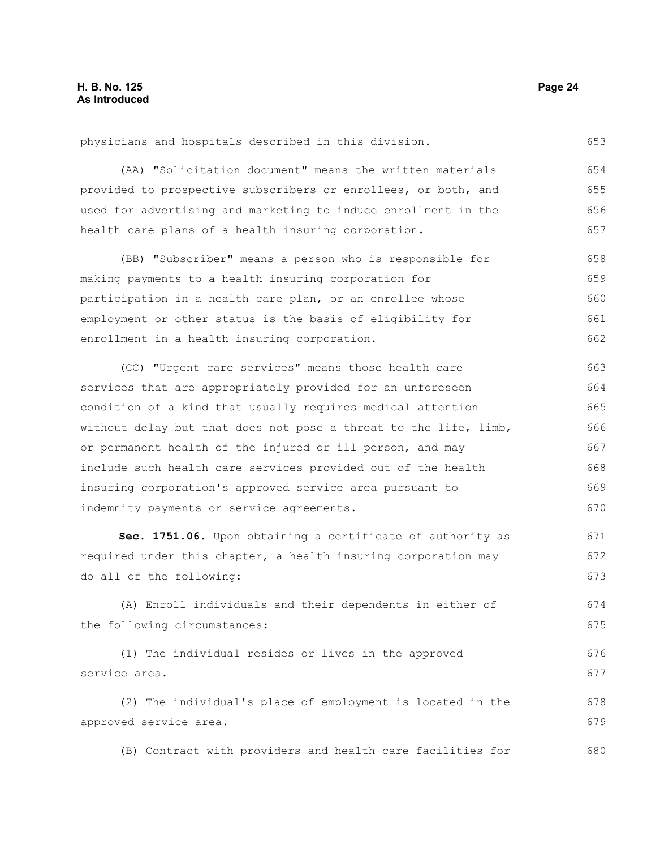physicians and hospitals described in this division.

(AA) "Solicitation document" means the written materials provided to prospective subscribers or enrollees, or both, and used for advertising and marketing to induce enrollment in the health care plans of a health insuring corporation. 654 655 656 657

(BB) "Subscriber" means a person who is responsible for making payments to a health insuring corporation for participation in a health care plan, or an enrollee whose employment or other status is the basis of eligibility for enrollment in a health insuring corporation. 658 659 660 661 662

(CC) "Urgent care services" means those health care services that are appropriately provided for an unforeseen condition of a kind that usually requires medical attention without delay but that does not pose a threat to the life, limb, or permanent health of the injured or ill person, and may include such health care services provided out of the health insuring corporation's approved service area pursuant to indemnity payments or service agreements. 663 664 665 666 667 668 669 670

**Sec. 1751.06.** Upon obtaining a certificate of authority as required under this chapter, a health insuring corporation may do all of the following: 671 672 673

(A) Enroll individuals and their dependents in either of the following circumstances:

(1) The individual resides or lives in the approved service area. 676 677

(2) The individual's place of employment is located in the approved service area. 678 679

(B) Contract with providers and health care facilities for 680

653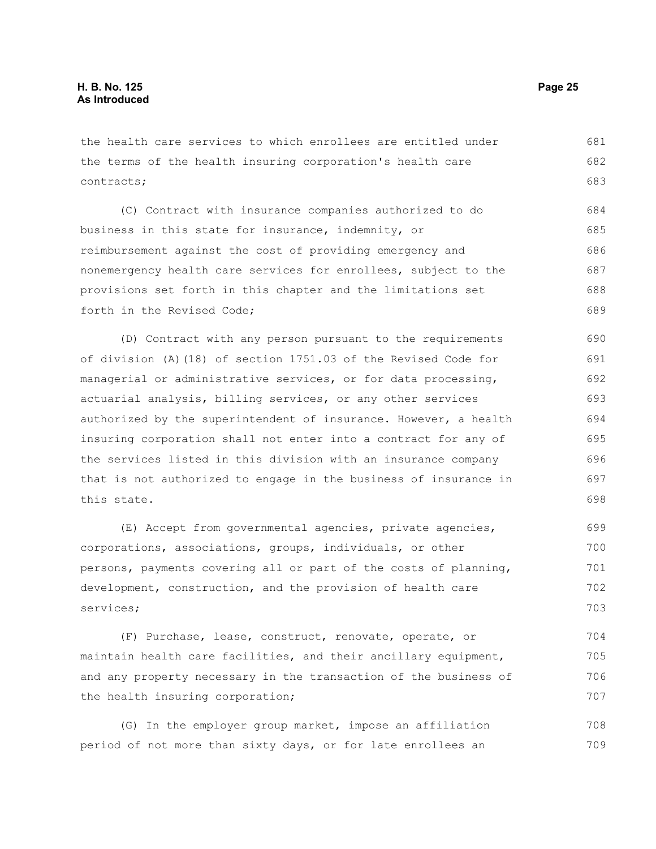the health care services to which enrollees are entitled under the terms of the health insuring corporation's health care contracts; 681 682 683

(C) Contract with insurance companies authorized to do business in this state for insurance, indemnity, or reimbursement against the cost of providing emergency and nonemergency health care services for enrollees, subject to the provisions set forth in this chapter and the limitations set forth in the Revised Code; 684 685 686 687 688 689

(D) Contract with any person pursuant to the requirements of division (A)(18) of section 1751.03 of the Revised Code for managerial or administrative services, or for data processing, actuarial analysis, billing services, or any other services authorized by the superintendent of insurance. However, a health insuring corporation shall not enter into a contract for any of the services listed in this division with an insurance company that is not authorized to engage in the business of insurance in this state. 690 691 692 693 694 695 696 697 698

(E) Accept from governmental agencies, private agencies, corporations, associations, groups, individuals, or other persons, payments covering all or part of the costs of planning, development, construction, and the provision of health care services; 699 700 701 702 703

(F) Purchase, lease, construct, renovate, operate, or maintain health care facilities, and their ancillary equipment, and any property necessary in the transaction of the business of the health insuring corporation; 704 705 706 707

(G) In the employer group market, impose an affiliation period of not more than sixty days, or for late enrollees an 708 709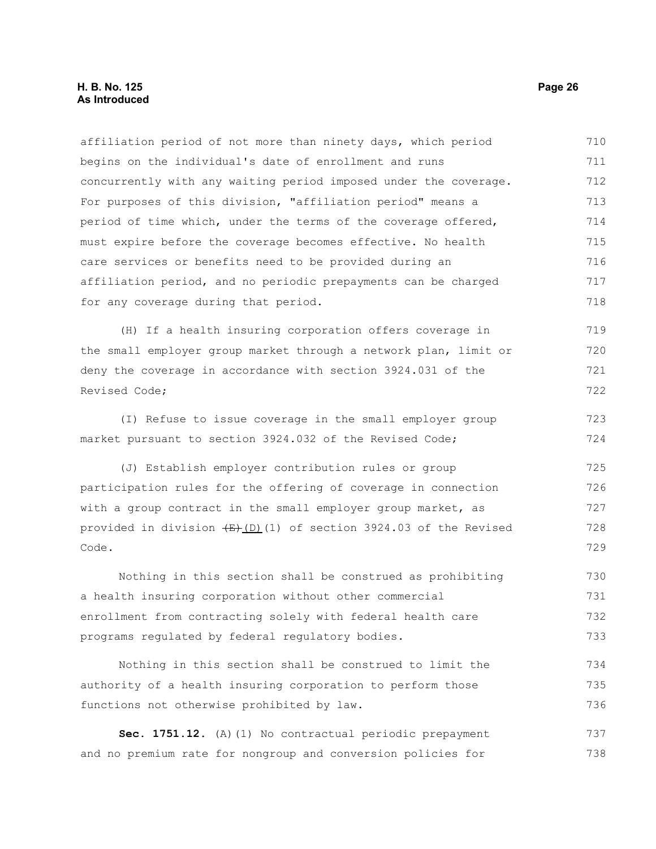#### **H. B. No. 125 Page 26 As Introduced**

affiliation period of not more than ninety days, which period begins on the individual's date of enrollment and runs concurrently with any waiting period imposed under the coverage. For purposes of this division, "affiliation period" means a period of time which, under the terms of the coverage offered, must expire before the coverage becomes effective. No health care services or benefits need to be provided during an affiliation period, and no periodic prepayments can be charged for any coverage during that period. (H) If a health insuring corporation offers coverage in the small employer group market through a network plan, limit or deny the coverage in accordance with section 3924.031 of the Revised Code; (I) Refuse to issue coverage in the small employer group market pursuant to section 3924.032 of the Revised Code; (J) Establish employer contribution rules or group participation rules for the offering of coverage in connection with a group contract in the small employer group market, as provided in division  $\frac{E}{(D)}(1)$  of section 3924.03 of the Revised Code. Nothing in this section shall be construed as prohibiting a health insuring corporation without other commercial enrollment from contracting solely with federal health care programs regulated by federal regulatory bodies. Nothing in this section shall be construed to limit the authority of a health insuring corporation to perform those functions not otherwise prohibited by law. 710 711 712 713 714 715 716 717 718 719 720 721 722 723 724 725 726 727 728 729 730 731 732 733 734 735 736

Sec. 1751.12. (A)(1) No contractual periodic prepayment and no premium rate for nongroup and conversion policies for 737 738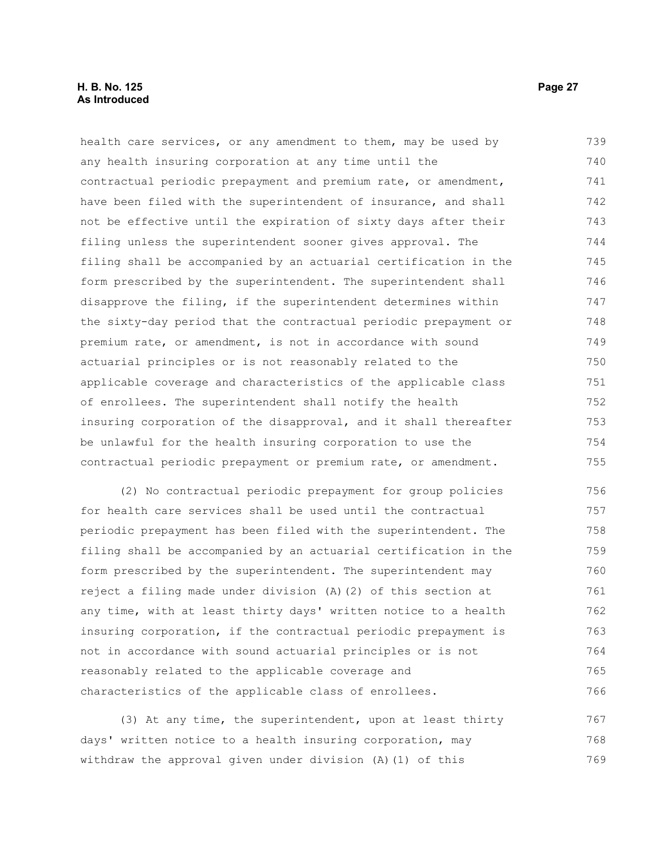health care services, or any amendment to them, may be used by any health insuring corporation at any time until the contractual periodic prepayment and premium rate, or amendment, have been filed with the superintendent of insurance, and shall not be effective until the expiration of sixty days after their filing unless the superintendent sooner gives approval. The filing shall be accompanied by an actuarial certification in the form prescribed by the superintendent. The superintendent shall disapprove the filing, if the superintendent determines within the sixty-day period that the contractual periodic prepayment or premium rate, or amendment, is not in accordance with sound actuarial principles or is not reasonably related to the applicable coverage and characteristics of the applicable class of enrollees. The superintendent shall notify the health insuring corporation of the disapproval, and it shall thereafter be unlawful for the health insuring corporation to use the contractual periodic prepayment or premium rate, or amendment. 739 740 741 742 743 744 745 746 747 748 749 750 751 752 753 754 755

(2) No contractual periodic prepayment for group policies for health care services shall be used until the contractual periodic prepayment has been filed with the superintendent. The filing shall be accompanied by an actuarial certification in the form prescribed by the superintendent. The superintendent may reject a filing made under division (A)(2) of this section at any time, with at least thirty days' written notice to a health insuring corporation, if the contractual periodic prepayment is not in accordance with sound actuarial principles or is not reasonably related to the applicable coverage and characteristics of the applicable class of enrollees. 756 757 758 759 760 761 762 763 764 765 766

(3) At any time, the superintendent, upon at least thirty days' written notice to a health insuring corporation, may withdraw the approval given under division (A)(1) of this 767 768 769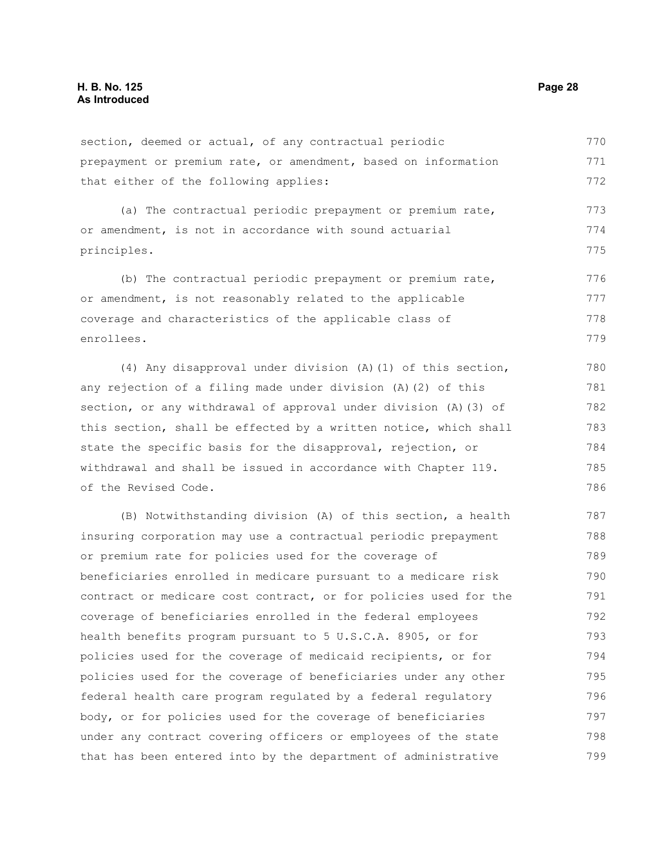section, deemed or actual, of any contractual periodic prepayment or premium rate, or amendment, based on information that either of the following applies: 770 771 772

(a) The contractual periodic prepayment or premium rate, or amendment, is not in accordance with sound actuarial principles. 773 774 775

(b) The contractual periodic prepayment or premium rate, or amendment, is not reasonably related to the applicable coverage and characteristics of the applicable class of enrollees. 776 777 778 779

(4) Any disapproval under division (A)(1) of this section, any rejection of a filing made under division (A)(2) of this section, or any withdrawal of approval under division (A)(3) of this section, shall be effected by a written notice, which shall state the specific basis for the disapproval, rejection, or withdrawal and shall be issued in accordance with Chapter 119. of the Revised Code.

(B) Notwithstanding division (A) of this section, a health insuring corporation may use a contractual periodic prepayment or premium rate for policies used for the coverage of beneficiaries enrolled in medicare pursuant to a medicare risk contract or medicare cost contract, or for policies used for the coverage of beneficiaries enrolled in the federal employees health benefits program pursuant to 5 U.S.C.A. 8905, or for policies used for the coverage of medicaid recipients, or for policies used for the coverage of beneficiaries under any other federal health care program regulated by a federal regulatory body, or for policies used for the coverage of beneficiaries under any contract covering officers or employees of the state that has been entered into by the department of administrative 787 788 789 790 791 792 793 794 795 796 797 798 799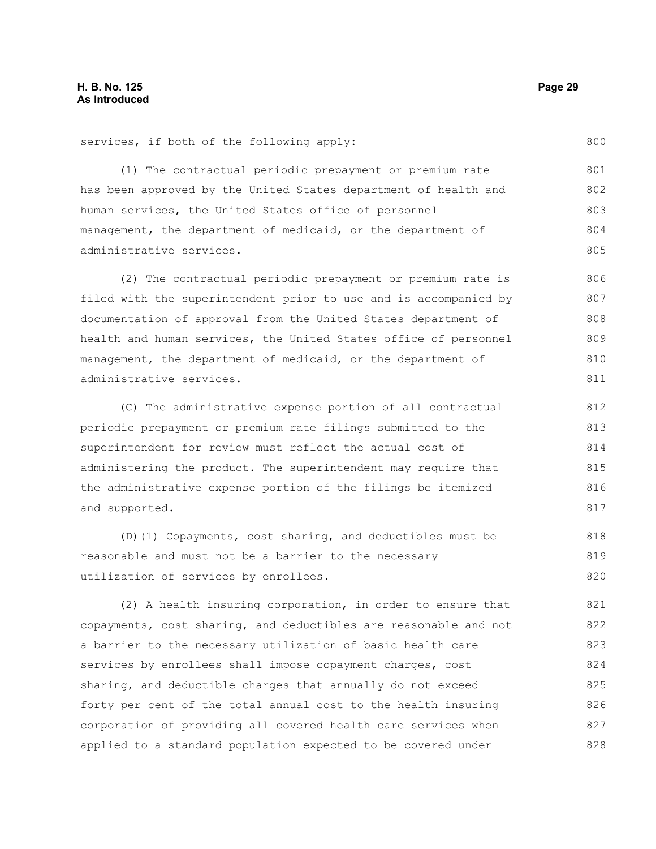800

services, if both of the following apply:

(1) The contractual periodic prepayment or premium rate has been approved by the United States department of health and human services, the United States office of personnel management, the department of medicaid, or the department of administrative services. 801 802 803 804 805

(2) The contractual periodic prepayment or premium rate is filed with the superintendent prior to use and is accompanied by documentation of approval from the United States department of health and human services, the United States office of personnel management, the department of medicaid, or the department of administrative services. 806 807 808 809 810 811

(C) The administrative expense portion of all contractual periodic prepayment or premium rate filings submitted to the superintendent for review must reflect the actual cost of administering the product. The superintendent may require that the administrative expense portion of the filings be itemized and supported.

(D)(1) Copayments, cost sharing, and deductibles must be reasonable and must not be a barrier to the necessary utilization of services by enrollees. 818 819 820

(2) A health insuring corporation, in order to ensure that copayments, cost sharing, and deductibles are reasonable and not a barrier to the necessary utilization of basic health care services by enrollees shall impose copayment charges, cost sharing, and deductible charges that annually do not exceed forty per cent of the total annual cost to the health insuring corporation of providing all covered health care services when applied to a standard population expected to be covered under 821 822 823 824 825 826 827 828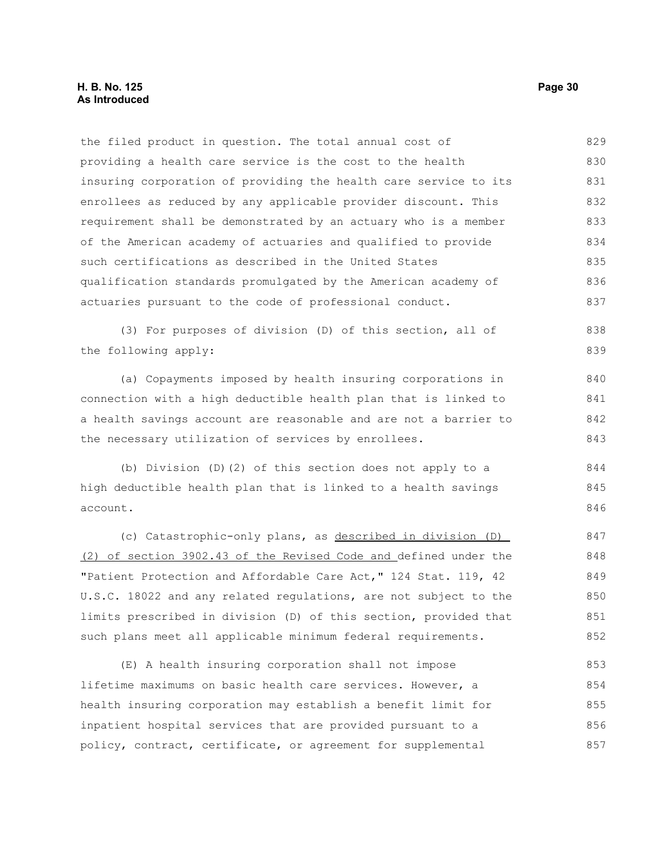#### **H. B. No. 125 Page 30 As Introduced**

the filed product in question. The total annual cost of providing a health care service is the cost to the health insuring corporation of providing the health care service to its enrollees as reduced by any applicable provider discount. This requirement shall be demonstrated by an actuary who is a member of the American academy of actuaries and qualified to provide such certifications as described in the United States qualification standards promulgated by the American academy of actuaries pursuant to the code of professional conduct. 829 830 831 832 833 834 835 836 837

(3) For purposes of division (D) of this section, all of the following apply: 838 839

(a) Copayments imposed by health insuring corporations in connection with a high deductible health plan that is linked to a health savings account are reasonable and are not a barrier to the necessary utilization of services by enrollees.

(b) Division (D)(2) of this section does not apply to a high deductible health plan that is linked to a health savings account.

(c) Catastrophic-only plans, as described in division (D) (2) of section 3902.43 of the Revised Code and defined under the "Patient Protection and Affordable Care Act," 124 Stat. 119, 42 U.S.C. 18022 and any related regulations, are not subject to the limits prescribed in division (D) of this section, provided that such plans meet all applicable minimum federal requirements. 847 848 849 850 851 852

(E) A health insuring corporation shall not impose lifetime maximums on basic health care services. However, a health insuring corporation may establish a benefit limit for inpatient hospital services that are provided pursuant to a policy, contract, certificate, or agreement for supplemental 853 854 855 856 857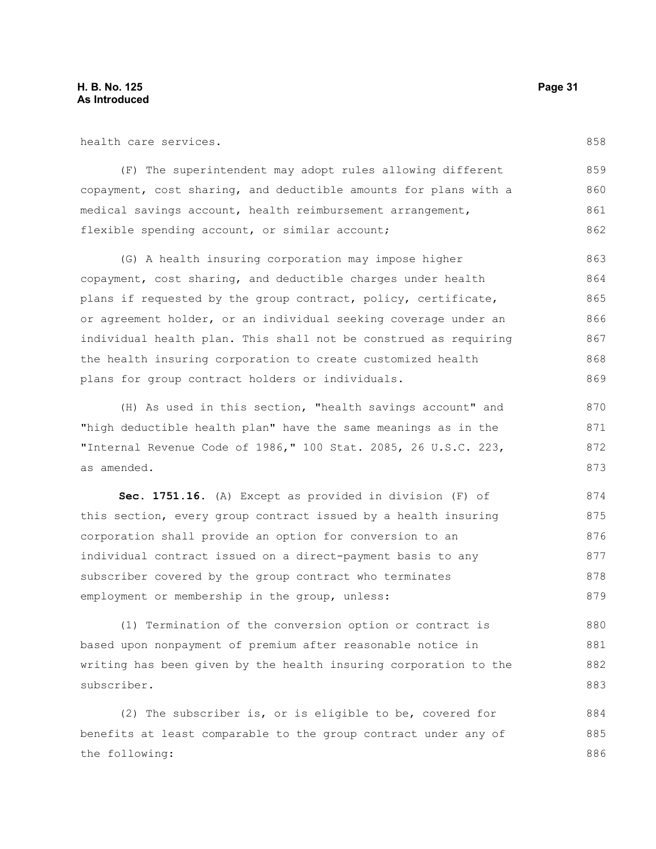health care services.

(F) The superintendent may adopt rules allowing different copayment, cost sharing, and deductible amounts for plans with a medical savings account, health reimbursement arrangement, flexible spending account, or similar account; 859 860 861 862

(G) A health insuring corporation may impose higher copayment, cost sharing, and deductible charges under health plans if requested by the group contract, policy, certificate, or agreement holder, or an individual seeking coverage under an individual health plan. This shall not be construed as requiring the health insuring corporation to create customized health plans for group contract holders or individuals. 863 864 865 866 867 868 869

(H) As used in this section, "health savings account" and "high deductible health plan" have the same meanings as in the "Internal Revenue Code of 1986," 100 Stat. 2085, 26 U.S.C. 223, as amended.

**Sec. 1751.16.** (A) Except as provided in division (F) of this section, every group contract issued by a health insuring corporation shall provide an option for conversion to an individual contract issued on a direct-payment basis to any subscriber covered by the group contract who terminates employment or membership in the group, unless: 874 875 876 877 878 879

(1) Termination of the conversion option or contract is based upon nonpayment of premium after reasonable notice in writing has been given by the health insuring corporation to the subscriber. 880 881 882 883

(2) The subscriber is, or is eligible to be, covered for benefits at least comparable to the group contract under any of the following: 884 885 886

858

873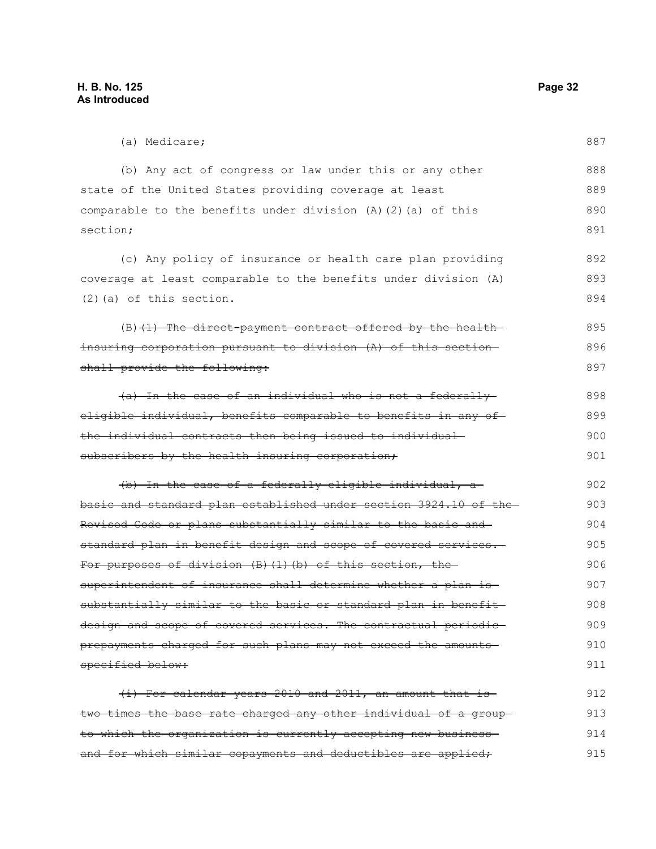| (a) Medicare;                                                    | 887 |
|------------------------------------------------------------------|-----|
| (b) Any act of congress or law under this or any other           | 888 |
| state of the United States providing coverage at least           | 889 |
| comparable to the benefits under division (A) (2) (a) of this    | 890 |
| section;                                                         | 891 |
| (c) Any policy of insurance or health care plan providing        | 892 |
| coverage at least comparable to the benefits under division (A)  | 893 |
| $(2)$ (a) of this section.                                       | 894 |
|                                                                  |     |
| $(B)$ (1) The direct payment contract offered by the health      | 895 |
| insuring corporation pursuant to division (A) of this section-   | 896 |
| shall provide the following:                                     | 897 |
| (a) In the case of an individual who is not a federally          | 898 |
| eligible individual, benefits comparable to benefits in any of-  | 899 |
| the individual contracts then being issued to individual-        | 900 |
| subscribers by the health insuring corporation;                  | 901 |
| (b) In the case of a federally eligible individual, a-           | 902 |
| basic and standard plan established under section 3924.10 of the | 903 |
| Revised Code or plans substantially similar to the basic and     | 904 |
| standard plan in benefit design and scope of covered services.   | 905 |
| For purposes of division (B) (1) (b) of this section, the        | 906 |
| superintendent of insurance shall determine whether a plan is    | 907 |
| substantially similar to the basic or standard plan in benefit-  | 908 |
| design and scope of covered services. The contractual periodic-  | 909 |
| prepayments charged for such plans may not exceed the amounts    | 910 |
| specified below:                                                 | 911 |
| (i) For calendar years 2010 and 2011, an amount that is          | 912 |
| two times the base rate charged any other individual of a group- | 913 |
| to which the organization is currently accepting new business-   | 914 |

and for which similar copayments and deductibles are applied; 915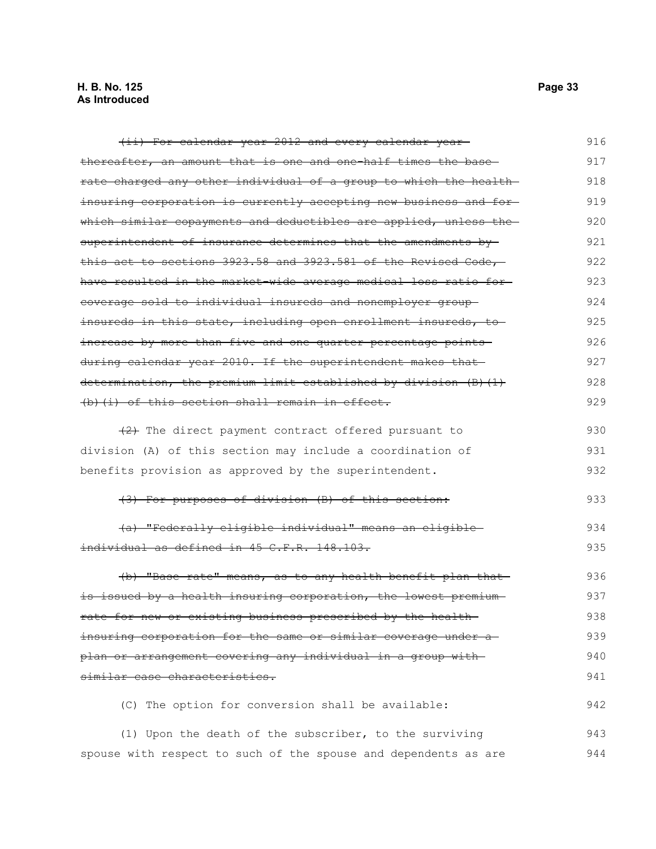| (ii) For calendar year 2012 and every calendar year-              | 916 |
|-------------------------------------------------------------------|-----|
| thereafter, an amount that is one and one-half times the base-    | 917 |
| rate charged any other individual of a group to which the health- | 918 |
| insuring corporation is currently accepting new business and for- | 919 |
| which similar copayments and deductibles are applied, unless the  | 920 |
| superintendent of insurance determines that the amendments by-    | 921 |
| this act to sections 3923.58 and 3923.581 of the Revised Code,    | 922 |
| have resulted in the market wide average medical loss ratio for-  | 923 |
| eoverage sold to individual insureds and nonemployer group-       | 924 |
| insureds in this state, including open enrollment insureds, to    | 925 |
| increase by more than five and one quarter percentage points      | 926 |
| during calendar year 2010. If the superintendent makes that-      | 927 |
| determination, the premium limit established by division (B) (1)  | 928 |
| (b) (i) of this section shall remain in effect.                   | 929 |
| $(2)$ The direct payment contract offered pursuant to             | 930 |
| division (A) of this section may include a coordination of        | 931 |
| benefits provision as approved by the superintendent.             | 932 |
|                                                                   |     |
| (3) For purposes of division (B) of this section:                 | 933 |
| (a) "Federally eligible individual" means an eligible             | 934 |
| individual as defined in 45 C.F.R. 148.103.                       | 935 |
| (b) "Base rate" means, as to any health benefit plan that-        | 936 |
| is issued by a health insuring corporation, the lowest premium-   | 937 |
| rate for new or existing business prescribed by the health-       | 938 |
| insuring corporation for the same or similar coverage under a     | 939 |
| plan or arrangement covering any individual in a group with       | 940 |
| similar case characteristics.                                     | 941 |
| (C) The option for conversion shall be available:                 | 942 |
| (1) Upon the death of the subscriber, to the surviving            | 943 |

spouse with respect to such of the spouse and dependents as are 944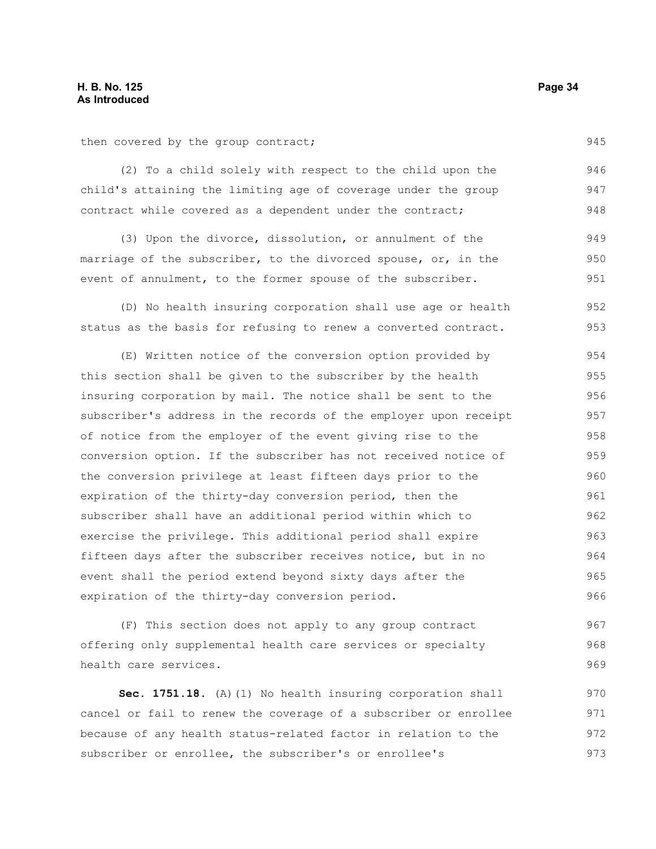then covered by the group contract;

(2) To a child solely with respect to the child upon the child's attaining the limiting age of coverage under the group contract while covered as a dependent under the contract; 946 947 948

(3) Upon the divorce, dissolution, or annulment of the marriage of the subscriber, to the divorced spouse, or, in the event of annulment, to the former spouse of the subscriber. 949 950 951

(D) No health insuring corporation shall use age or health status as the basis for refusing to renew a converted contract. 952 953

(E) Written notice of the conversion option provided by this section shall be given to the subscriber by the health insuring corporation by mail. The notice shall be sent to the subscriber's address in the records of the employer upon receipt of notice from the employer of the event giving rise to the conversion option. If the subscriber has not received notice of the conversion privilege at least fifteen days prior to the expiration of the thirty-day conversion period, then the subscriber shall have an additional period within which to exercise the privilege. This additional period shall expire fifteen days after the subscriber receives notice, but in no event shall the period extend beyond sixty days after the expiration of the thirty-day conversion period. 954 955 956 957 958 959 960 961 962 963 964 965 966

(F) This section does not apply to any group contract offering only supplemental health care services or specialty health care services. 967 968 969

**Sec. 1751.18.** (A)(1) No health insuring corporation shall cancel or fail to renew the coverage of a subscriber or enrollee because of any health status-related factor in relation to the subscriber or enrollee, the subscriber's or enrollee's 970 971 972 973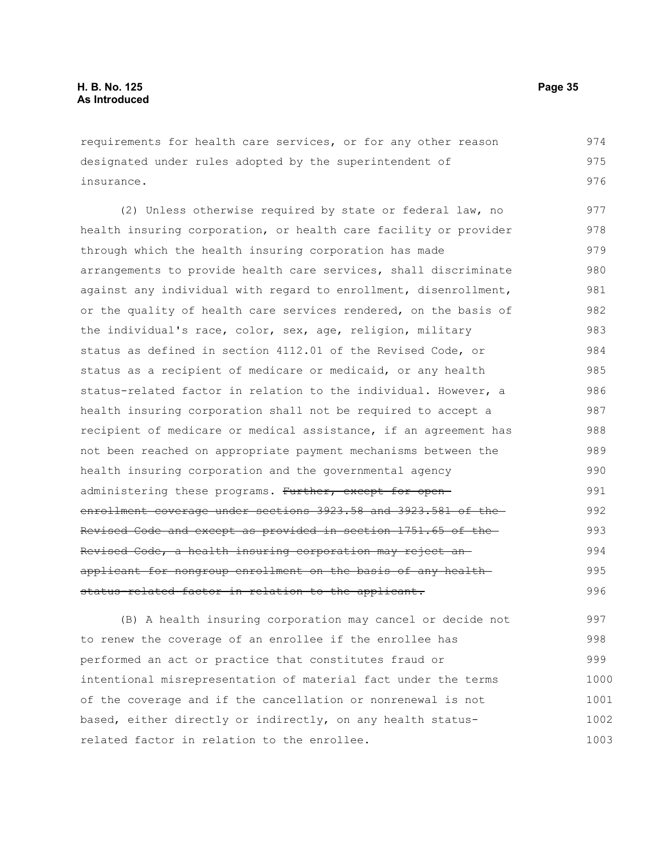requirements for health care services, or for any other reason designated under rules adopted by the superintendent of insurance.

(2) Unless otherwise required by state or federal law, no health insuring corporation, or health care facility or provider through which the health insuring corporation has made arrangements to provide health care services, shall discriminate against any individual with regard to enrollment, disenrollment, or the quality of health care services rendered, on the basis of the individual's race, color, sex, age, religion, military status as defined in section 4112.01 of the Revised Code, or status as a recipient of medicare or medicaid, or any health status-related factor in relation to the individual. However, a health insuring corporation shall not be required to accept a recipient of medicare or medical assistance, if an agreement has not been reached on appropriate payment mechanisms between the health insuring corporation and the governmental agency administering these programs. Further, except for openenrollment coverage under sections 3923.58 and 3923.581 of the Revised Code and except as provided in section 1751.65 of the Revised Code, a health insuring corporation may reject an applicant for nongroup enrollment on the basis of any health status-related factor in relation to the applicant. 977 978 979 980 981 982 983 984 985 986 987 988 989 990 991 992 993 994 995 996

(B) A health insuring corporation may cancel or decide not to renew the coverage of an enrollee if the enrollee has performed an act or practice that constitutes fraud or intentional misrepresentation of material fact under the terms of the coverage and if the cancellation or nonrenewal is not based, either directly or indirectly, on any health statusrelated factor in relation to the enrollee. 997 998 999 1000 1001 1002 1003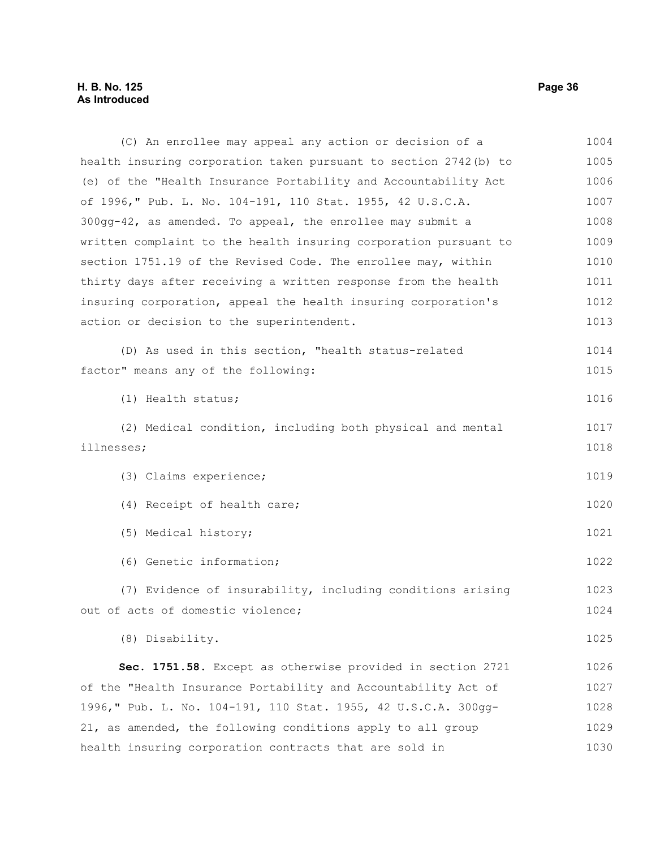#### **H. B. No. 125 Page 36 As Introduced**

(C) An enrollee may appeal any action or decision of a health insuring corporation taken pursuant to section 2742(b) to (e) of the "Health Insurance Portability and Accountability Act of 1996," Pub. L. No. 104-191, 110 Stat. 1955, 42 U.S.C.A. 300gg-42, as amended. To appeal, the enrollee may submit a written complaint to the health insuring corporation pursuant to section 1751.19 of the Revised Code. The enrollee may, within thirty days after receiving a written response from the health insuring corporation, appeal the health insuring corporation's action or decision to the superintendent. (D) As used in this section, "health status-related factor" means any of the following: (1) Health status; (2) Medical condition, including both physical and mental illnesses; (3) Claims experience; (4) Receipt of health care; (5) Medical history; (6) Genetic information; (7) Evidence of insurability, including conditions arising out of acts of domestic violence; (8) Disability. **Sec. 1751.58.** Except as otherwise provided in section 2721 of the "Health Insurance Portability and Accountability Act of 1996," Pub. L. No. 104-191, 110 Stat. 1955, 42 U.S.C.A. 300gg-21, as amended, the following conditions apply to all group health insuring corporation contracts that are sold in 1004 1005 1006 1007 1008 1009 1010 1011 1012 1013 1014 1015 1016 1017 1018 1019 1020 1021 1022 1023 1024 1025 1026 1027 1028 1029 1030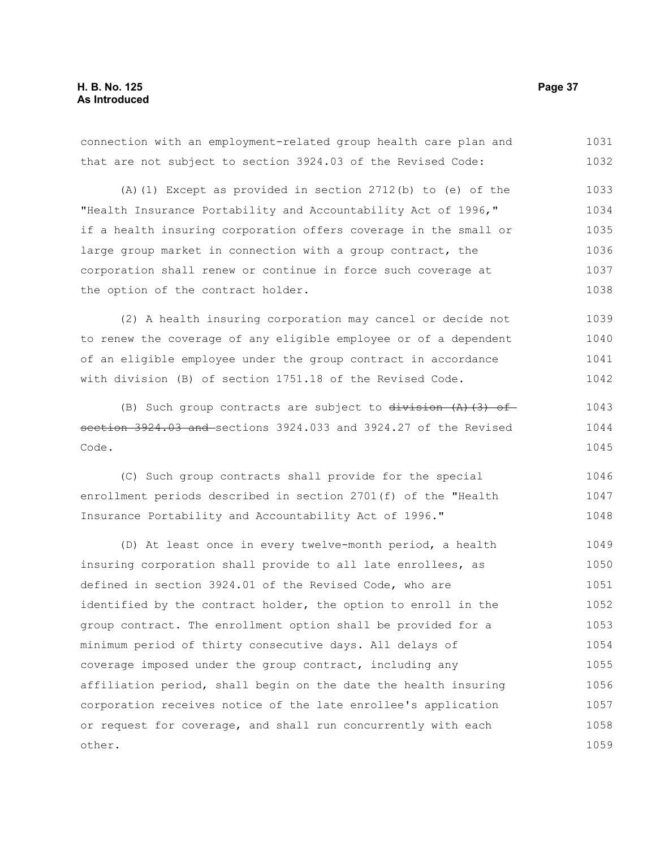connection with an employment-related group health care plan and that are not subject to section 3924.03 of the Revised Code: 1031 1032

(A)(1) Except as provided in section 2712(b) to (e) of the "Health Insurance Portability and Accountability Act of 1996," if a health insuring corporation offers coverage in the small or large group market in connection with a group contract, the corporation shall renew or continue in force such coverage at the option of the contract holder. 1033 1034 1035 1036 1037 1038

(2) A health insuring corporation may cancel or decide not to renew the coverage of any eligible employee or of a dependent of an eligible employee under the group contract in accordance with division (B) of section 1751.18 of the Revised Code. 1039 1040 1041 1042

(B) Such group contracts are subject to  $division (A)$  (3) ofsection 3924.03 and sections 3924.033 and 3924.27 of the Revised Code. 1043 1044 1045

(C) Such group contracts shall provide for the special enrollment periods described in section 2701(f) of the "Health Insurance Portability and Accountability Act of 1996." 1046 1047 1048

(D) At least once in every twelve-month period, a health insuring corporation shall provide to all late enrollees, as defined in section 3924.01 of the Revised Code, who are identified by the contract holder, the option to enroll in the group contract. The enrollment option shall be provided for a minimum period of thirty consecutive days. All delays of coverage imposed under the group contract, including any affiliation period, shall begin on the date the health insuring corporation receives notice of the late enrollee's application or request for coverage, and shall run concurrently with each other. 1049 1050 1051 1052 1053 1054 1055 1056 1057 1058 1059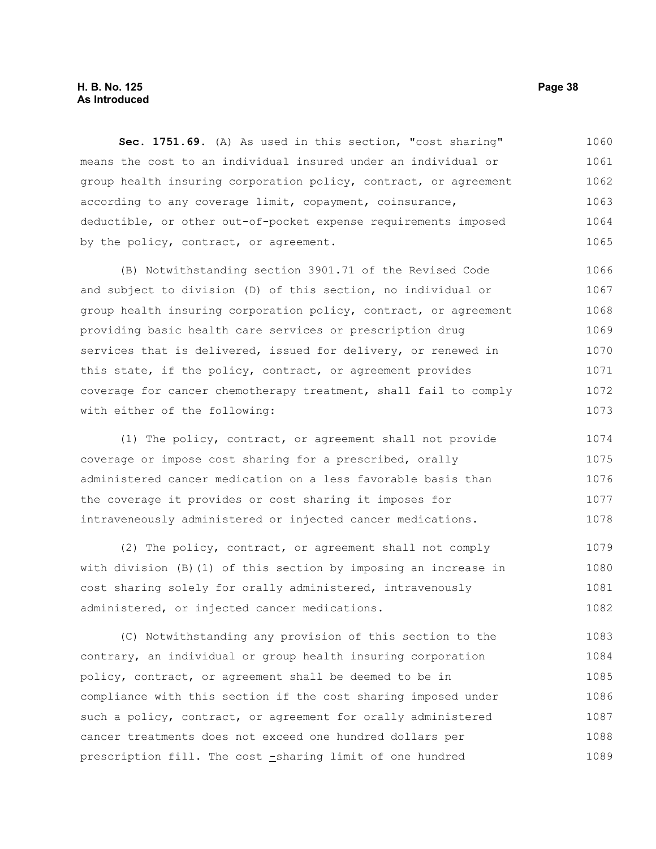# **H. B. No. 125 Page 38 As Introduced**

**Sec. 1751.69.** (A) As used in this section, "cost sharing" means the cost to an individual insured under an individual or group health insuring corporation policy, contract, or agreement according to any coverage limit, copayment, coinsurance, deductible, or other out-of-pocket expense requirements imposed by the policy, contract, or agreement. 1060 1061 1062 1063 1064 1065

(B) Notwithstanding section 3901.71 of the Revised Code and subject to division (D) of this section, no individual or group health insuring corporation policy, contract, or agreement providing basic health care services or prescription drug services that is delivered, issued for delivery, or renewed in this state, if the policy, contract, or agreement provides coverage for cancer chemotherapy treatment, shall fail to comply with either of the following: 1066 1067 1068 1069 1070 1071 1072 1073

(1) The policy, contract, or agreement shall not provide coverage or impose cost sharing for a prescribed, orally administered cancer medication on a less favorable basis than the coverage it provides or cost sharing it imposes for intraveneously administered or injected cancer medications. 1074 1075 1076 1077 1078

(2) The policy, contract, or agreement shall not comply with division (B)(1) of this section by imposing an increase in cost sharing solely for orally administered, intravenously administered, or injected cancer medications. 1079 1080 1081 1082

(C) Notwithstanding any provision of this section to the contrary, an individual or group health insuring corporation policy, contract, or agreement shall be deemed to be in compliance with this section if the cost sharing imposed under such a policy, contract, or agreement for orally administered cancer treatments does not exceed one hundred dollars per prescription fill. The cost -sharing limit of one hundred 1083 1084 1085 1086 1087 1088 1089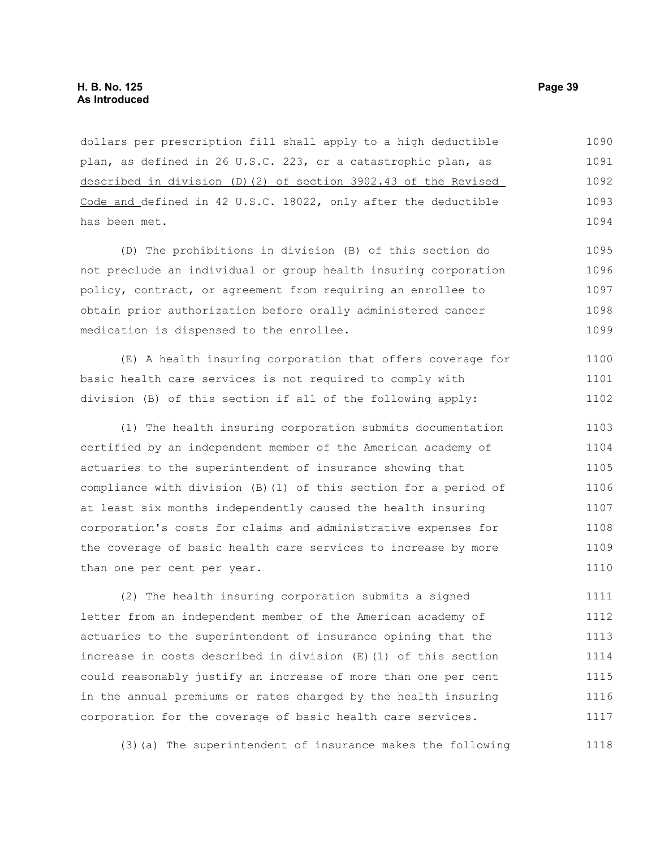dollars per prescription fill shall apply to a high deductible plan, as defined in 26 U.S.C. 223, or a catastrophic plan, as described in division (D)(2) of section 3902.43 of the Revised Code and defined in 42 U.S.C. 18022, only after the deductible has been met. 1090 1091 1092 1093 1094

(D) The prohibitions in division (B) of this section do not preclude an individual or group health insuring corporation policy, contract, or agreement from requiring an enrollee to obtain prior authorization before orally administered cancer medication is dispensed to the enrollee. 1095 1096 1097 1098 1099

(E) A health insuring corporation that offers coverage for basic health care services is not required to comply with division (B) of this section if all of the following apply: 1100 1101 1102

(1) The health insuring corporation submits documentation certified by an independent member of the American academy of actuaries to the superintendent of insurance showing that compliance with division (B)(1) of this section for a period of at least six months independently caused the health insuring corporation's costs for claims and administrative expenses for the coverage of basic health care services to increase by more than one per cent per year. 1103 1104 1105 1106 1107 1108 1109 1110

(2) The health insuring corporation submits a signed letter from an independent member of the American academy of actuaries to the superintendent of insurance opining that the increase in costs described in division (E)(1) of this section could reasonably justify an increase of more than one per cent in the annual premiums or rates charged by the health insuring corporation for the coverage of basic health care services. 1111 1112 1113 1114 1115 1116 1117

(3)(a) The superintendent of insurance makes the following 1118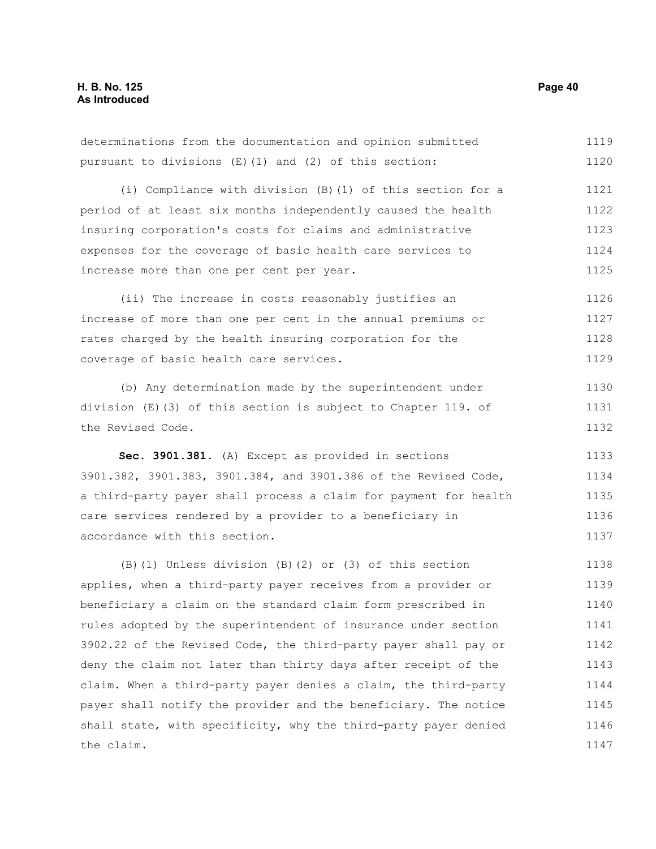| determinations from the documentation and opinion submitted      | 1119 |
|------------------------------------------------------------------|------|
| pursuant to divisions (E) (1) and (2) of this section:           | 1120 |
| (i) Compliance with division (B) (1) of this section for a       | 1121 |
| period of at least six months independently caused the health    | 1122 |
| insuring corporation's costs for claims and administrative       | 1123 |
| expenses for the coverage of basic health care services to       | 1124 |
| increase more than one per cent per year.                        | 1125 |
| (ii) The increase in costs reasonably justifies an               | 1126 |
| increase of more than one per cent in the annual premiums or     | 1127 |
| rates charged by the health insuring corporation for the         | 1128 |
| coverage of basic health care services.                          | 1129 |
| (b) Any determination made by the superintendent under           | 1130 |
| division (E)(3) of this section is subject to Chapter 119. of    | 1131 |
| the Revised Code.                                                | 1132 |
|                                                                  |      |
| Sec. 3901.381. (A) Except as provided in sections                | 1133 |
| 3901.382, 3901.383, 3901.384, and 3901.386 of the Revised Code,  | 1134 |
| a third-party payer shall process a claim for payment for health | 1135 |
| care services rendered by a provider to a beneficiary in         | 1136 |
| accordance with this section.                                    | 1137 |
| (B) (1) Unless division (B) (2) or (3) of this section           | 1138 |
| applies, when a third-party payer receives from a provider or    | 1139 |
| beneficiary a claim on the standard claim form prescribed in     | 1140 |
| rules adopted by the superintendent of insurance under section   | 1141 |
| 3902.22 of the Revised Code, the third-party payer shall pay or  | 1142 |
| deny the claim not later than thirty days after receipt of the   | 1143 |
| claim. When a third-party payer denies a claim, the third-party  | 1144 |
| payer shall notify the provider and the beneficiary. The notice  | 1145 |
| shall state, with specificity, why the third-party payer denied  | 1146 |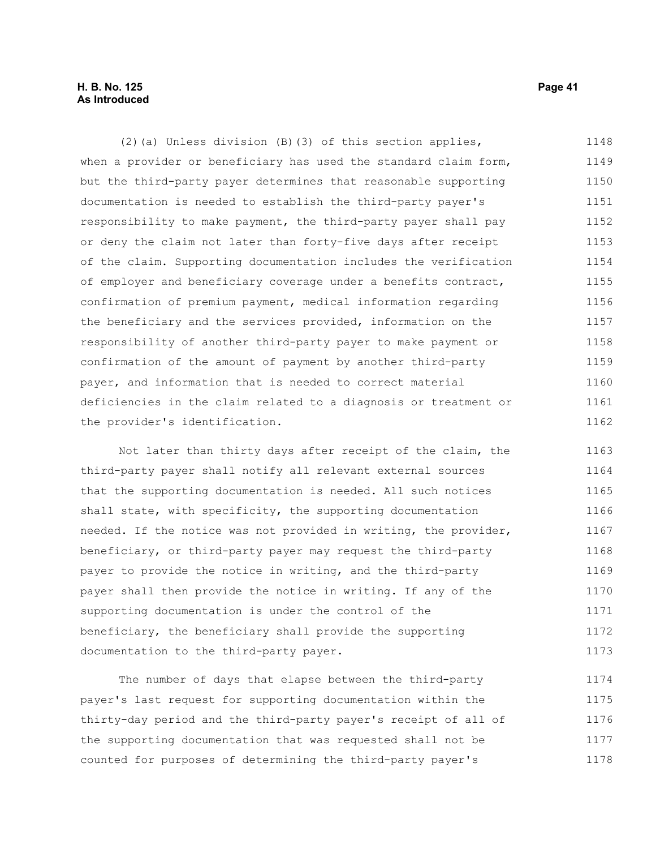# **H. B. No. 125 Page 41 As Introduced**

(2)(a) Unless division (B)(3) of this section applies, when a provider or beneficiary has used the standard claim form, but the third-party payer determines that reasonable supporting documentation is needed to establish the third-party payer's responsibility to make payment, the third-party payer shall pay or deny the claim not later than forty-five days after receipt of the claim. Supporting documentation includes the verification of employer and beneficiary coverage under a benefits contract, confirmation of premium payment, medical information regarding the beneficiary and the services provided, information on the responsibility of another third-party payer to make payment or confirmation of the amount of payment by another third-party payer, and information that is needed to correct material deficiencies in the claim related to a diagnosis or treatment or the provider's identification. 1148 1149 1150 1151 1152 1153 1154 1155 1156 1157 1158 1159 1160 1161 1162

Not later than thirty days after receipt of the claim, the third-party payer shall notify all relevant external sources that the supporting documentation is needed. All such notices shall state, with specificity, the supporting documentation needed. If the notice was not provided in writing, the provider, beneficiary, or third-party payer may request the third-party payer to provide the notice in writing, and the third-party payer shall then provide the notice in writing. If any of the supporting documentation is under the control of the beneficiary, the beneficiary shall provide the supporting documentation to the third-party payer. 1163 1164 1165 1166 1167 1168 1169 1170 1171 1172 1173

The number of days that elapse between the third-party payer's last request for supporting documentation within the thirty-day period and the third-party payer's receipt of all of the supporting documentation that was requested shall not be counted for purposes of determining the third-party payer's 1174 1175 1176 1177 1178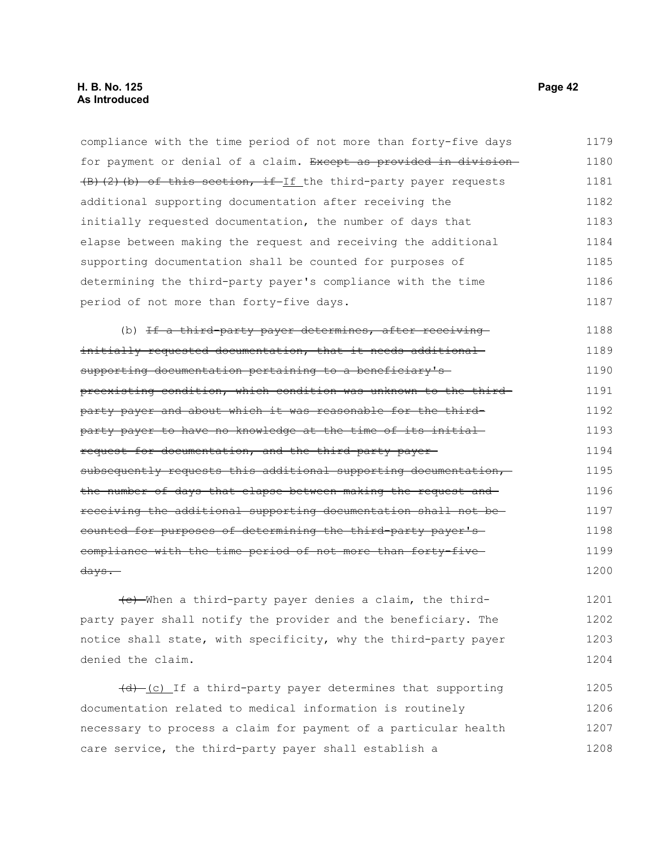compliance with the time period of not more than forty-five days for payment or denial of a claim. Except as provided in division- $(B)$  (2)(b) of this section, if If the third-party payer requests additional supporting documentation after receiving the initially requested documentation, the number of days that elapse between making the request and receiving the additional supporting documentation shall be counted for purposes of determining the third-party payer's compliance with the time period of not more than forty-five days. 1179 1180 1181 1182 1183 1184 1185 1186 1187

(b) If a third-party payer determines, after receivinginitially requested documentation, that it needs additional supporting documentation pertaining to a beneficiary'spreexisting condition, which condition was unknown to the thirdparty payer and about which it was reasonable for the thirdparty payer to have no knowledge at the time of its initial request for documentation, and the third-party payer subsequently requests this additional supporting documentation, the number of days that elapse between making the request and receiving the additional supporting documentation shall not be counted for purposes of determining the third-party payer's compliance with the time period of not more than forty-five days. 1188 1189 1190 1191 1192 1193 1194 1195 1196 1197 1198 1199 1200

(c) When a third-party payer denies a claim, the thirdparty payer shall notify the provider and the beneficiary. The notice shall state, with specificity, why the third-party payer denied the claim. 1201 1202 1203 1204

(d) (c) If a third-party payer determines that supporting documentation related to medical information is routinely necessary to process a claim for payment of a particular health care service, the third-party payer shall establish a 1205 1206 1207 1208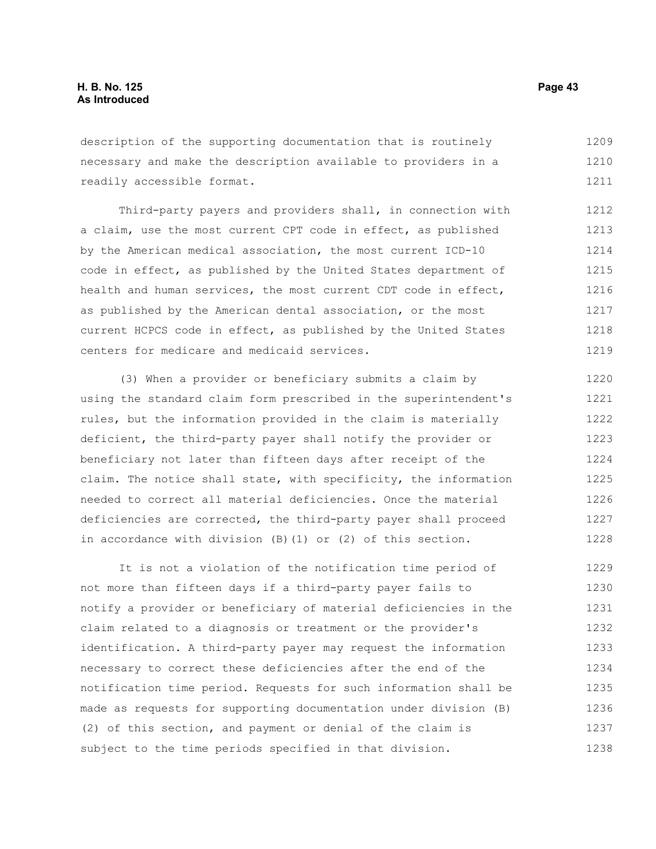description of the supporting documentation that is routinely necessary and make the description available to providers in a readily accessible format. 1209 1210 1211

Third-party payers and providers shall, in connection with a claim, use the most current CPT code in effect, as published by the American medical association, the most current ICD-10 code in effect, as published by the United States department of health and human services, the most current CDT code in effect, as published by the American dental association, or the most current HCPCS code in effect, as published by the United States centers for medicare and medicaid services. 1212 1213 1214 1215 1216 1217 1218 1219

(3) When a provider or beneficiary submits a claim by using the standard claim form prescribed in the superintendent's rules, but the information provided in the claim is materially deficient, the third-party payer shall notify the provider or beneficiary not later than fifteen days after receipt of the claim. The notice shall state, with specificity, the information needed to correct all material deficiencies. Once the material deficiencies are corrected, the third-party payer shall proceed in accordance with division (B)(1) or (2) of this section. 1220 1221 1222 1223 1224 1225 1226 1227 1228

It is not a violation of the notification time period of not more than fifteen days if a third-party payer fails to notify a provider or beneficiary of material deficiencies in the claim related to a diagnosis or treatment or the provider's identification. A third-party payer may request the information necessary to correct these deficiencies after the end of the notification time period. Requests for such information shall be made as requests for supporting documentation under division (B) (2) of this section, and payment or denial of the claim is subject to the time periods specified in that division. 1229 1230 1231 1232 1233 1234 1235 1236 1237 1238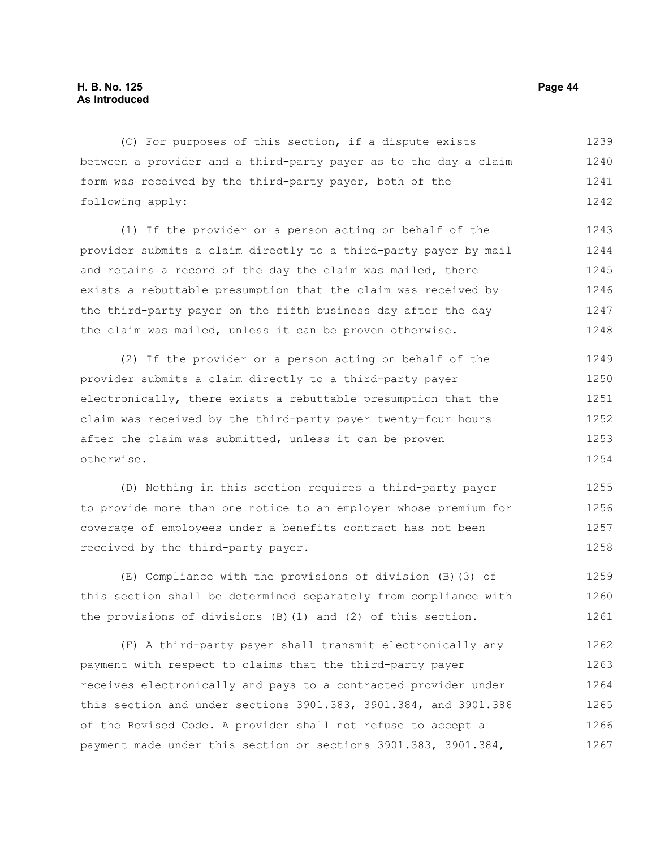(C) For purposes of this section, if a dispute exists between a provider and a third-party payer as to the day a claim form was received by the third-party payer, both of the following apply: 1239 1240 1241 1242

(1) If the provider or a person acting on behalf of the provider submits a claim directly to a third-party payer by mail and retains a record of the day the claim was mailed, there exists a rebuttable presumption that the claim was received by the third-party payer on the fifth business day after the day the claim was mailed, unless it can be proven otherwise. 1243 1244 1245 1246 1247 1248

(2) If the provider or a person acting on behalf of the provider submits a claim directly to a third-party payer electronically, there exists a rebuttable presumption that the claim was received by the third-party payer twenty-four hours after the claim was submitted, unless it can be proven otherwise. 1249 1250 1251 1252 1253 1254

(D) Nothing in this section requires a third-party payer to provide more than one notice to an employer whose premium for coverage of employees under a benefits contract has not been received by the third-party payer. 1255 1256 1257 1258

(E) Compliance with the provisions of division (B)(3) of this section shall be determined separately from compliance with the provisions of divisions (B)(1) and (2) of this section. 1259 1260 1261

(F) A third-party payer shall transmit electronically any payment with respect to claims that the third-party payer receives electronically and pays to a contracted provider under this section and under sections 3901.383, 3901.384, and 3901.386 of the Revised Code. A provider shall not refuse to accept a payment made under this section or sections 3901.383, 3901.384, 1262 1263 1264 1265 1266 1267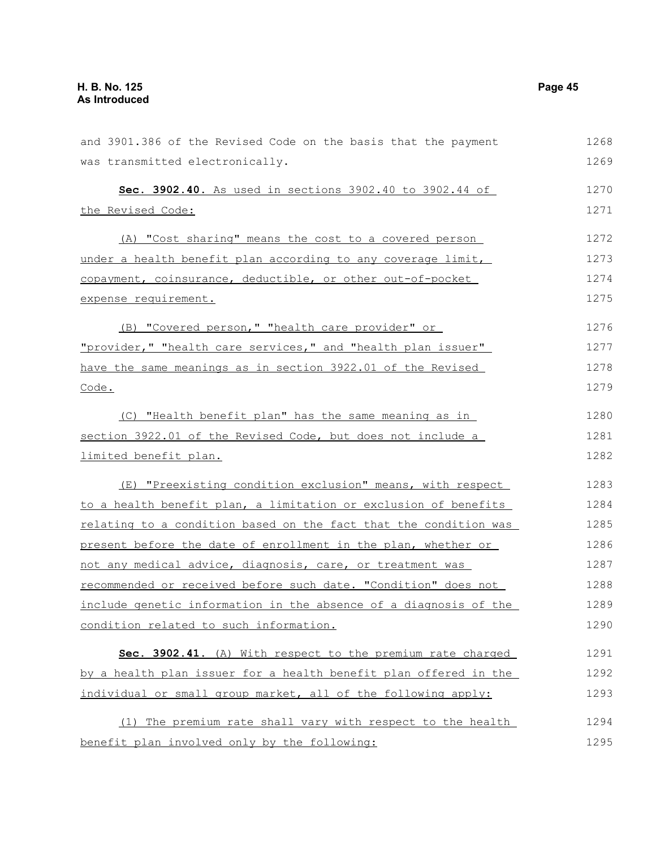| and 3901.386 of the Revised Code on the basis that the payment   | 1268 |
|------------------------------------------------------------------|------|
| was transmitted electronically.                                  | 1269 |
| Sec. 3902.40. As used in sections 3902.40 to 3902.44 of          | 1270 |
| the Revised Code:                                                | 1271 |
| (A) "Cost sharing" means the cost to a covered person            | 1272 |
| under a health benefit plan according to any coverage limit,     | 1273 |
| copayment, coinsurance, deductible, or other out-of-pocket       | 1274 |
| expense requirement.                                             | 1275 |
| (B) "Covered person," "health care provider" or                  | 1276 |
| "provider," "health care services," and "health plan issuer"     | 1277 |
| have the same meanings as in section 3922.01 of the Revised      | 1278 |
| Code.                                                            | 1279 |
| (C) "Health benefit plan" has the same meaning as in             | 1280 |
| section 3922.01 of the Revised Code, but does not include a      | 1281 |
| limited benefit plan.                                            | 1282 |
| (E) "Preexisting condition exclusion" means, with respect        | 1283 |
| to a health benefit plan, a limitation or exclusion of benefits  | 1284 |
| relating to a condition based on the fact that the condition was | 1285 |
| present before the date of enrollment in the plan, whether or    | 1286 |
| not any medical advice, diagnosis, care, or treatment was        | 1287 |
| recommended or received before such date. "Condition" does not   | 1288 |
| include genetic information in the absence of a diagnosis of the | 1289 |
| condition related to such information.                           | 1290 |
| Sec. 3902.41. (A) With respect to the premium rate charged       | 1291 |
| by a health plan issuer for a health benefit plan offered in the | 1292 |
| individual or small group market, all of the following apply:    | 1293 |
| The premium rate shall vary with respect to the health<br>(1)    | 1294 |
| benefit plan involved only by the following:                     | 1295 |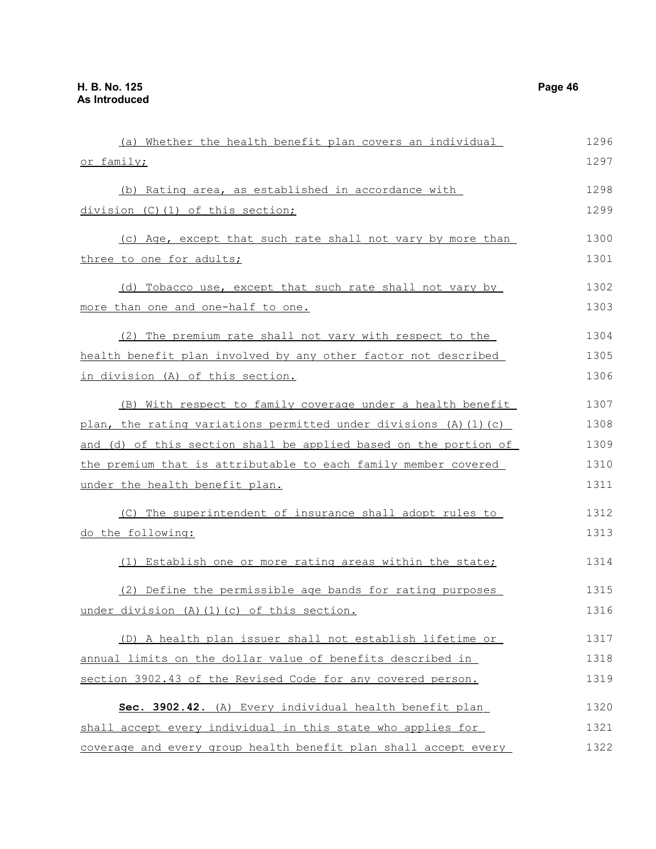| (a) Whether the health benefit plan covers an individual          | 1296 |
|-------------------------------------------------------------------|------|
| or family;                                                        | 1297 |
|                                                                   |      |
| (b) Rating area, as established in accordance with                | 1298 |
| division (C)(1) of this section;                                  | 1299 |
| (c) Age, except that such rate shall not vary by more than        | 1300 |
| three to one for adults;                                          | 1301 |
| (d) Tobacco use, except that such rate shall not vary by          | 1302 |
| more than one and one-half to one.                                | 1303 |
| (2) The premium rate shall not vary with respect to the           | 1304 |
|                                                                   |      |
| health benefit plan involved by any other factor not described    | 1305 |
| in division (A) of this section.                                  | 1306 |
| (B) With respect to family coverage under a health benefit        | 1307 |
| plan, the rating variations permitted under divisions (A) (1) (c) | 1308 |
| and (d) of this section shall be applied based on the portion of  | 1309 |
| the premium that is attributable to each family member covered    | 1310 |
| under the health benefit plan.                                    | 1311 |
| (C) The superintendent of insurance shall adopt rules to          | 1312 |
| do the following:                                                 | 1313 |
| (1) Establish one or more rating areas within the state;          | 1314 |
| (2) Define the permissible age bands for rating purposes          | 1315 |
| under division (A)(1)(c) of this section.                         | 1316 |
| (D) A health plan issuer shall not establish lifetime or          | 1317 |
| annual limits on the dollar value of benefits described in        | 1318 |
| section 3902.43 of the Revised Code for any covered person.       | 1319 |
|                                                                   |      |
| Sec. 3902.42. (A) Every individual health benefit plan            | 1320 |
| shall accept every individual in this state who applies for       | 1321 |
| coverage and every group health benefit plan shall accept every   | 1322 |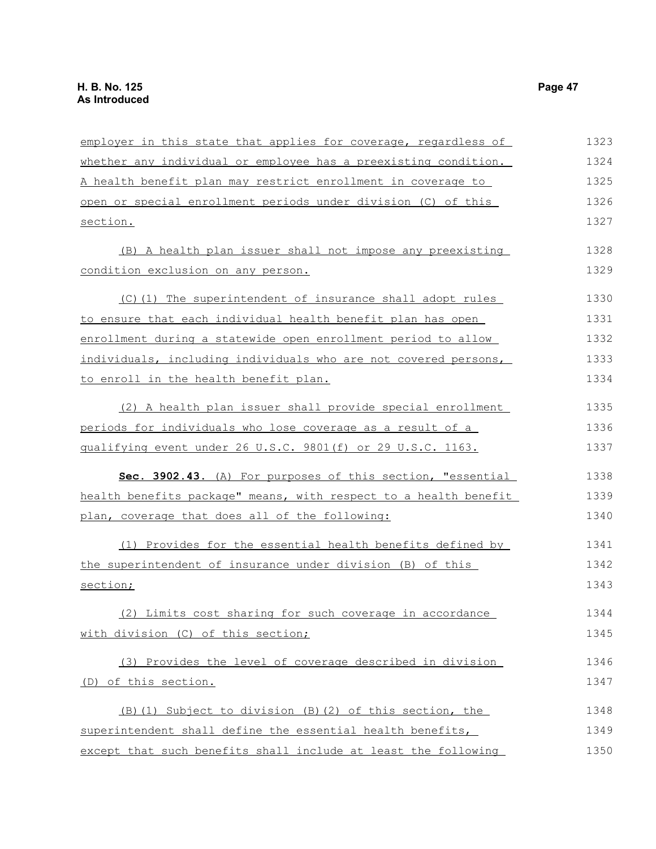| employer in this state that applies for coverage, regardless of  | 1323 |
|------------------------------------------------------------------|------|
| whether any individual or employee has a preexisting condition.  | 1324 |
| A health benefit plan may restrict enrollment in coverage to     | 1325 |
| open or special enrollment periods under division (C) of this    | 1326 |
| section.                                                         | 1327 |
| (B) A health plan issuer shall not impose any preexisting        | 1328 |
| condition exclusion on any person.                               | 1329 |
| (C)(1) The superintendent of insurance shall adopt rules         | 1330 |
| to ensure that each individual health benefit plan has open      | 1331 |
| enrollment during a statewide open enrollment period to allow    | 1332 |
| individuals, including individuals who are not covered persons,  | 1333 |
| to enroll in the health benefit plan.                            | 1334 |
| (2) A health plan issuer shall provide special enrollment        | 1335 |
| periods for individuals who lose coverage as a result of a       | 1336 |
| qualifying event under 26 U.S.C. 9801(f) or 29 U.S.C. 1163.      | 1337 |
| Sec. 3902.43. (A) For purposes of this section, "essential       | 1338 |
| health benefits package" means, with respect to a health benefit | 1339 |
| plan, coverage that does all of the following:                   | 1340 |
| (1) Provides for the essential health benefits defined by        | 1341 |
| the superintendent of insurance under division (B) of this       | 1342 |
| section;                                                         | 1343 |
| (2) Limits cost sharing for such coverage in accordance          | 1344 |
| with division (C) of this section;                               | 1345 |
| (3) Provides the level of coverage described in division         | 1346 |
| (D) of this section.                                             | 1347 |
| (B) (1) Subject to division (B) (2) of this section, the         | 1348 |
| superintendent shall define the essential health benefits,       | 1349 |
| except that such benefits shall include at least the following   | 1350 |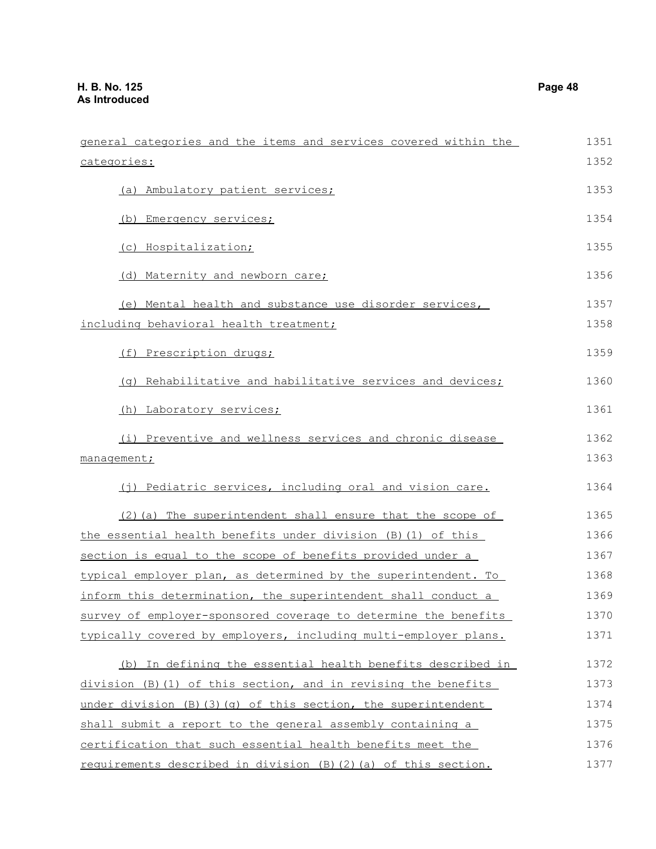| categories:                                                     | 1352 |
|-----------------------------------------------------------------|------|
| (a) Ambulatory patient services;                                | 1353 |
| Emergency services;<br>(b)                                      | 1354 |
| (c) Hospitalization;                                            | 1355 |
| (d) Maternity and newborn care;                                 | 1356 |
| (e) Mental health and substance use disorder services,          | 1357 |
| including behavioral health treatment;                          | 1358 |
| (f) Prescription drugs;                                         | 1359 |
| (q) Rehabilitative and habilitative services and devices;       | 1360 |
| (h) Laboratory services;                                        | 1361 |
| (i) Preventive and wellness services and chronic disease        | 1362 |
| management;                                                     | 1363 |
| (j) Pediatric services, including oral and vision care.         | 1364 |
| (2) (a) The superintendent shall ensure that the scope of       | 1365 |
| the essential health benefits under division (B) (1) of this    | 1366 |
| section is equal to the scope of benefits provided under a      | 1367 |
| typical employer plan, as determined by the superintendent. To  | 1368 |
| inform this determination, the superintendent shall conduct a   | 1369 |
| survey of employer-sponsored coverage to determine the benefits | 1370 |
| typically covered by employers, including multi-employer plans. | 1371 |
| (b) In defining the essential health benefits described in      | 1372 |
| division (B)(1) of this section, and in revising the benefits   | 1373 |
| under division (B) (3) (g) of this section, the superintendent  | 1374 |
| shall submit a report to the general assembly containing a      | 1375 |
| certification that such essential health benefits meet the      | 1376 |
| requirements described in division (B)(2)(a) of this section.   | 1377 |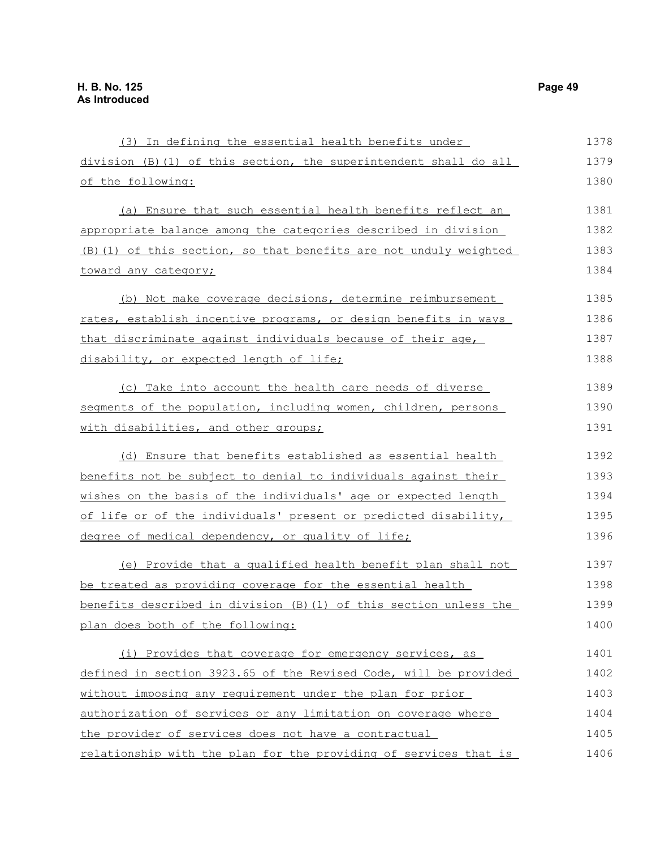| (3) In defining the essential health benefits under               | 1378 |
|-------------------------------------------------------------------|------|
| division (B) (1) of this section, the superintendent shall do all | 1379 |
| of the following:                                                 | 1380 |
| (a) Ensure that such essential health benefits reflect an         | 1381 |
| appropriate balance among the categories described in division    | 1382 |
| (B) (1) of this section, so that benefits are not unduly weighted | 1383 |
| toward any category;                                              | 1384 |
| (b) Not make coverage decisions, determine reimbursement          | 1385 |
| rates, establish incentive programs, or design benefits in ways   | 1386 |
| that discriminate against individuals because of their age,       | 1387 |
| disability, or expected length of life;                           | 1388 |
| (c) Take into account the health care needs of diverse            | 1389 |
| segments of the population, including women, children, persons    | 1390 |
| with disabilities, and other groups;                              | 1391 |
| (d) Ensure that benefits established as essential health          | 1392 |
| benefits not be subject to denial to individuals against their    | 1393 |
| wishes on the basis of the individuals' age or expected length    | 1394 |
| of life or of the individuals' present or predicted disability,   | 1395 |
| degree of medical dependency, or quality of life;                 | 1396 |
| (e) Provide that a qualified health benefit plan shall not        | 1397 |
| be treated as providing coverage for the essential health         | 1398 |
| benefits described in division (B) (1) of this section unless the | 1399 |
| plan does both of the following:                                  | 1400 |
| (i) Provides that coverage for emergency services, as             | 1401 |
| defined in section 3923.65 of the Revised Code, will be provided  | 1402 |
| without imposing any requirement under the plan for prior         | 1403 |
| authorization of services or any limitation on coverage where     | 1404 |
| the provider of services does not have a contractual              | 1405 |
| relationship with the plan for the providing of services that is  | 1406 |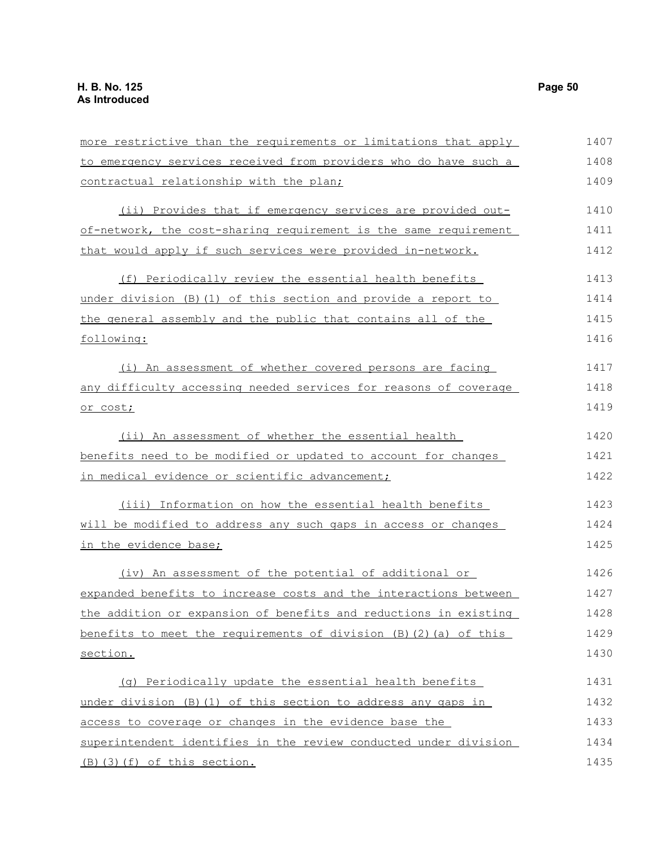| more restrictive than the requirements or limitations that apply  | 1407 |
|-------------------------------------------------------------------|------|
| to emergency services received from providers who do have such a  | 1408 |
| contractual relationship with the plan;                           | 1409 |
| (ii) Provides that if emergency services are provided out-        | 1410 |
| of-network, the cost-sharing requirement is the same requirement  | 1411 |
| that would apply if such services were provided in-network.       | 1412 |
| (f) Periodically review the essential health benefits             | 1413 |
| under division (B) (1) of this section and provide a report to    | 1414 |
| the general assembly and the public that contains all of the      | 1415 |
| following:                                                        | 1416 |
| (i) An assessment of whether covered persons are facing           | 1417 |
| any difficulty accessing needed services for reasons of coverage  | 1418 |
| or cost;                                                          | 1419 |
| (ii) An assessment of whether the essential health                | 1420 |
| benefits need to be modified or updated to account for changes    | 1421 |
| in medical evidence or scientific advancement;                    | 1422 |
| (iii) Information on how the essential health benefits            | 1423 |
| will be modified to address any such gaps in access or changes    | 1424 |
| in the evidence base;                                             | 1425 |
| (iv) An assessment of the potential of additional or              | 1426 |
| expanded benefits to increase costs and the interactions between  | 1427 |
| the addition or expansion of benefits and reductions in existing  | 1428 |
| benefits to meet the requirements of division (B) (2) (a) of this | 1429 |
| section.                                                          | 1430 |
| (q) Periodically update the essential health benefits             | 1431 |
| under division (B) (1) of this section to address any gaps in     | 1432 |
| access to coverage or changes in the evidence base the            | 1433 |
| superintendent identifies in the review conducted under division  | 1434 |
| (B) (3) (f) of this section.                                      | 1435 |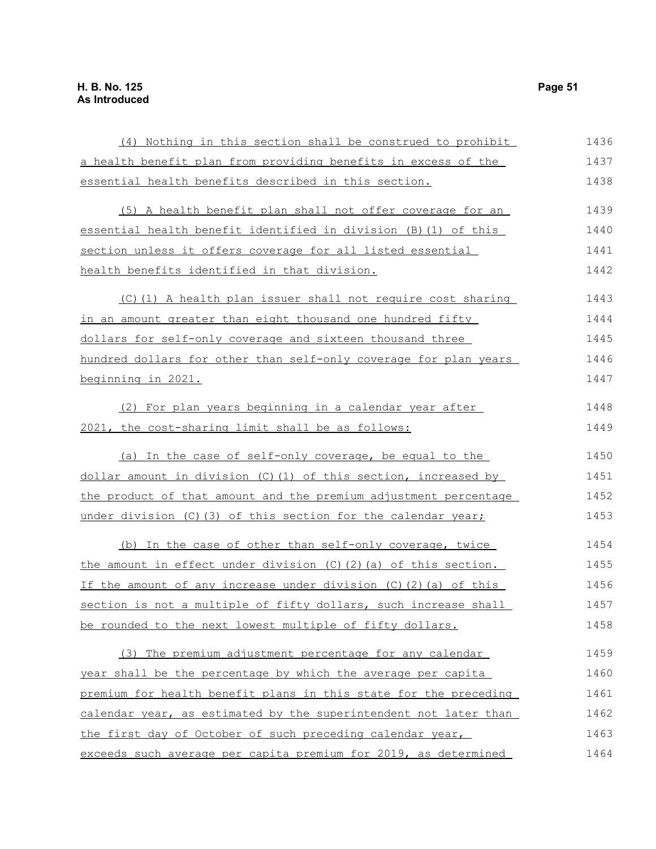| (4) Nothing in this section shall be construed to prohibit             | 1436 |
|------------------------------------------------------------------------|------|
| a health benefit plan from providing benefits in excess of the         | 1437 |
| essential health benefits described in this section.                   | 1438 |
| (5) A health benefit plan shall not offer coverage for an              | 1439 |
| essential health benefit identified in division (B) (1) of this        | 1440 |
| section unless it offers coverage for all listed essential             | 1441 |
| health benefits identified in that division.                           | 1442 |
| (C)(1) A health plan issuer shall not require cost sharing             | 1443 |
| in an amount greater than eight thousand one hundred fifty             | 1444 |
| dollars for self-only coverage and sixteen thousand three              | 1445 |
| hundred dollars for other than self-only coverage for plan years       | 1446 |
| beginning in 2021.                                                     | 1447 |
| (2) For plan years beginning in a calendar year after                  | 1448 |
| 2021, the cost-sharing limit shall be as follows:                      | 1449 |
| (a) In the case of self-only coverage, be equal to the                 | 1450 |
| dollar amount in division (C)(1) of this section, increased by         | 1451 |
| the product of that amount and the premium adjustment percentage       | 1452 |
| under division (C) (3) of this section for the calendar year;          | 1453 |
| (b) In the case of other than self-only coverage, twice                | 1454 |
| the amount in effect under division (C)(2)(a) of this section.         | 1455 |
| If the amount of any increase under division $(C)$ $(2)$ $(a)$ of this | 1456 |
| section is not a multiple of fifty dollars, such increase shall        | 1457 |
| be rounded to the next lowest multiple of fifty dollars.               | 1458 |
| (3) The premium adjustment percentage for any calendar                 | 1459 |
| year shall be the percentage by which the average per capita           | 1460 |
| premium for health benefit plans in this state for the preceding       | 1461 |
| calendar year, as estimated by the superintendent not later than       | 1462 |
| the first day of October of such preceding calendar year,              | 1463 |
| exceeds such average per capita premium for 2019, as determined        | 1464 |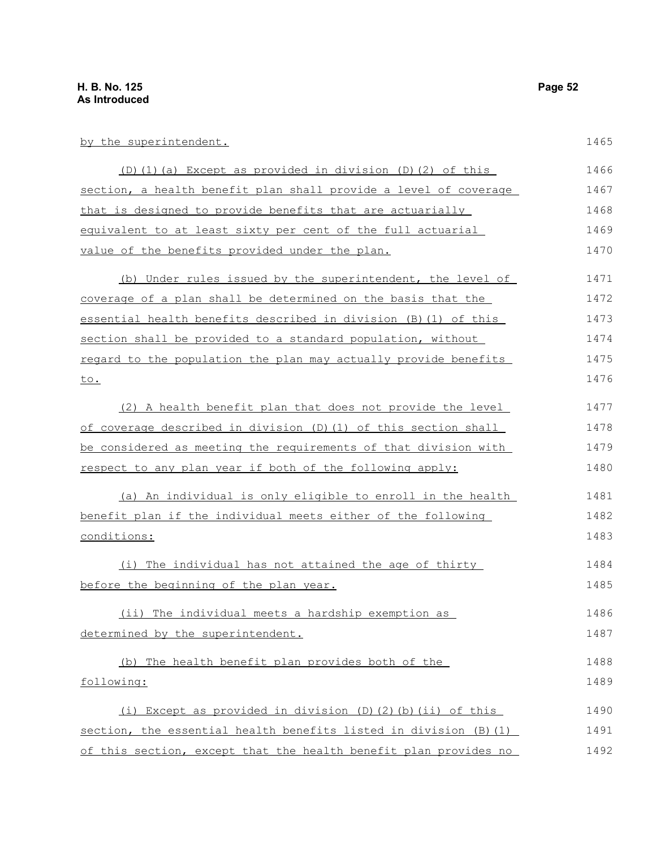by the superintendent. (D)(1)(a) Except as provided in division (D)(2) of this section, a health benefit plan shall provide a level of coverage that is designed to provide benefits that are actuarially equivalent to at least sixty per cent of the full actuarial value of the benefits provided under the plan. (b) Under rules issued by the superintendent, the level of coverage of a plan shall be determined on the basis that the essential health benefits described in division (B)(1) of this section shall be provided to a standard population, without regard to the population the plan may actually provide benefits to. (2) A health benefit plan that does not provide the level of coverage described in division (D)(1) of this section shall be considered as meeting the requirements of that division with respect to any plan year if both of the following apply: (a) An individual is only eligible to enroll in the health benefit plan if the individual meets either of the following conditions: (i) The individual has not attained the age of thirty before the beginning of the plan year. (ii) The individual meets a hardship exemption as determined by the superintendent. (b) The health benefit plan provides both of the following: (i) Except as provided in division (D)(2)(b)(ii) of this section, the essential health benefits listed in division (B)(1) of this section, except that the health benefit plan provides no 1465 1466 1467 1468 1469 1470 1471 1472 1473 1474 1475 1476 1477 1478 1479 1480 1481 1482 1483 1484 1485 1486 1487 1488 1489 1490 1491 1492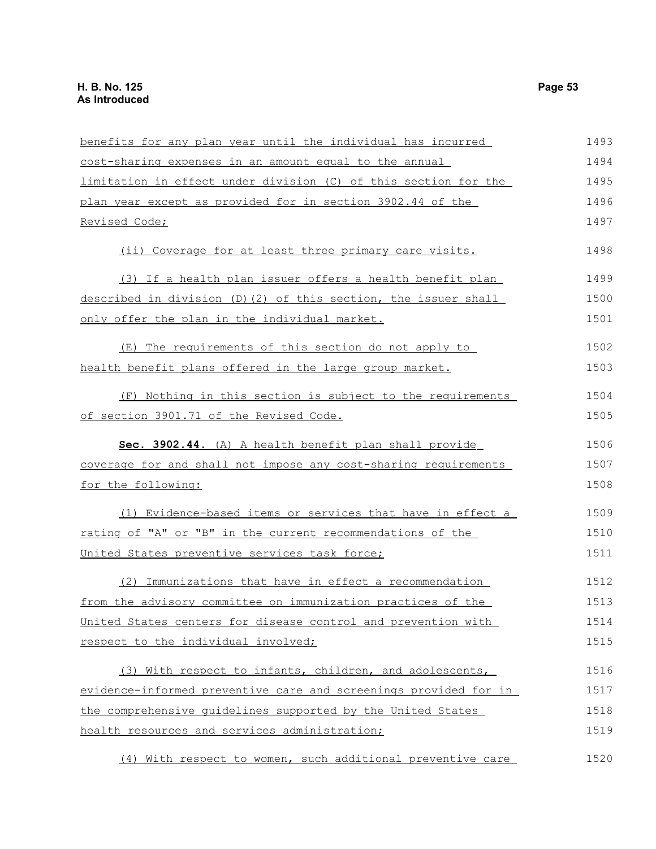| benefits for any plan year until the individual has incurred     | 1493 |
|------------------------------------------------------------------|------|
| cost-sharing expenses in an amount equal to the annual           | 1494 |
| limitation in effect under division (C) of this section for the  | 1495 |
| plan year except as provided for in section 3902.44 of the       | 1496 |
| Revised Code;                                                    | 1497 |
| (ii) Coverage for at least three primary care visits.            | 1498 |
| (3) If a health plan issuer offers a health benefit plan         | 1499 |
| described in division (D) (2) of this section, the issuer shall  | 1500 |
| only offer the plan in the individual market.                    | 1501 |
| (E) The requirements of this section do not apply to             | 1502 |
| health benefit plans offered in the large group market.          | 1503 |
| (F) Nothing in this section is subject to the requirements       | 1504 |
| of section 3901.71 of the Revised Code.                          | 1505 |
| Sec. 3902.44. (A) A health benefit plan shall provide            | 1506 |
| coverage for and shall not impose any cost-sharing requirements  | 1507 |
| for the following:                                               | 1508 |
| (1) Evidence-based items or services that have in effect a       | 1509 |
| rating of "A" or "B" in the current recommendations of the       | 1510 |
| United States preventive services task force;                    | 1511 |
| (2) Immunizations that have in effect a recommendation           | 1512 |
| from the advisory committee on immunization practices of the     | 1513 |
| United States centers for disease control and prevention with    | 1514 |
| respect to the individual involved;                              | 1515 |
| (3) With respect to infants, children, and adolescents,          | 1516 |
| evidence-informed preventive care and screenings provided for in | 1517 |
| the comprehensive guidelines supported by the United States      | 1518 |
| health resources and services administration;                    | 1519 |
| (4) With respect to women, such additional preventive care       | 1520 |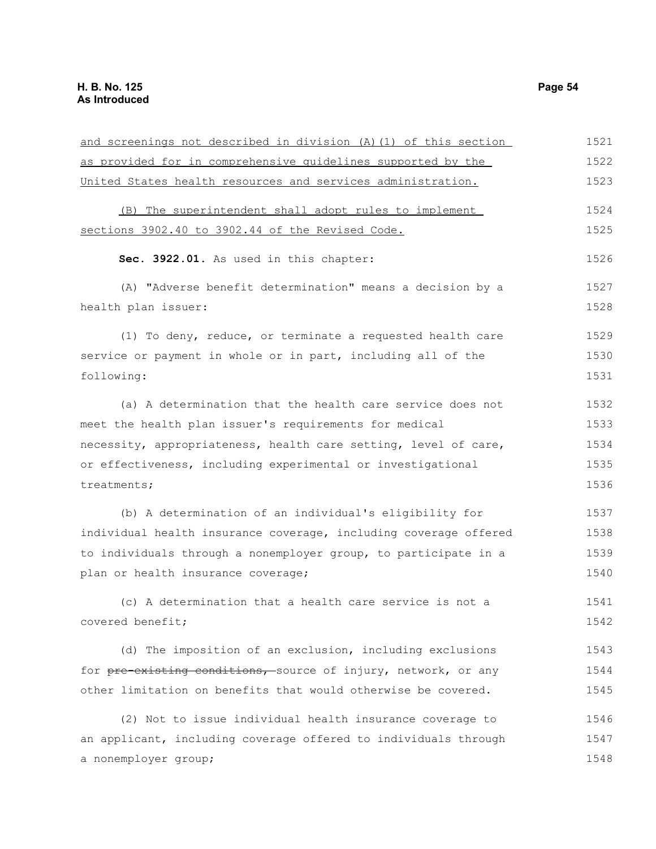| and screenings not described in division (A) (1) of this section | 1521 |
|------------------------------------------------------------------|------|
| as provided for in comprehensive quidelines supported by the     | 1522 |
| United States health resources and services administration.      | 1523 |
| (B) The superintendent shall adopt rules to implement            | 1524 |
| sections 3902.40 to 3902.44 of the Revised Code.                 | 1525 |
| Sec. 3922.01. As used in this chapter:                           | 1526 |
| (A) "Adverse benefit determination" means a decision by a        | 1527 |
| health plan issuer:                                              | 1528 |
| (1) To deny, reduce, or terminate a requested health care        | 1529 |
| service or payment in whole or in part, including all of the     | 1530 |
| following:                                                       | 1531 |
| (a) A determination that the health care service does not        | 1532 |
| meet the health plan issuer's requirements for medical           | 1533 |
| necessity, appropriateness, health care setting, level of care,  | 1534 |
| or effectiveness, including experimental or investigational      | 1535 |
| treatments;                                                      | 1536 |
| (b) A determination of an individual's eligibility for           | 1537 |
| individual health insurance coverage, including coverage offered | 1538 |
| to individuals through a nonemployer group, to participate in a  | 1539 |
| plan or health insurance coverage;                               | 1540 |
| (c) A determination that a health care service is not a          | 1541 |
| covered benefit;                                                 | 1542 |
| (d) The imposition of an exclusion, including exclusions         | 1543 |
| for pre-existing conditions, source of injury, network, or any   | 1544 |
| other limitation on benefits that would otherwise be covered.    | 1545 |
| (2) Not to issue individual health insurance coverage to         | 1546 |
| an applicant, including coverage offered to individuals through  | 1547 |
| a nonemployer group;                                             | 1548 |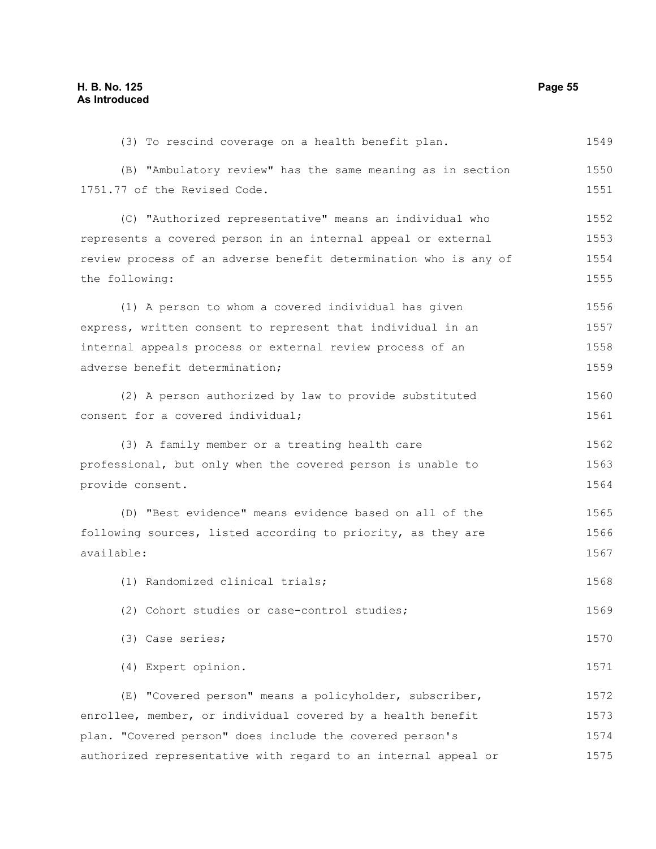(3) To rescind coverage on a health benefit plan. (B) "Ambulatory review" has the same meaning as in section 1751.77 of the Revised Code. (C) "Authorized representative" means an individual who represents a covered person in an internal appeal or external review process of an adverse benefit determination who is any of the following: (1) A person to whom a covered individual has given express, written consent to represent that individual in an internal appeals process or external review process of an adverse benefit determination; (2) A person authorized by law to provide substituted consent for a covered individual; (3) A family member or a treating health care professional, but only when the covered person is unable to provide consent. (D) "Best evidence" means evidence based on all of the following sources, listed according to priority, as they are available: (1) Randomized clinical trials; (2) Cohort studies or case-control studies; (3) Case series; (4) Expert opinion. (E) "Covered person" means a policyholder, subscriber, enrollee, member, or individual covered by a health benefit plan. "Covered person" does include the covered person's authorized representative with regard to an internal appeal or 1549 1550 1551 1552 1553 1554 1555 1556 1557 1558 1559 1560 1561 1562 1563 1564 1565 1566 1567 1568 1569 1570 1571 1572 1573 1574 1575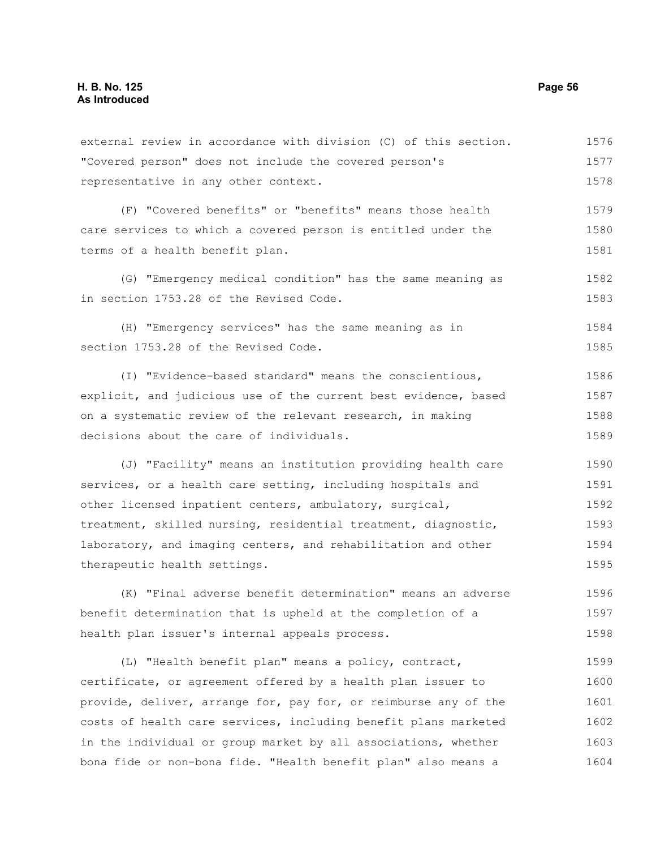external review in accordance with division (C) of this section. "Covered person" does not include the covered person's representative in any other context. 1576 1577 1578

(F) "Covered benefits" or "benefits" means those health care services to which a covered person is entitled under the terms of a health benefit plan. 1579 1580 1581

(G) "Emergency medical condition" has the same meaning as in section 1753.28 of the Revised Code. 1582 1583

(H) "Emergency services" has the same meaning as in section 1753.28 of the Revised Code. 1584 1585

(I) "Evidence-based standard" means the conscientious, explicit, and judicious use of the current best evidence, based on a systematic review of the relevant research, in making decisions about the care of individuals. 1586 1587 1588 1589

(J) "Facility" means an institution providing health care services, or a health care setting, including hospitals and other licensed inpatient centers, ambulatory, surgical, treatment, skilled nursing, residential treatment, diagnostic, laboratory, and imaging centers, and rehabilitation and other therapeutic health settings. 1590 1591 1592 1593 1594 1595

(K) "Final adverse benefit determination" means an adverse benefit determination that is upheld at the completion of a health plan issuer's internal appeals process. 1596 1597 1598

(L) "Health benefit plan" means a policy, contract, certificate, or agreement offered by a health plan issuer to provide, deliver, arrange for, pay for, or reimburse any of the costs of health care services, including benefit plans marketed in the individual or group market by all associations, whether bona fide or non-bona fide. "Health benefit plan" also means a 1599 1600 1601 1602 1603 1604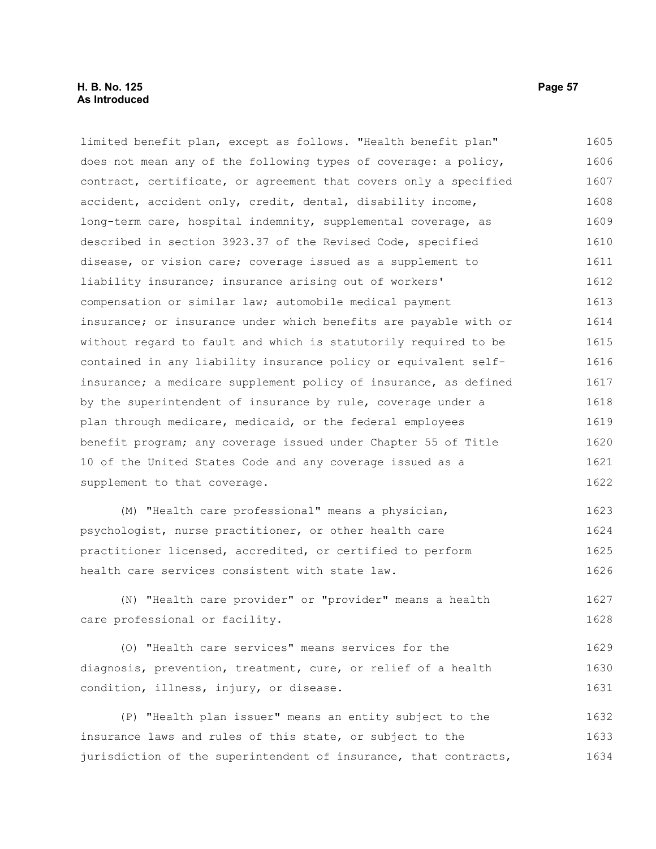limited benefit plan, except as follows. "Health benefit plan" does not mean any of the following types of coverage: a policy, contract, certificate, or agreement that covers only a specified accident, accident only, credit, dental, disability income, long-term care, hospital indemnity, supplemental coverage, as described in section 3923.37 of the Revised Code, specified disease, or vision care; coverage issued as a supplement to liability insurance; insurance arising out of workers' compensation or similar law; automobile medical payment insurance; or insurance under which benefits are payable with or without regard to fault and which is statutorily required to be contained in any liability insurance policy or equivalent selfinsurance; a medicare supplement policy of insurance, as defined by the superintendent of insurance by rule, coverage under a plan through medicare, medicaid, or the federal employees benefit program; any coverage issued under Chapter 55 of Title 10 of the United States Code and any coverage issued as a supplement to that coverage. 1605 1606 1607 1608 1609 1610 1611 1612 1613 1614 1615 1616 1617 1618 1619 1620 1621 1622

(M) "Health care professional" means a physician, psychologist, nurse practitioner, or other health care practitioner licensed, accredited, or certified to perform health care services consistent with state law. 1623 1624 1625 1626

(N) "Health care provider" or "provider" means a health care professional or facility. 1627 1628

(O) "Health care services" means services for the diagnosis, prevention, treatment, cure, or relief of a health condition, illness, injury, or disease. 1629 1630 1631

(P) "Health plan issuer" means an entity subject to the insurance laws and rules of this state, or subject to the jurisdiction of the superintendent of insurance, that contracts, 1632 1633 1634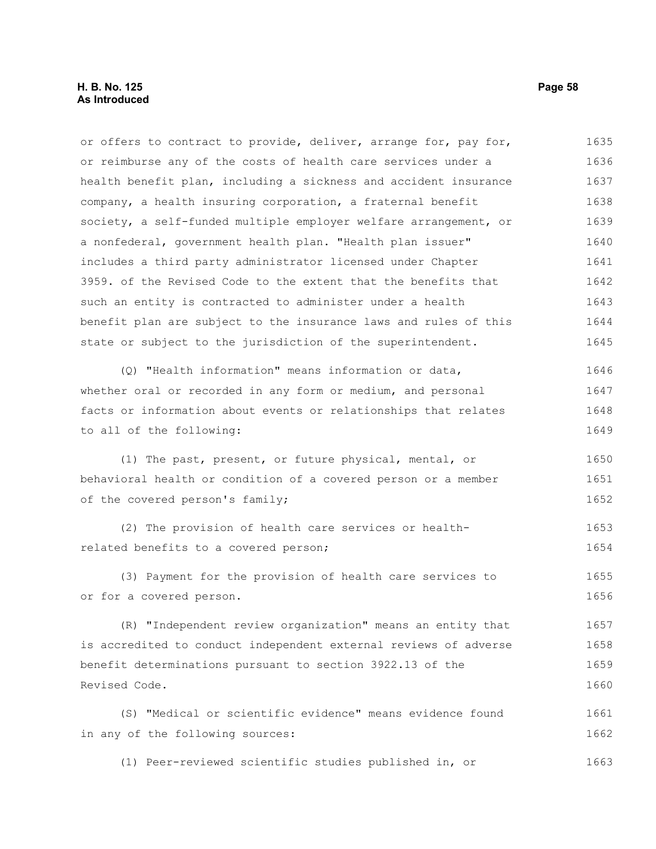or offers to contract to provide, deliver, arrange for, pay for, or reimburse any of the costs of health care services under a health benefit plan, including a sickness and accident insurance company, a health insuring corporation, a fraternal benefit society, a self-funded multiple employer welfare arrangement, or a nonfederal, government health plan. "Health plan issuer" includes a third party administrator licensed under Chapter 3959. of the Revised Code to the extent that the benefits that such an entity is contracted to administer under a health benefit plan are subject to the insurance laws and rules of this state or subject to the jurisdiction of the superintendent. 1635 1636 1637 1638 1639 1640 1641 1642 1643 1644 1645

(Q) "Health information" means information or data, whether oral or recorded in any form or medium, and personal facts or information about events or relationships that relates to all of the following: 1646 1647 1648 1649

(1) The past, present, or future physical, mental, or behavioral health or condition of a covered person or a member of the covered person's family; 1650 1651 1652

(2) The provision of health care services or healthrelated benefits to a covered person; 1653 1654

(3) Payment for the provision of health care services to or for a covered person. 1655 1656

(R) "Independent review organization" means an entity that is accredited to conduct independent external reviews of adverse benefit determinations pursuant to section 3922.13 of the Revised Code. 1657 1658 1659 1660

(S) "Medical or scientific evidence" means evidence found in any of the following sources: 1661 1662

(1) Peer-reviewed scientific studies published in, or 1663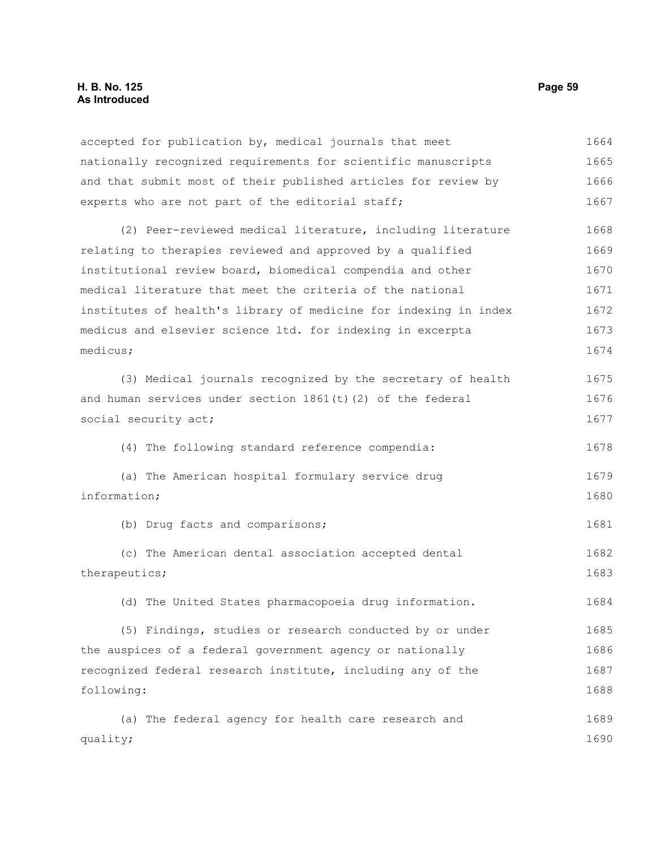accepted for publication by, medical journals that meet nationally recognized requirements for scientific manuscripts and that submit most of their published articles for review by experts who are not part of the editorial staff; (2) Peer-reviewed medical literature, including literature relating to therapies reviewed and approved by a qualified institutional review board, biomedical compendia and other medical literature that meet the criteria of the national institutes of health's library of medicine for indexing in index medicus and elsevier science ltd. for indexing in excerpta medicus; (3) Medical journals recognized by the secretary of health and human services under section  $1861(t)(2)$  of the federal social security act; (4) The following standard reference compendia: (a) The American hospital formulary service drug information; (b) Drug facts and comparisons; (c) The American dental association accepted dental therapeutics; (d) The United States pharmacopoeia drug information. (5) Findings, studies or research conducted by or under the auspices of a federal government agency or nationally recognized federal research institute, including any of the following: (a) The federal agency for health care research and quality; 1664 1665 1666 1667 1668 1669 1670 1671 1672 1673 1674 1675 1676 1677 1678 1679 1680 1681 1682 1683 1684 1685 1686 1687 1688 1689 1690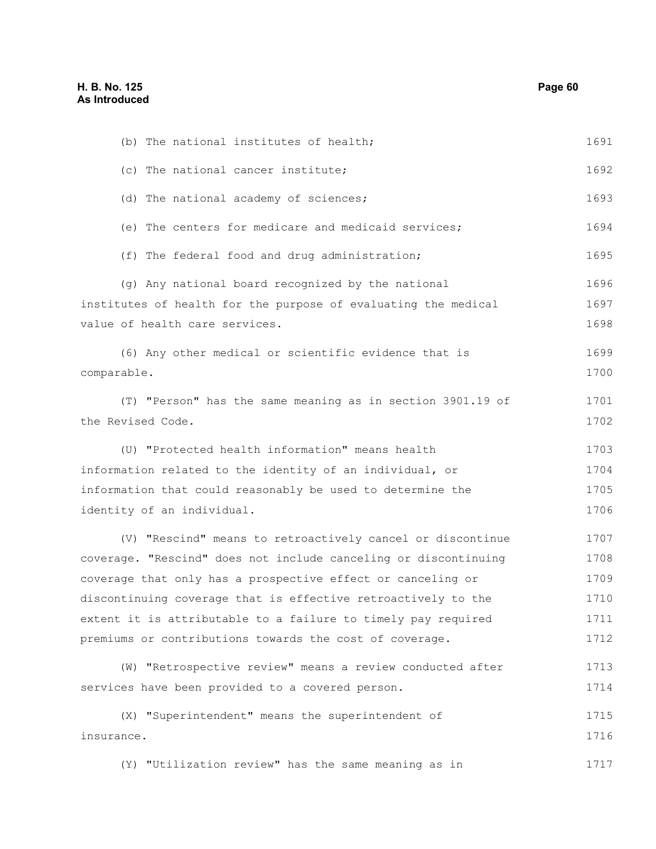| (b) The national institutes of health;                          | 1691 |
|-----------------------------------------------------------------|------|
| (c) The national cancer institute;                              | 1692 |
| (d) The national academy of sciences;                           | 1693 |
| (e) The centers for medicare and medicaid services;             | 1694 |
| (f) The federal food and drug administration;                   | 1695 |
| (g) Any national board recognized by the national               | 1696 |
| institutes of health for the purpose of evaluating the medical  | 1697 |
| value of health care services.                                  | 1698 |
| (6) Any other medical or scientific evidence that is            | 1699 |
| comparable.                                                     | 1700 |
| (T) "Person" has the same meaning as in section 3901.19 of      | 1701 |
| the Revised Code.                                               | 1702 |
| (U) "Protected health information" means health                 | 1703 |
| information related to the identity of an individual, or        | 1704 |
| information that could reasonably be used to determine the      | 1705 |
| identity of an individual.                                      | 1706 |
| (V) "Rescind" means to retroactively cancel or discontinue      | 1707 |
| coverage. "Rescind" does not include canceling or discontinuing | 1708 |
| coverage that only has a prospective effect or canceling or     | 1709 |
| discontinuing coverage that is effective retroactively to the   | 1710 |
| extent it is attributable to a failure to timely pay required   | 1711 |
| premiums or contributions towards the cost of coverage.         | 1712 |
| (W) "Retrospective review" means a review conducted after       | 1713 |
| services have been provided to a covered person.                | 1714 |
| (X) "Superintendent" means the superintendent of                | 1715 |
| insurance.                                                      | 1716 |
| (Y) "Utilization review" has the same meaning as in             | 1717 |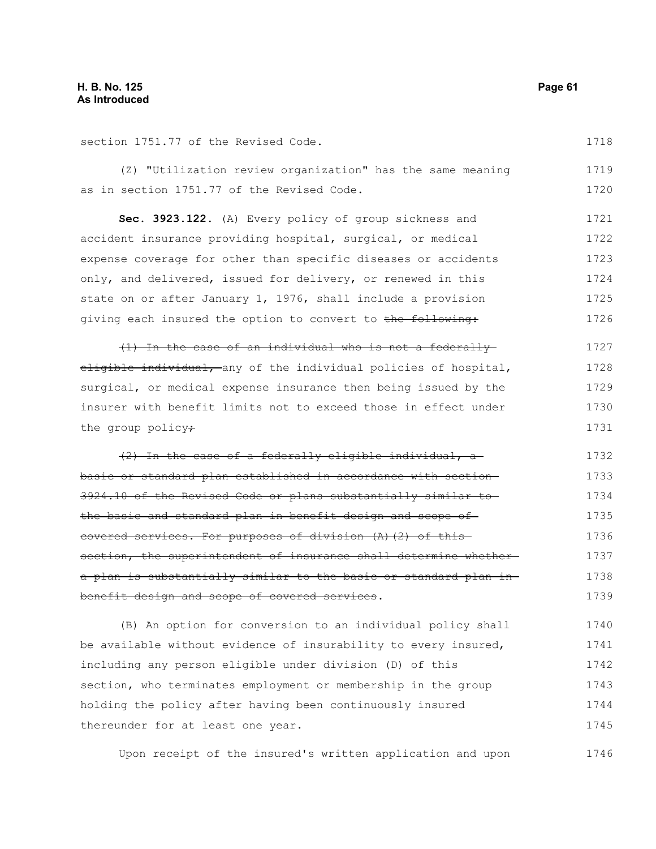section 1751.77 of the Revised Code.

(Z) "Utilization review organization" has the same meaning as in section 1751.77 of the Revised Code. 1719 1720

**Sec. 3923.122.** (A) Every policy of group sickness and accident insurance providing hospital, surgical, or medical expense coverage for other than specific diseases or accidents only, and delivered, issued for delivery, or renewed in this state on or after January 1, 1976, shall include a provision giving each insured the option to convert to the following: 1721 1722 1723 1724 1725 1726

(1) In the case of an individual who is not a federally eligible individual, any of the individual policies of hospital, surgical, or medical expense insurance then being issued by the insurer with benefit limits not to exceed those in effect under the group policy $\star$ 1727 1728 1729 1730 1731

(2) In the case of a federally eligible individual, a basic or standard plan established in accordance with section 3924.10 of the Revised Code or plans substantially similar to the basic and standard plan in benefit design and scope of covered services. For purposes of division (A)(2) of this section, the superintendent of insurance shall determine whethera plan is substantially similar to the basic or standard plan in benefit design and scope of covered services. 1732 1733 1734 1735 1736 1737 1738 1739

(B) An option for conversion to an individual policy shall be available without evidence of insurability to every insured, including any person eligible under division (D) of this section, who terminates employment or membership in the group holding the policy after having been continuously insured thereunder for at least one year. 1740 1741 1742 1743 1744 1745

Upon receipt of the insured's written application and upon 1746

1718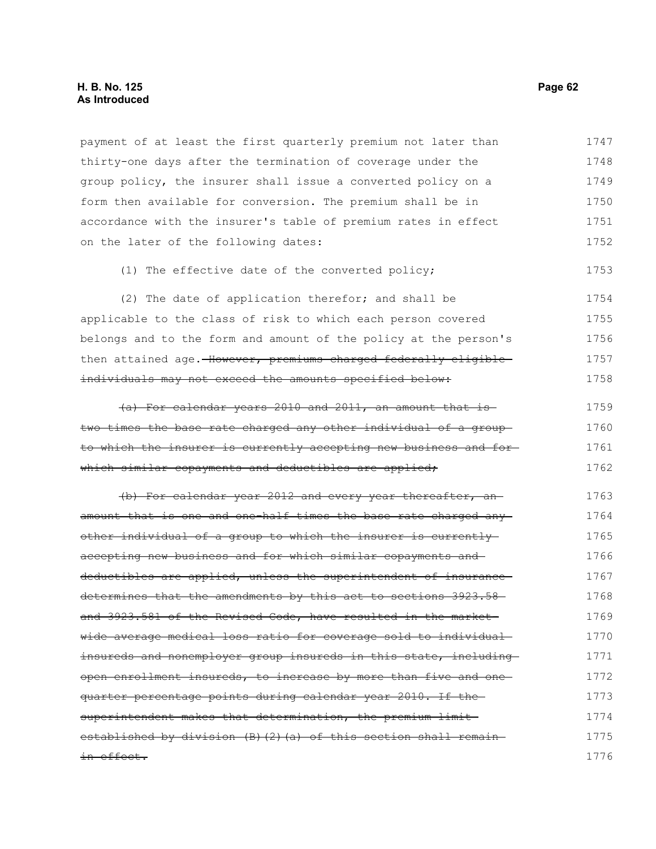# **H. B. No. 125 Page 62 As Introduced**

payment of at least the first quarterly premium not later than thirty-one days after the termination of coverage under the group policy, the insurer shall issue a converted policy on a form then available for conversion. The premium shall be in accordance with the insurer's table of premium rates in effect on the later of the following dates: 1747 1748 1749 1750 1751 1752

(1) The effective date of the converted policy; 1753

(2) The date of application therefor; and shall be applicable to the class of risk to which each person covered belongs and to the form and amount of the policy at the person's then attained age. However, premiums charged federally eligibleindividuals may not exceed the amounts specified below: 1754 1755 1756 1757 1758

(a) For calendar years 2010 and 2011, an amount that is two times the base rate charged any other individual of a group to which the insurer is currently accepting new business and for which similar copayments and deductibles are applied; 1759 1760 1761 1762

(b) For calendar year 2012 and every year thereafter, an amount that is one and one-half times the base rate charged any other individual of a group to which the insurer is currently accepting new business and for which similar copayments and deductibles are applied, unless the superintendent of insurancedetermines that the amendments by this act to sections 3923.58and 3923.581 of the Revised Code, have resulted in the marketwide average medical loss ratio for coverage sold to individual insureds and nonemployer group insureds in this state, including open enrollment insureds, to increase by more than five and one quarter percentage points during calendar year 2010. If the superintendent makes that determination, the premium limitestablished by division (B)(2)(a) of this section shall remainin effect. 1763 1764 1765 1766 1767 1768 1769 1770 1771 1772 1773 1774 1775 1776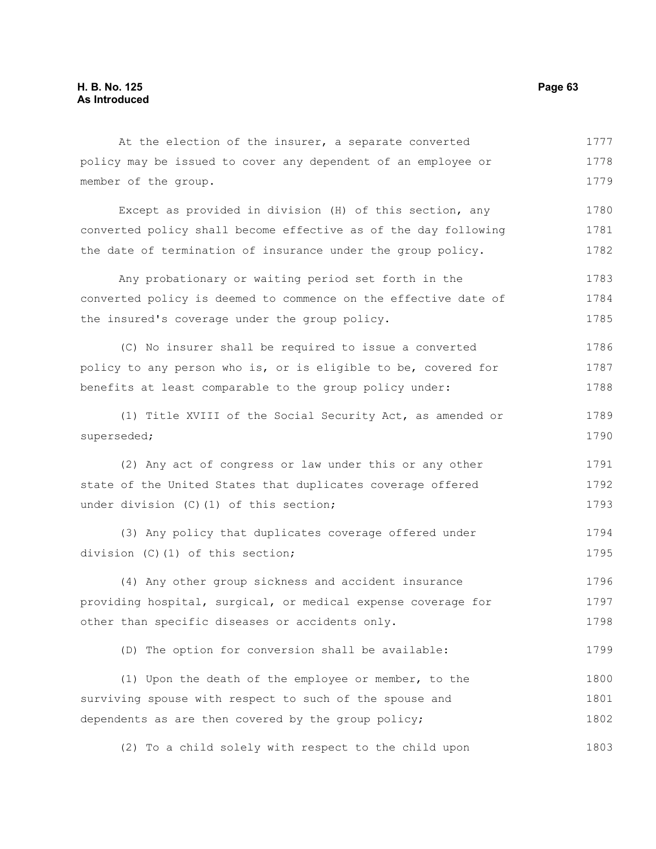At the election of the insurer, a separate converted policy may be issued to cover any dependent of an employee or member of the group. 1777 1778 1779

Except as provided in division (H) of this section, any converted policy shall become effective as of the day following the date of termination of insurance under the group policy. 1780 1781 1782

Any probationary or waiting period set forth in the converted policy is deemed to commence on the effective date of the insured's coverage under the group policy. 1783 1784 1785

(C) No insurer shall be required to issue a converted policy to any person who is, or is eligible to be, covered for benefits at least comparable to the group policy under: 1786 1787 1788

(1) Title XVIII of the Social Security Act, as amended or superseded; 1789 1790

(2) Any act of congress or law under this or any other state of the United States that duplicates coverage offered under division (C)(1) of this section; 1791 1792 1793

(3) Any policy that duplicates coverage offered under division (C)(1) of this section; 1794 1795

(4) Any other group sickness and accident insurance providing hospital, surgical, or medical expense coverage for other than specific diseases or accidents only. 1796 1797 1798

(D) The option for conversion shall be available: 1799

(1) Upon the death of the employee or member, to the surviving spouse with respect to such of the spouse and dependents as are then covered by the group policy; 1800 1801 1802

(2) To a child solely with respect to the child upon 1803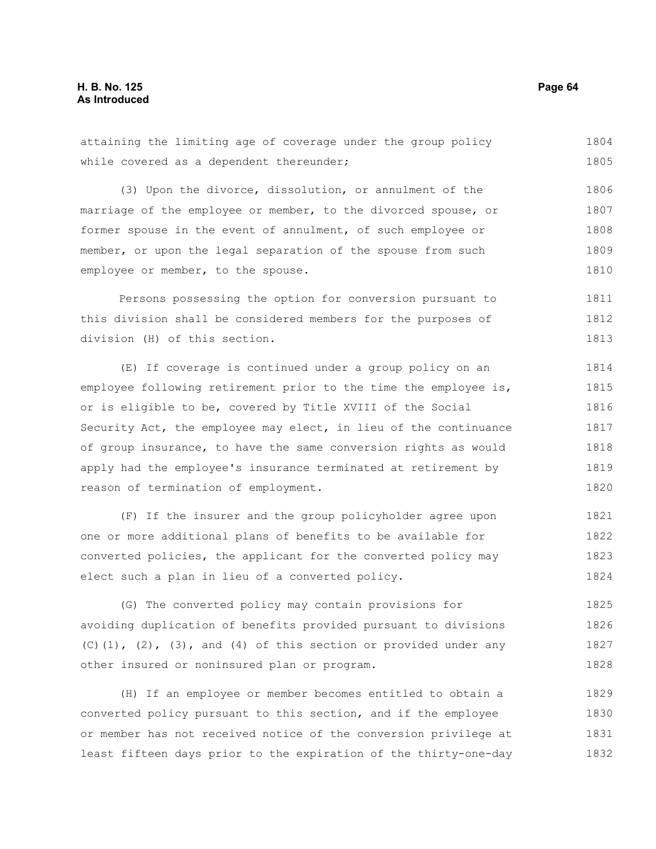attaining the limiting age of coverage under the group policy while covered as a dependent thereunder; 1804 1805

(3) Upon the divorce, dissolution, or annulment of the marriage of the employee or member, to the divorced spouse, or former spouse in the event of annulment, of such employee or member, or upon the legal separation of the spouse from such employee or member, to the spouse. 1806 1807 1808 1809 1810

Persons possessing the option for conversion pursuant to this division shall be considered members for the purposes of division (H) of this section. 1811 1812 1813

(E) If coverage is continued under a group policy on an employee following retirement prior to the time the employee is, or is eligible to be, covered by Title XVIII of the Social Security Act, the employee may elect, in lieu of the continuance of group insurance, to have the same conversion rights as would apply had the employee's insurance terminated at retirement by reason of termination of employment. 1814 1815 1816 1817 1818 1819 1820

(F) If the insurer and the group policyholder agree upon one or more additional plans of benefits to be available for converted policies, the applicant for the converted policy may elect such a plan in lieu of a converted policy. 1821 1822 1823 1824

(G) The converted policy may contain provisions for avoiding duplication of benefits provided pursuant to divisions  $(C)$ (1),  $(2)$ ,  $(3)$ , and  $(4)$  of this section or provided under any other insured or noninsured plan or program. 1825 1826 1827 1828

(H) If an employee or member becomes entitled to obtain a converted policy pursuant to this section, and if the employee or member has not received notice of the conversion privilege at least fifteen days prior to the expiration of the thirty-one-day 1829 1830 1831 1832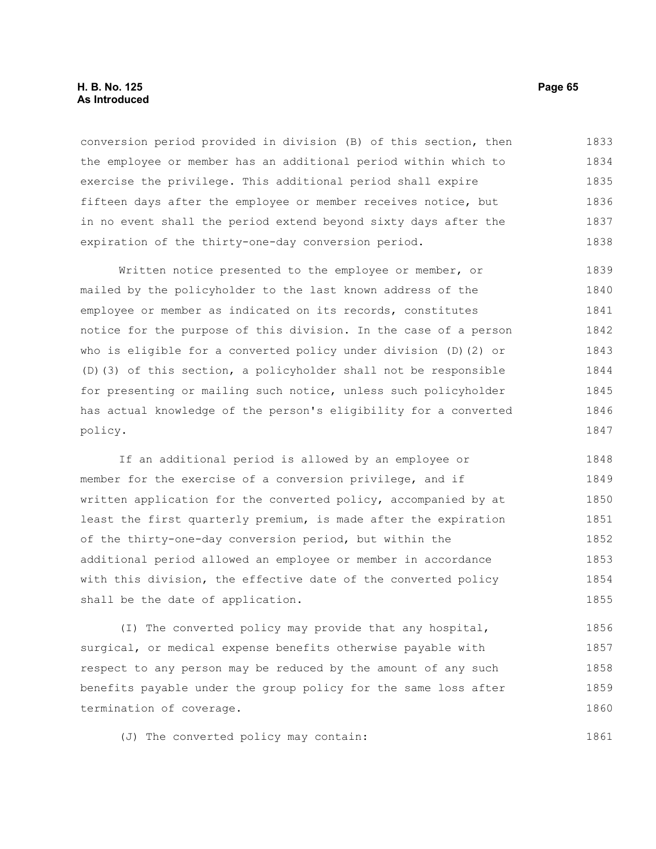### **H. B. No. 125 Page 65 As Introduced**

conversion period provided in division (B) of this section, then the employee or member has an additional period within which to exercise the privilege. This additional period shall expire fifteen days after the employee or member receives notice, but in no event shall the period extend beyond sixty days after the expiration of the thirty-one-day conversion period. 1833 1834 1835 1836 1837 1838

Written notice presented to the employee or member, or mailed by the policyholder to the last known address of the employee or member as indicated on its records, constitutes notice for the purpose of this division. In the case of a person who is eligible for a converted policy under division (D)(2) or (D)(3) of this section, a policyholder shall not be responsible for presenting or mailing such notice, unless such policyholder has actual knowledge of the person's eligibility for a converted policy. 1839 1840 1841 1842 1843 1844 1845 1846 1847

If an additional period is allowed by an employee or member for the exercise of a conversion privilege, and if written application for the converted policy, accompanied by at least the first quarterly premium, is made after the expiration of the thirty-one-day conversion period, but within the additional period allowed an employee or member in accordance with this division, the effective date of the converted policy shall be the date of application. 1848 1849 1850 1851 1852 1853 1854 1855

(I) The converted policy may provide that any hospital, surgical, or medical expense benefits otherwise payable with respect to any person may be reduced by the amount of any such benefits payable under the group policy for the same loss after termination of coverage. 1856 1857 1858 1859 1860

(J) The converted policy may contain: 1861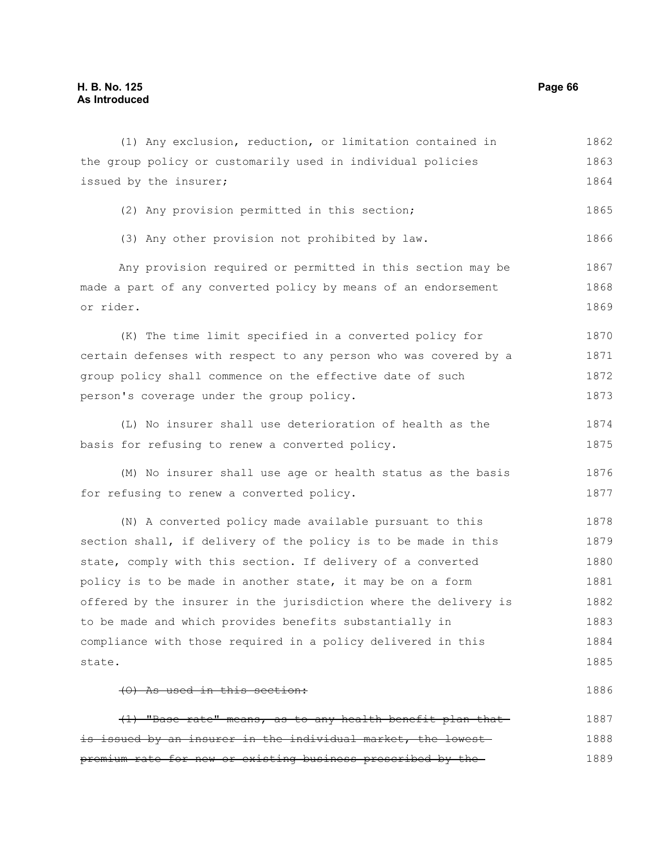| (1) Any exclusion, reduction, or limitation contained in         | 1862 |
|------------------------------------------------------------------|------|
| the group policy or customarily used in individual policies      | 1863 |
| issued by the insurer;                                           | 1864 |
| (2) Any provision permitted in this section;                     | 1865 |
| (3) Any other provision not prohibited by law.                   | 1866 |
| Any provision required or permitted in this section may be       | 1867 |
| made a part of any converted policy by means of an endorsement   | 1868 |
| or rider.                                                        | 1869 |
| (K) The time limit specified in a converted policy for           | 1870 |
| certain defenses with respect to any person who was covered by a | 1871 |
| group policy shall commence on the effective date of such        | 1872 |
| person's coverage under the group policy.                        | 1873 |
| (L) No insurer shall use deterioration of health as the          | 1874 |
| basis for refusing to renew a converted policy.                  | 1875 |
| (M) No insurer shall use age or health status as the basis       | 1876 |
| for refusing to renew a converted policy.                        | 1877 |
| (N) A converted policy made available pursuant to this           | 1878 |
| section shall, if delivery of the policy is to be made in this   | 1879 |
| state, comply with this section. If delivery of a converted      | 1880 |
| policy is to be made in another state, it may be on a form       | 1881 |
| offered by the insurer in the jurisdiction where the delivery is | 1882 |
| to be made and which provides benefits substantially in          | 1883 |
| compliance with those required in a policy delivered in this     | 1884 |
| state.                                                           | 1885 |
| (0) As used in this section:                                     | 1886 |
| (1) "Base rate" means, as to any health benefit plan that-       | 1887 |
| is issued by an insurer in the individual market, the lowest     | 1888 |
| premium rate for new or existing business prescribed by the      | 1889 |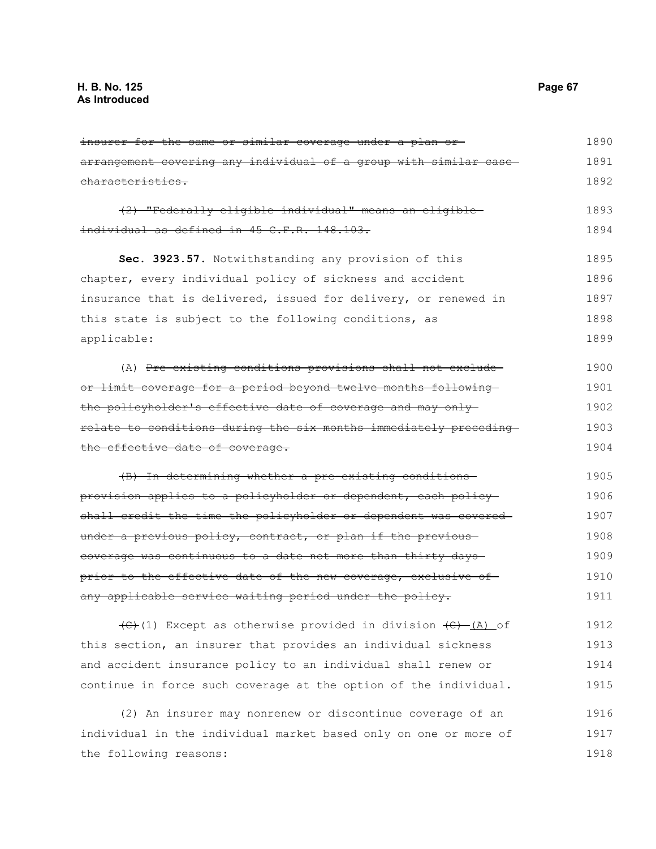insurer for the same or similar coverage under a plan or arrangement covering any individual of a group with similar case characteristics. (2) "Federally eligible individual" means an eligible individual as defined in 45 C.F.R. 148.103. **Sec. 3923.57.** Notwithstanding any provision of this chapter, every individual policy of sickness and accident insurance that is delivered, issued for delivery, or renewed in this state is subject to the following conditions, as applicable: (A) Pre-existing conditions provisions shall not exclude or limit coverage for a period beyond twelve months following the policyholder's effective date of coverage and may only relate to conditions during the six months immediately preceding the effective date of coverage. (B) In determining whether a pre-existing conditions provision applies to a policyholder or dependent, each policy shall credit the time the policyholder or dependent was covered under a previous policy, contract, or plan if the previouscoverage was continuous to a date not more than thirty days prior to the effective date of the new coverage, exclusive of any applicable service waiting period under the policy.  $\left(\frac{C}{C}\right)$  Except as otherwise provided in division  $\left(\frac{C}{C}\right)$  (A) of this section, an insurer that provides an individual sickness and accident insurance policy to an individual shall renew or continue in force such coverage at the option of the individual. (2) An insurer may nonrenew or discontinue coverage of an 1890 1891 1892 1893 1894 1895 1896 1897 1898 1899 1900 1901 1902 1903 1904 1905 1906 1907 1908 1909 1910 1911 1912 1913 1914 1915 1916

individual in the individual market based only on one or more of the following reasons: 1917 1918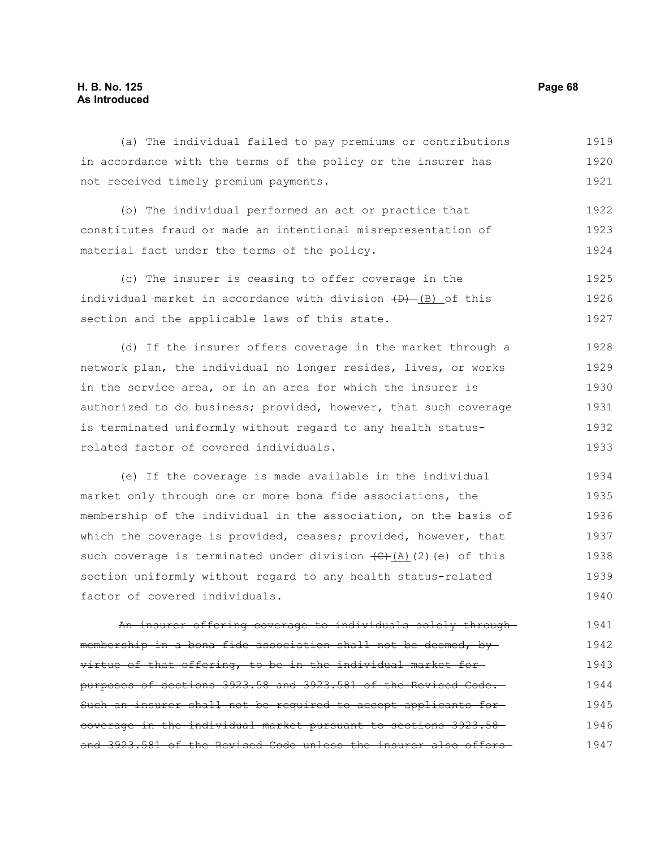# **H. B. No. 125 Page 68 As Introduced**

(a) The individual failed to pay premiums or contributions in accordance with the terms of the policy or the insurer has not received timely premium payments. 1919 1920 1921

(b) The individual performed an act or practice that constitutes fraud or made an intentional misrepresentation of material fact under the terms of the policy. 1922 1923 1924

(c) The insurer is ceasing to offer coverage in the individual market in accordance with division  $(D)$  (B) of this section and the applicable laws of this state. 1925 1926 1927

(d) If the insurer offers coverage in the market through a network plan, the individual no longer resides, lives, or works in the service area, or in an area for which the insurer is authorized to do business; provided, however, that such coverage is terminated uniformly without regard to any health statusrelated factor of covered individuals. 1928 1929 1930 1931 1932 1933

(e) If the coverage is made available in the individual market only through one or more bona fide associations, the membership of the individual in the association, on the basis of which the coverage is provided, ceases; provided, however, that such coverage is terminated under division  $\left(\theta\right)$ (A)(2)(e) of this section uniformly without regard to any health status-related factor of covered individuals. 1934 1935 1936 1937 1938 1939 1940

An insurer offering coverage to individuals solely through membership in a bona fide association shall not be deemed, by virtue of that offering, to be in the individual market for purposes of sections 3923.58 and 3923.581 of the Revised Code. Such an insurer shall not be required to accept applicants forcoverage in the individual market pursuant to sections 3923.58 and 3923.581 of the Revised Code unless the insurer also offers 1941 1942 1943 1944 1945 1946 1947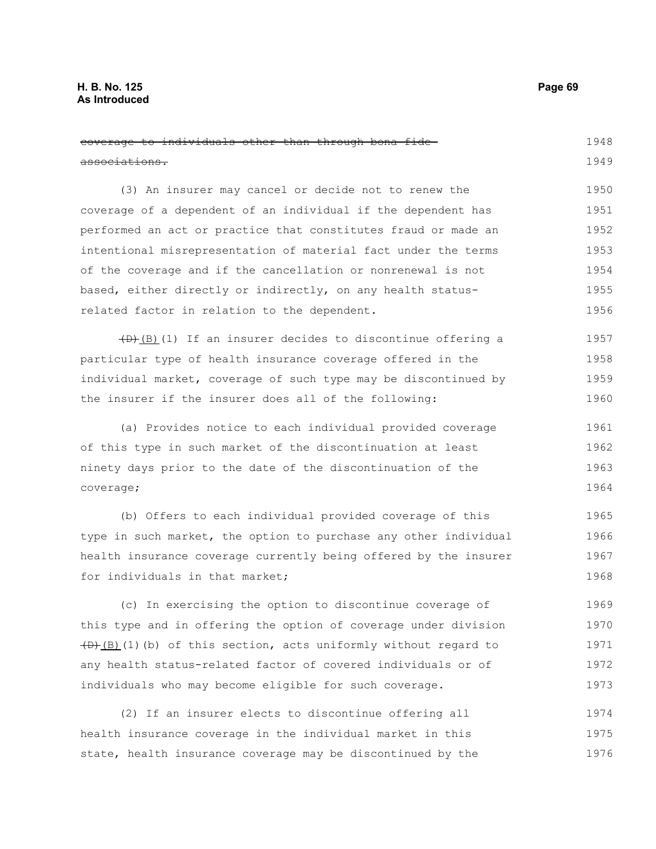### **H. B. No. 125 Page 69 As Introduced**

coverage to individuals other than through bona fide associations. (3) An insurer may cancel or decide not to renew the coverage of a dependent of an individual if the dependent has performed an act or practice that constitutes fraud or made an intentional misrepresentation of material fact under the terms of the coverage and if the cancellation or nonrenewal is not based, either directly or indirectly, on any health statusrelated factor in relation to the dependent.  $\left(\frac{1}{b}\right)$ (B)(1) If an insurer decides to discontinue offering a particular type of health insurance coverage offered in the individual market, coverage of such type may be discontinued by the insurer if the insurer does all of the following: (a) Provides notice to each individual provided coverage of this type in such market of the discontinuation at least ninety days prior to the date of the discontinuation of the coverage; (b) Offers to each individual provided coverage of this type in such market, the option to purchase any other individual health insurance coverage currently being offered by the insurer for individuals in that market; (c) In exercising the option to discontinue coverage of this type and in offering the option of coverage under division  $(D+(B)(1)(b)$  of this section, acts uniformly without regard to 1948 1949 1950 1951 1952 1953 1954 1955 1956 1957 1958 1959 1960 1961 1962 1963 1964 1965 1966 1967 1968 1969 1970 1971

(2) If an insurer elects to discontinue offering all health insurance coverage in the individual market in this state, health insurance coverage may be discontinued by the 1974 1975 1976

any health status-related factor of covered individuals or of

individuals who may become eligible for such coverage.

1972 1973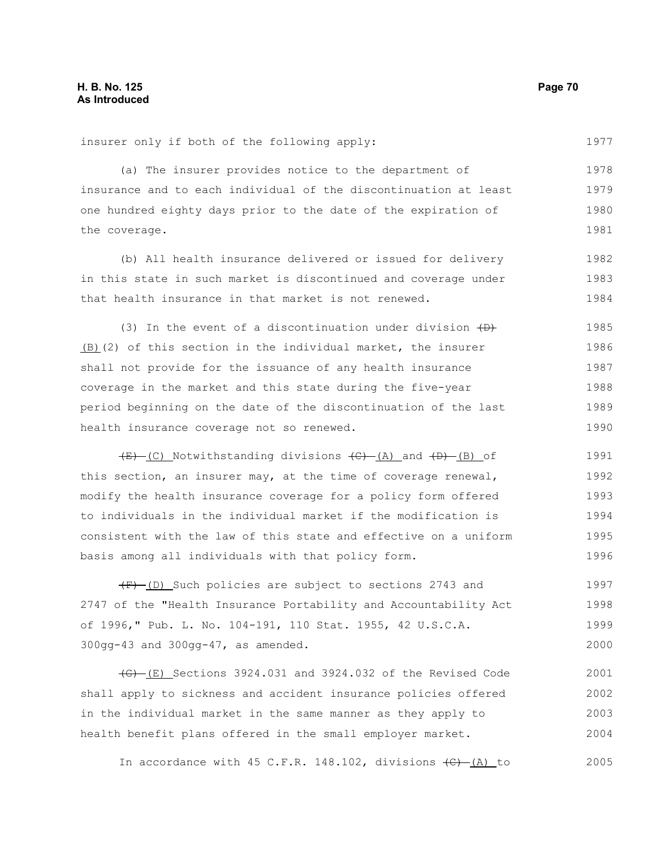insurer only if both of the following apply:

1977

(a) The insurer provides notice to the department of insurance and to each individual of the discontinuation at least one hundred eighty days prior to the date of the expiration of the coverage. 1978 1979 1980 1981

(b) All health insurance delivered or issued for delivery in this state in such market is discontinued and coverage under that health insurance in that market is not renewed. 1982 1983 1984

(3) In the event of a discontinuation under division  $\overline{(+)}$ (B)(2) of this section in the individual market, the insurer shall not provide for the issuance of any health insurance coverage in the market and this state during the five-year period beginning on the date of the discontinuation of the last health insurance coverage not so renewed. 1985 1986 1987 1988 1989 1990

 $(E)$  (C) Notwithstanding divisions  $(E)$  (A) and  $(E)$  (B) of this section, an insurer may, at the time of coverage renewal, modify the health insurance coverage for a policy form offered to individuals in the individual market if the modification is consistent with the law of this state and effective on a uniform basis among all individuals with that policy form. 1991 1992 1993 1994 1995 1996

 $(F)$  (D) Such policies are subject to sections 2743 and 2747 of the "Health Insurance Portability and Accountability Act of 1996," Pub. L. No. 104-191, 110 Stat. 1955, 42 U.S.C.A. 300gg-43 and 300gg-47, as amended. 1997 1998 1999 2000

 $\left(\frac{1}{6}\right)$  (E) Sections 3924.031 and 3924.032 of the Revised Code shall apply to sickness and accident insurance policies offered in the individual market in the same manner as they apply to health benefit plans offered in the small employer market. 2001 2002 2003 2004

In accordance with 45 C.F.R. 148.102, divisions  $\left(\frac{C}{A}\right)$  (A) to 2005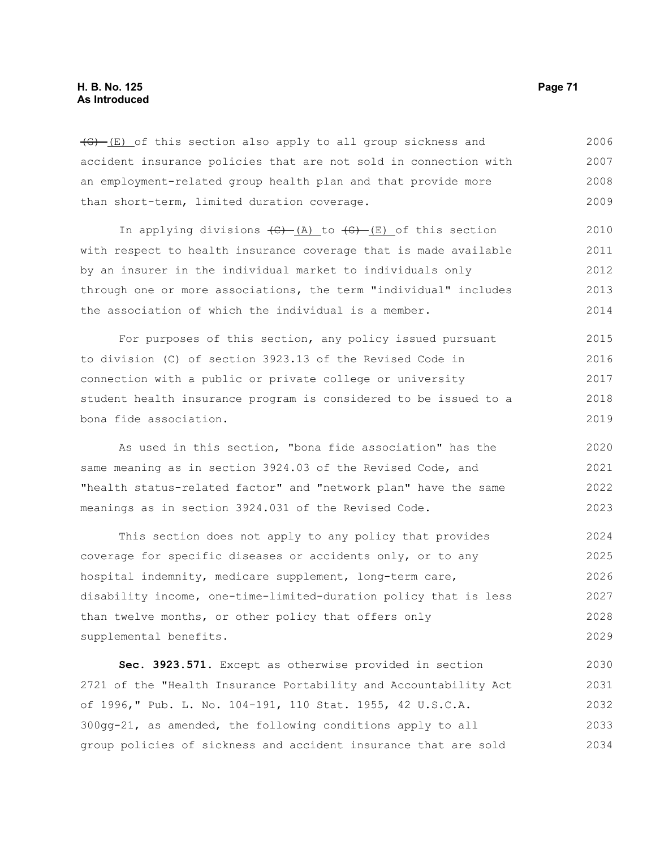$\overline{(G)}$  (E) of this section also apply to all group sickness and accident insurance policies that are not sold in connection with an employment-related group health plan and that provide more than short-term, limited duration coverage. 2006 2007 2008 2009

In applying divisions  $\overline{(C) - (A)}$  to  $\overline{(G) - (E)}$  of this section with respect to health insurance coverage that is made available by an insurer in the individual market to individuals only through one or more associations, the term "individual" includes the association of which the individual is a member. 2010 2011 2012 2013 2014

For purposes of this section, any policy issued pursuant to division (C) of section 3923.13 of the Revised Code in connection with a public or private college or university student health insurance program is considered to be issued to a bona fide association. 2015 2016 2017 2018 2019

As used in this section, "bona fide association" has the same meaning as in section 3924.03 of the Revised Code, and "health status-related factor" and "network plan" have the same meanings as in section 3924.031 of the Revised Code. 2020 2021 2022 2023

This section does not apply to any policy that provides coverage for specific diseases or accidents only, or to any hospital indemnity, medicare supplement, long-term care, disability income, one-time-limited-duration policy that is less than twelve months, or other policy that offers only supplemental benefits. 2024 2025 2026 2027 2028 2029

**Sec. 3923.571.** Except as otherwise provided in section 2721 of the "Health Insurance Portability and Accountability Act of 1996," Pub. L. No. 104-191, 110 Stat. 1955, 42 U.S.C.A. 300gg-21, as amended, the following conditions apply to all group policies of sickness and accident insurance that are sold 2030 2031 2032 2033 2034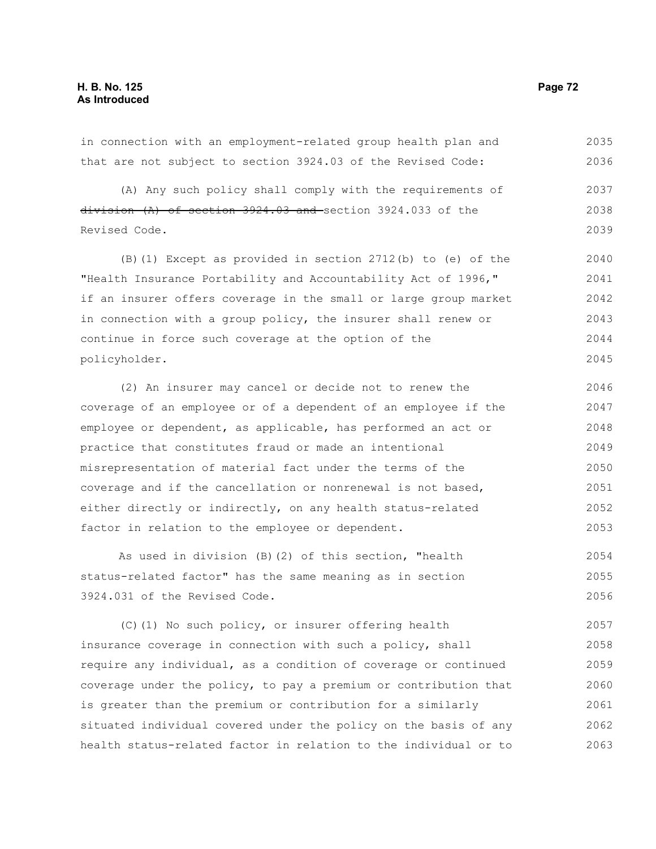in connection with an employment-related group health plan and that are not subject to section 3924.03 of the Revised Code: 2035 2036

(A) Any such policy shall comply with the requirements of  $division (A)$  of section  $3924.03$  and section  $3924.033$  of the Revised Code. 2037 2038 2039

(B)(1) Except as provided in section 2712(b) to (e) of the "Health Insurance Portability and Accountability Act of 1996," if an insurer offers coverage in the small or large group market in connection with a group policy, the insurer shall renew or continue in force such coverage at the option of the policyholder. 2040 2041 2042 2043 2044 2045

(2) An insurer may cancel or decide not to renew the coverage of an employee or of a dependent of an employee if the employee or dependent, as applicable, has performed an act or practice that constitutes fraud or made an intentional misrepresentation of material fact under the terms of the coverage and if the cancellation or nonrenewal is not based, either directly or indirectly, on any health status-related factor in relation to the employee or dependent. 2046 2047 2048 2049 2050 2051 2052 2053

As used in division (B)(2) of this section, "health status-related factor" has the same meaning as in section 3924.031 of the Revised Code. 2054 2055 2056

(C)(1) No such policy, or insurer offering health insurance coverage in connection with such a policy, shall require any individual, as a condition of coverage or continued coverage under the policy, to pay a premium or contribution that is greater than the premium or contribution for a similarly situated individual covered under the policy on the basis of any health status-related factor in relation to the individual or to 2057 2058 2059 2060 2061 2062 2063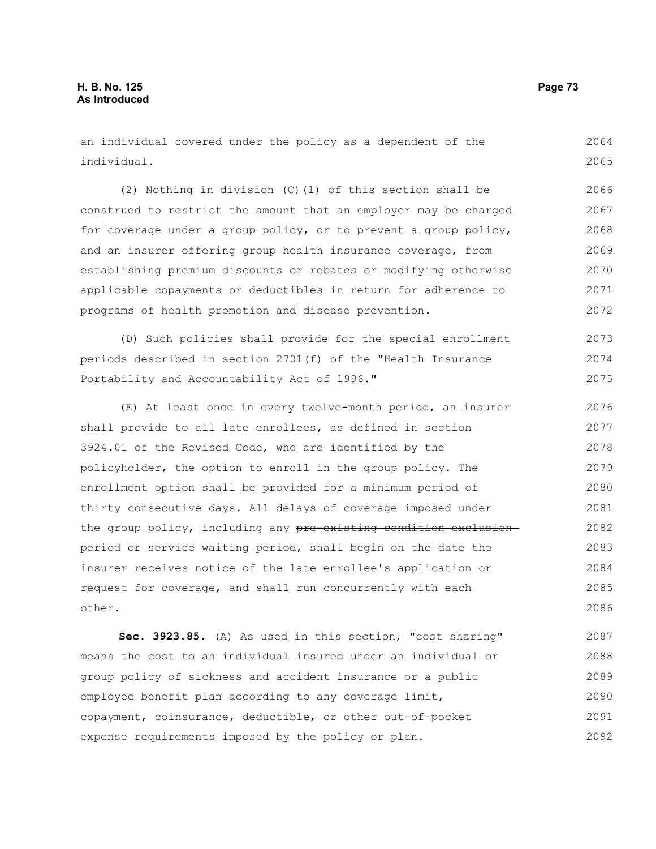an individual covered under the policy as a dependent of the individual. 2064 2065

(2) Nothing in division (C)(1) of this section shall be construed to restrict the amount that an employer may be charged for coverage under a group policy, or to prevent a group policy, and an insurer offering group health insurance coverage, from establishing premium discounts or rebates or modifying otherwise applicable copayments or deductibles in return for adherence to programs of health promotion and disease prevention. 2066 2067 2068 2069 2070 2071 2072

(D) Such policies shall provide for the special enrollment periods described in section 2701(f) of the "Health Insurance Portability and Accountability Act of 1996." 2073 2074 2075

(E) At least once in every twelve-month period, an insurer shall provide to all late enrollees, as defined in section 3924.01 of the Revised Code, who are identified by the policyholder, the option to enroll in the group policy. The enrollment option shall be provided for a minimum period of thirty consecutive days. All delays of coverage imposed under the group policy, including any pre-existing condition exclusionperiod or service waiting period, shall begin on the date the insurer receives notice of the late enrollee's application or request for coverage, and shall run concurrently with each other. 2076 2077 2078 2079 2080 2081 2082 2083 2084 2085 2086

**Sec. 3923.85.** (A) As used in this section, "cost sharing" means the cost to an individual insured under an individual or group policy of sickness and accident insurance or a public employee benefit plan according to any coverage limit, copayment, coinsurance, deductible, or other out-of-pocket expense requirements imposed by the policy or plan. 2087 2088 2089 2090 2091 2092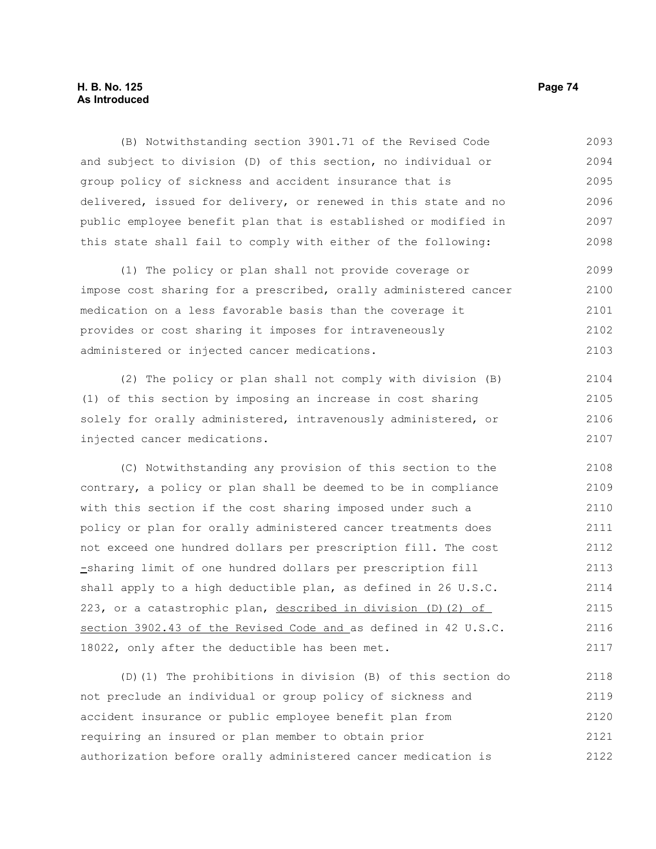# **H. B. No. 125 Page 74 As Introduced**

(B) Notwithstanding section 3901.71 of the Revised Code and subject to division (D) of this section, no individual or group policy of sickness and accident insurance that is delivered, issued for delivery, or renewed in this state and no public employee benefit plan that is established or modified in this state shall fail to comply with either of the following: 2093 2094 2095 2096 2097 2098

(1) The policy or plan shall not provide coverage or impose cost sharing for a prescribed, orally administered cancer medication on a less favorable basis than the coverage it provides or cost sharing it imposes for intraveneously administered or injected cancer medications. 2099 2100 2101 2102 2103

(2) The policy or plan shall not comply with division (B) (1) of this section by imposing an increase in cost sharing solely for orally administered, intravenously administered, or injected cancer medications. 2104 2105 2106 2107

(C) Notwithstanding any provision of this section to the contrary, a policy or plan shall be deemed to be in compliance with this section if the cost sharing imposed under such a policy or plan for orally administered cancer treatments does not exceed one hundred dollars per prescription fill. The cost -sharing limit of one hundred dollars per prescription fill shall apply to a high deductible plan, as defined in 26 U.S.C. 223, or a catastrophic plan, described in division (D)(2) of section 3902.43 of the Revised Code and as defined in 42 U.S.C. 18022, only after the deductible has been met. 2108 2109 2110 2111 2112 2113 2114 2115 2116 2117

(D)(1) The prohibitions in division (B) of this section do not preclude an individual or group policy of sickness and accident insurance or public employee benefit plan from requiring an insured or plan member to obtain prior authorization before orally administered cancer medication is 2118 2119 2120 2121 2122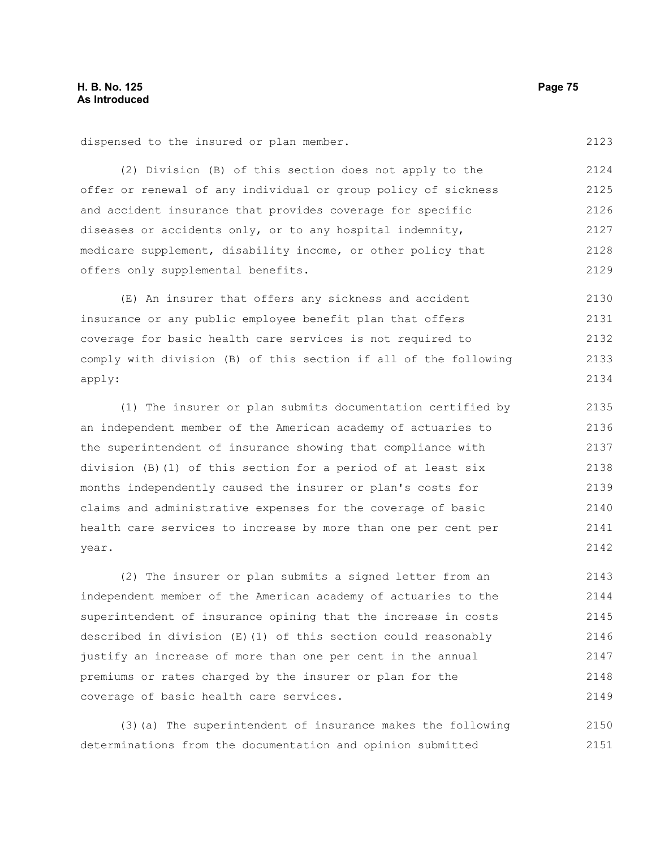dispensed to the insured or plan member.

(2) Division (B) of this section does not apply to the offer or renewal of any individual or group policy of sickness and accident insurance that provides coverage for specific diseases or accidents only, or to any hospital indemnity, medicare supplement, disability income, or other policy that offers only supplemental benefits. 2124 2126 2127 2128 2129

(E) An insurer that offers any sickness and accident insurance or any public employee benefit plan that offers coverage for basic health care services is not required to comply with division (B) of this section if all of the following apply: 2130 2131 2132 2133 2134

(1) The insurer or plan submits documentation certified by an independent member of the American academy of actuaries to the superintendent of insurance showing that compliance with division (B)(1) of this section for a period of at least six months independently caused the insurer or plan's costs for claims and administrative expenses for the coverage of basic health care services to increase by more than one per cent per year. 2135 2136 2137 2138 2139 2140 2141 2142

(2) The insurer or plan submits a signed letter from an independent member of the American academy of actuaries to the superintendent of insurance opining that the increase in costs described in division (E)(1) of this section could reasonably justify an increase of more than one per cent in the annual premiums or rates charged by the insurer or plan for the coverage of basic health care services. 2143 2144 2145 2146 2147 2148 2149

(3)(a) The superintendent of insurance makes the following determinations from the documentation and opinion submitted 2150 2151

2125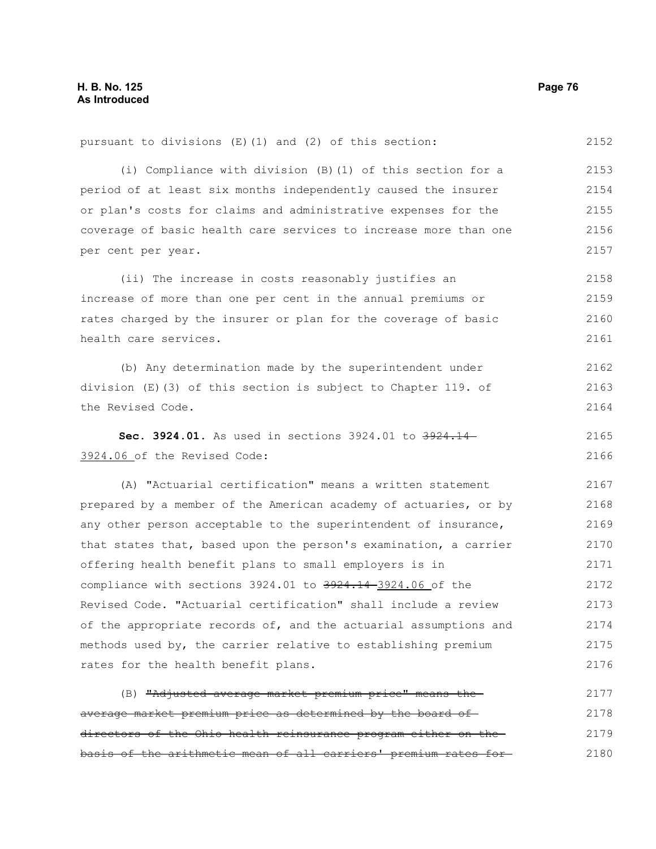2152

2162 2163 2164

pursuant to divisions (E)(1) and (2) of this section:

(i) Compliance with division (B)(1) of this section for a period of at least six months independently caused the insurer or plan's costs for claims and administrative expenses for the coverage of basic health care services to increase more than one per cent per year. 2153 2154 2155 2156 2157

(ii) The increase in costs reasonably justifies an increase of more than one per cent in the annual premiums or rates charged by the insurer or plan for the coverage of basic health care services. 2158 2159 2160 2161

(b) Any determination made by the superintendent under division (E)(3) of this section is subject to Chapter 119. of the Revised Code.

**Sec. 3924.01.** As used in sections 3924.01 to 3924.14-3924.06 of the Revised Code: 2165 2166

(A) "Actuarial certification" means a written statement prepared by a member of the American academy of actuaries, or by any other person acceptable to the superintendent of insurance, that states that, based upon the person's examination, a carrier offering health benefit plans to small employers is in compliance with sections 3924.01 to 3924.14-3924.06 of the Revised Code. "Actuarial certification" shall include a review of the appropriate records of, and the actuarial assumptions and methods used by, the carrier relative to establishing premium rates for the health benefit plans. 2167 2168 2169 2170 2171 2172 2173 2174 2175 2176

(B) "Adjusted average market premium price" means the average market premium price as determined by the board of directors of the Ohio health reinsurance program either on the basis of the arithmetic mean of all carriers' premium rates for 2177 2178 2179 2180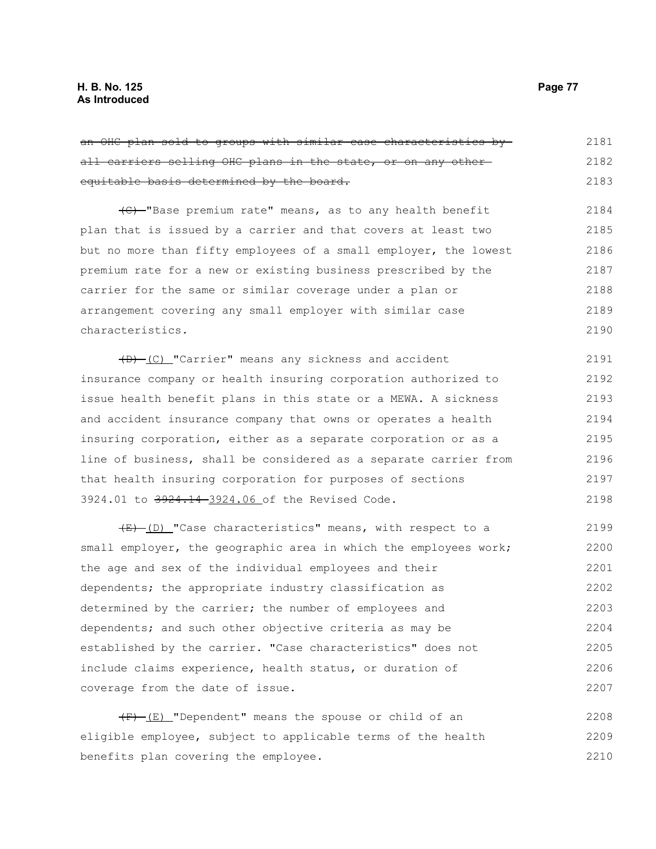| an OHC plan sold to groups with similar case characteristics by  | 2181 |
|------------------------------------------------------------------|------|
| all carriers selling OHC plans in the state, or on any other-    | 2182 |
| equitable basis determined by the board.                         | 2183 |
| (C) -"Base premium rate" means, as to any health benefit         | 2184 |
| plan that is issued by a carrier and that covers at least two    | 2185 |
| but no more than fifty employees of a small employer, the lowest | 2186 |
| premium rate for a new or existing business prescribed by the    | 2187 |
| carrier for the same or similar coverage under a plan or         | 2188 |
| arrangement covering any small employer with similar case        | 2189 |
| characteristics.                                                 | 2190 |
| (D) [C] "Carrier" means any sickness and accident                | 2191 |
| insurance company or health insuring corporation authorized to   | 2192 |
| issue health benefit plans in this state or a MEWA. A sickness   | 2193 |
| and accident insurance company that owns or operates a health    | 2194 |
| insuring corporation, either as a separate corporation or as a   | 2195 |
| line of business, shall be considered as a separate carrier from | 2196 |
| that health insuring corporation for purposes of sections        | 2197 |
| 3924.01 to 3924.14-3924.06 of the Revised Code.                  | 2198 |
| (E) (D) "Case characteristics" means, with respect to a          | 2199 |
| small employer, the geographic area in which the employees work; | 2200 |
|                                                                  | 2201 |
| the age and sex of the individual employees and their            |      |
| dependents; the appropriate industry classification as           | 2202 |
| determined by the carrier; the number of employees and           | 2203 |
| dependents; and such other objective criteria as may be          | 2204 |
| established by the carrier. "Case characteristics" does not      | 2205 |
| include claims experience, health status, or duration of         | 2206 |

 $(F)$  (E) "Dependent" means the spouse or child of an eligible employee, subject to applicable terms of the health benefits plan covering the employee. 2208 2209 2210

coverage from the date of issue.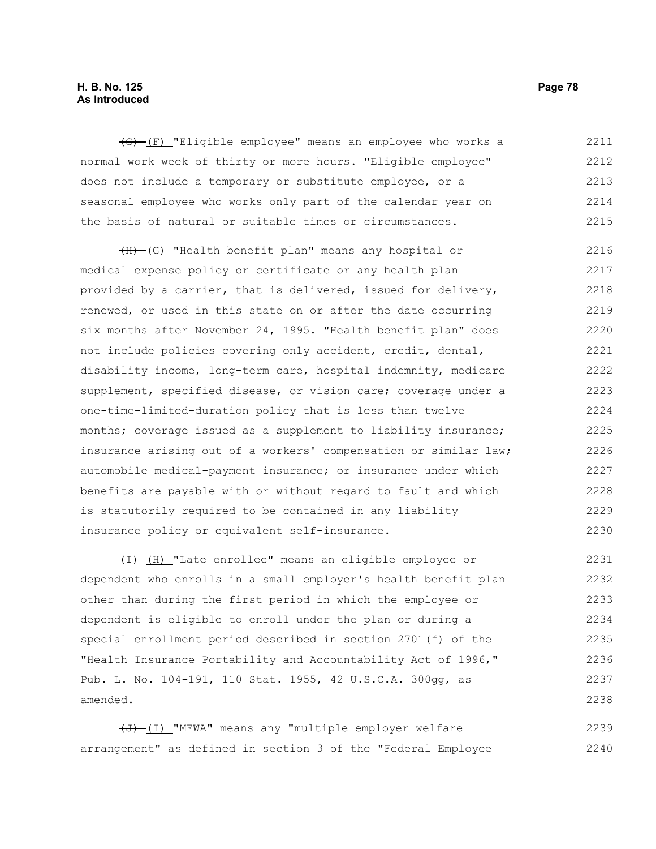## **H. B. No. 125 Page 78 As Introduced**

(G) (F) "Eligible employee" means an employee who works a normal work week of thirty or more hours. "Eligible employee" does not include a temporary or substitute employee, or a seasonal employee who works only part of the calendar year on the basis of natural or suitable times or circumstances. 2211 2212 2213 2214 2215

(H) (G) "Health benefit plan" means any hospital or medical expense policy or certificate or any health plan provided by a carrier, that is delivered, issued for delivery, renewed, or used in this state on or after the date occurring six months after November 24, 1995. "Health benefit plan" does not include policies covering only accident, credit, dental, disability income, long-term care, hospital indemnity, medicare supplement, specified disease, or vision care; coverage under a one-time-limited-duration policy that is less than twelve months; coverage issued as a supplement to liability insurance; insurance arising out of a workers' compensation or similar law; automobile medical-payment insurance; or insurance under which benefits are payable with or without regard to fault and which is statutorily required to be contained in any liability insurance policy or equivalent self-insurance. 2216 2217 2218 2219 2220 2221 2222 2223 2224 2225 2226 2227 2228 2229 2230

(I) (H) "Late enrollee" means an eligible employee or dependent who enrolls in a small employer's health benefit plan other than during the first period in which the employee or dependent is eligible to enroll under the plan or during a special enrollment period described in section 2701(f) of the "Health Insurance Portability and Accountability Act of 1996," Pub. L. No. 104-191, 110 Stat. 1955, 42 U.S.C.A. 300gg, as amended. 2231 2232 2233 2234 2235 2236 2237 2238

 $\overline{(J) - (I)}$  "MEWA" means any "multiple employer welfare arrangement" as defined in section 3 of the "Federal Employee 2239 2240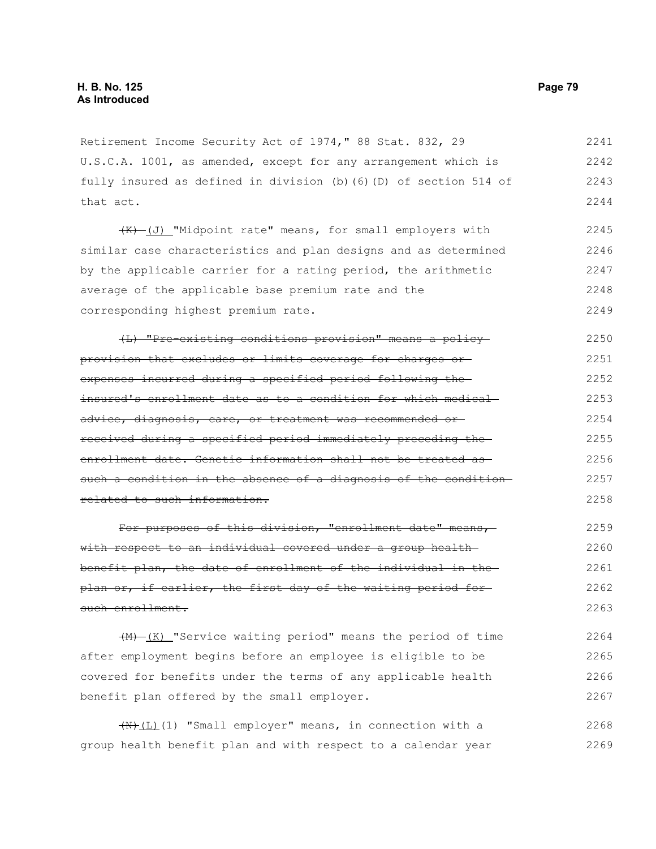Retirement Income Security Act of 1974," 88 Stat. 832, 29 U.S.C.A. 1001, as amended, except for any arrangement which is fully insured as defined in division (b)(6)(D) of section 514 of that act. 2241 2242 2243 2244

(K) (J) "Midpoint rate" means, for small employers with similar case characteristics and plan designs and as determined by the applicable carrier for a rating period, the arithmetic average of the applicable base premium rate and the corresponding highest premium rate. 2245 2246 2247 2248 2249

(L) "Pre-existing conditions provision" means a policy provision that excludes or limits coverage for charges or expenses incurred during a specified period following the insured's enrollment date as to a condition for which medical advice, diagnosis, care, or treatment was recommended or received during a specified period immediately preceding the enrollment date. Genetic information shall not be treated as such a condition in the absence of a diagnosis of the conditionrelated to such information. 2250 2251 2252 2253 2254 2255 2256 2257 2258

For purposes of this division, "enrollment date" means, with respect to an individual covered under a group health benefit plan, the date of enrollment of the individual in the plan or, if earlier, the first day of the waiting period for such enrollment. 2259 2260 2261 2262 2263

 $+M$  $(K)$  "Service waiting period" means the period of time after employment begins before an employee is eligible to be covered for benefits under the terms of any applicable health benefit plan offered by the small employer. 2264 2265 2266 2267

 $\overline{(N+L)(1)}$  "Small employer" means, in connection with a group health benefit plan and with respect to a calendar year 2268 2269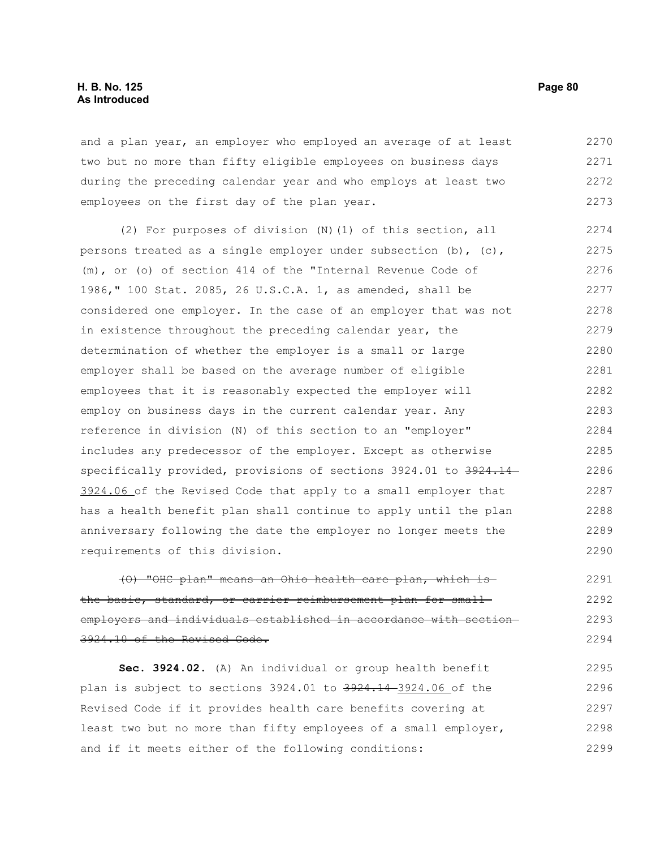## **H. B. No. 125 Page 80 As Introduced**

and a plan year, an employer who employed an average of at least two but no more than fifty eligible employees on business days during the preceding calendar year and who employs at least two employees on the first day of the plan year. 2270 2271 2272 2273

(2) For purposes of division (N)(1) of this section, all persons treated as a single employer under subsection  $(b)$ ,  $(c)$ , (m), or (o) of section 414 of the "Internal Revenue Code of 1986," 100 Stat. 2085, 26 U.S.C.A. 1, as amended, shall be considered one employer. In the case of an employer that was not in existence throughout the preceding calendar year, the determination of whether the employer is a small or large employer shall be based on the average number of eligible employees that it is reasonably expected the employer will employ on business days in the current calendar year. Any reference in division (N) of this section to an "employer" includes any predecessor of the employer. Except as otherwise specifically provided, provisions of sections 3924.01 to 3924.14 3924.06 of the Revised Code that apply to a small employer that has a health benefit plan shall continue to apply until the plan anniversary following the date the employer no longer meets the requirements of this division. 2274 2275 2276 2277 2278 2279 2280 2281 2282 2283 2284 2285 2286 2287 2288 2289 2290

(O) "OHC plan" means an Ohio health care plan, which is the basic, standard, or carrier reimbursement plan for small employers and individuals established in accordance with section 3924.10 of the Revised Code. 2291 2292 2293 2294

**Sec. 3924.02.** (A) An individual or group health benefit plan is subject to sections 3924.01 to 3924.14 3924.06 of the Revised Code if it provides health care benefits covering at least two but no more than fifty employees of a small employer, and if it meets either of the following conditions: 2295 2296 2297 2298 2299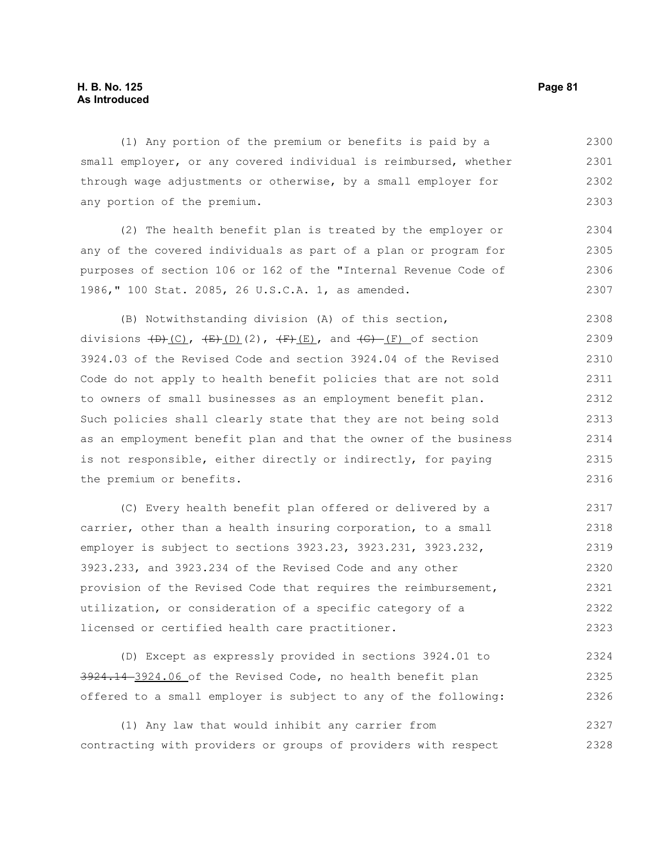(1) Any portion of the premium or benefits is paid by a small employer, or any covered individual is reimbursed, whether through wage adjustments or otherwise, by a small employer for any portion of the premium. 2300 2301 2302 2303

(2) The health benefit plan is treated by the employer or any of the covered individuals as part of a plan or program for purposes of section 106 or 162 of the "Internal Revenue Code of 1986," 100 Stat. 2085, 26 U.S.C.A. 1, as amended. 2304 2305 2306 2307

(B) Notwithstanding division (A) of this section, divisions  $(D)$   $(C)$ ,  $(E)$   $(D)$   $(2)$ ,  $(F)$   $(E)$ , and  $(G)$   $(F)$  of section 3924.03 of the Revised Code and section 3924.04 of the Revised Code do not apply to health benefit policies that are not sold to owners of small businesses as an employment benefit plan. Such policies shall clearly state that they are not being sold as an employment benefit plan and that the owner of the business is not responsible, either directly or indirectly, for paying the premium or benefits. 2308 2309 2310 2311 2312 2313 2314 2315 2316

(C) Every health benefit plan offered or delivered by a carrier, other than a health insuring corporation, to a small employer is subject to sections 3923.23, 3923.231, 3923.232, 3923.233, and 3923.234 of the Revised Code and any other provision of the Revised Code that requires the reimbursement, utilization, or consideration of a specific category of a licensed or certified health care practitioner. 2317 2318 2319 2320 2321 2322 2323

(D) Except as expressly provided in sections 3924.01 to 3924.14 3924.06 of the Revised Code, no health benefit plan offered to a small employer is subject to any of the following: 2324 2325 2326

(1) Any law that would inhibit any carrier from contracting with providers or groups of providers with respect 2327 2328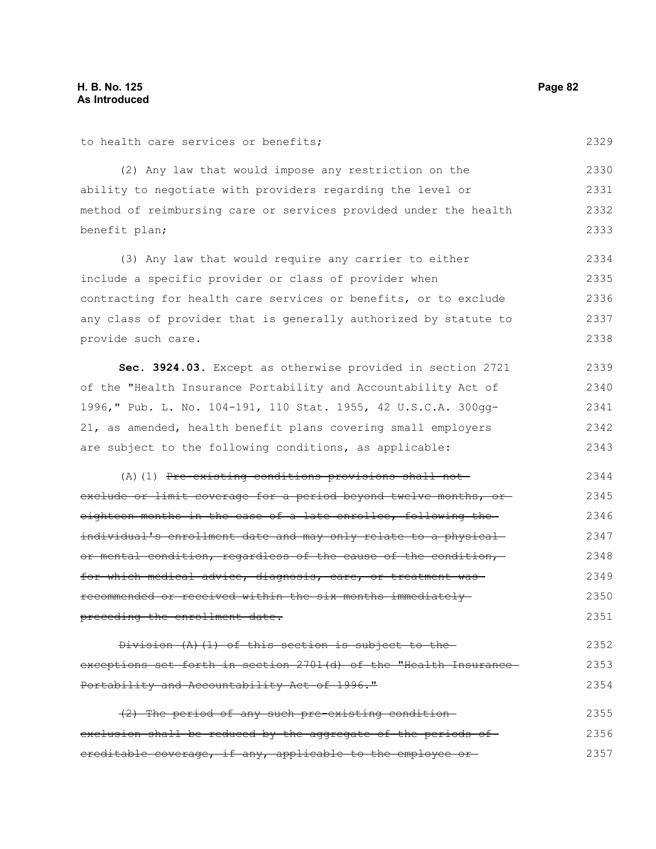to health care services or benefits;

(2) Any law that would impose any restriction on the ability to negotiate with providers regarding the level or method of reimbursing care or services provided under the health benefit plan; 2330 2331 2332 2333

(3) Any law that would require any carrier to either include a specific provider or class of provider when contracting for health care services or benefits, or to exclude any class of provider that is generally authorized by statute to provide such care. 2334 2335 2336 2337 2338

**Sec. 3924.03.** Except as otherwise provided in section 2721 of the "Health Insurance Portability and Accountability Act of 1996," Pub. L. No. 104-191, 110 Stat. 1955, 42 U.S.C.A. 300gg-21, as amended, health benefit plans covering small employers are subject to the following conditions, as applicable: 2339 2340 2341 2342 2343

(A)(1) Pre-existing conditions provisions shall notexclude or limit coverage for a period beyond twelve months, oreighteen months in the case of a late enrollee, following the individual's enrollment date and may only relate to a physical or mental condition, regardless of the cause of the condition, for which medical advice, diagnosis, care, or treatment was recommended or received within the six months immediately preceding the enrollment date. 2344 2345 2346 2347 2348 2349 2350 2351

Division (A)(1) of this section is subject to the exceptions set forth in section 2701(d) of the "Health Insurance-Portability and Accountability Act of 1996." 2352 2353 2354

(2) The period of any such pre-existing condition exclusion shall be reduced by the aggregate of the periods ofcreditable coverage, if any, applicable to the employee or 2355 2356 2357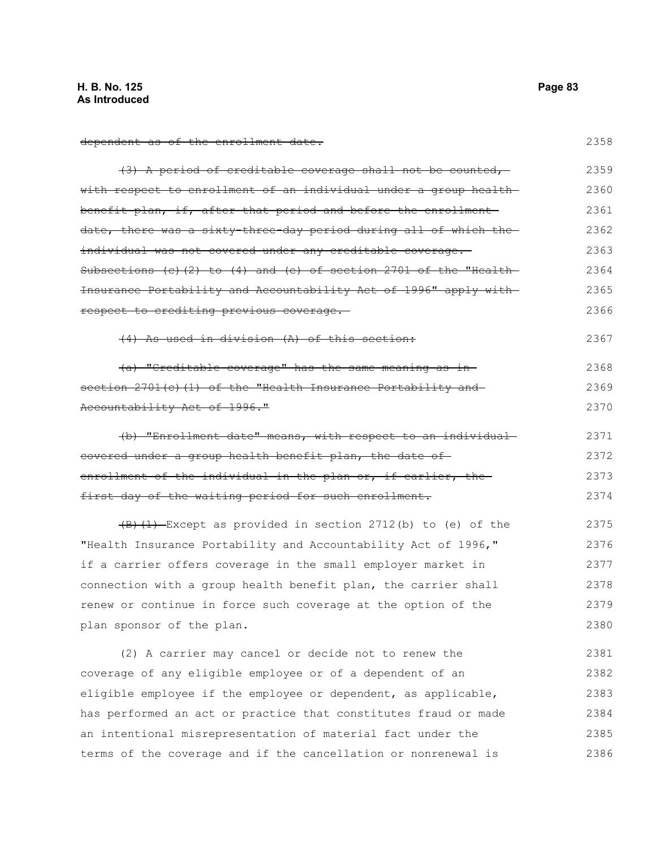dependent as of the enrollment date.

| (3) A period of creditable coverage shall not be counted,                          | 2359 |
|------------------------------------------------------------------------------------|------|
| with respect to enrollment of an individual under a group health-                  | 2360 |
| benefit plan, if, after that period and before the enrollment                      | 2361 |
| date, there was a sixty-three-day period during all of which the-                  | 2362 |
| individual was not covered under any creditable coverage.                          | 2363 |
| Subsections $(c)$ $(2)$ to $(4)$ and $(e)$ of section 2701 of the "Health-         | 2364 |
| Insurance Portability and Accountability Act of 1996" apply with                   | 2365 |
| respect to crediting previous coverage.                                            | 2366 |
| (4) As used in division (A) of this section:                                       | 2367 |
| (a) "Creditable coverage" has the same meaning as in-                              | 2368 |
| section 2701(c)(1) of the "Health Insurance Portability and                        | 2369 |
| Accountability Act of 1996."                                                       | 2370 |
| (b) "Enrollment date" means, with respect to an individual                         | 2371 |
| covered under a group health benefit plan, the date of                             | 2372 |
| enrollment of the individual in the plan or, if earlier, the                       | 2373 |
| first day of the waiting period for such enrollment.                               | 2374 |
| $\left(\frac{B}{C}\right)$ (1) Except as provided in section 2712(b) to (e) of the | 2375 |
| "Health Insurance Portability and Accountability Act of 1996,"                     | 2376 |
| if a carrier offers coverage in the small employer market in                       | 2377 |
| connection with a group health benefit plan, the carrier shall                     | 2378 |
| renew or continue in force such coverage at the option of the                      | 2379 |
| plan sponsor of the plan.                                                          | 2380 |
| (2) A carrier may cancel or decide not to renew the                                | 2381 |
| coverage of any eligible employee or of a dependent of an                          | 2382 |
| eligible employee if the employee or dependent, as applicable,                     | 2383 |
| has performed an act or practice that constitutes fraud or made                    | 2384 |
| an intentional misrepresentation of material fact under the                        | 2385 |
| terms of the coverage and if the cancellation or nonrenewal is                     | 2386 |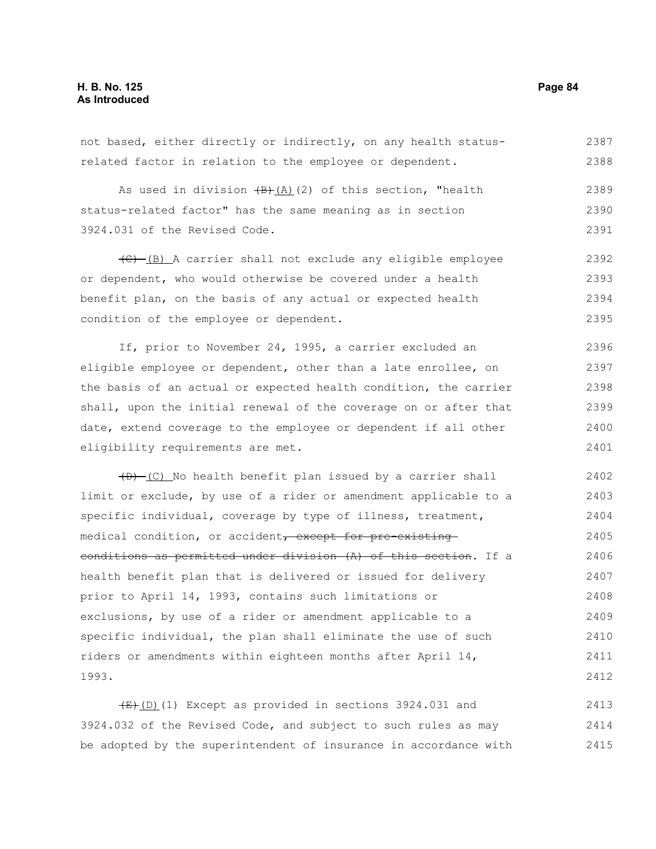not based, either directly or indirectly, on any health statusrelated factor in relation to the employee or dependent. 2387 2388

As used in division  $\left(\frac{B}{A}\right)(2)$  of this section, "health status-related factor" has the same meaning as in section 3924.031 of the Revised Code. 2389 2390 2391

(C) (B) A carrier shall not exclude any eligible employee or dependent, who would otherwise be covered under a health benefit plan, on the basis of any actual or expected health condition of the employee or dependent. 2392 2393 2394 2395

If, prior to November 24, 1995, a carrier excluded an eligible employee or dependent, other than a late enrollee, on the basis of an actual or expected health condition, the carrier shall, upon the initial renewal of the coverage on or after that date, extend coverage to the employee or dependent if all other eligibility requirements are met. 2396 2397 2398 2399 2400 2401

 $(D)$  (C) No health benefit plan issued by a carrier shall limit or exclude, by use of a rider or amendment applicable to a specific individual, coverage by type of illness, treatment, medical condition, or accident, except for pre-existingconditions as permitted under division (A) of this section. If a health benefit plan that is delivered or issued for delivery prior to April 14, 1993, contains such limitations or exclusions, by use of a rider or amendment applicable to a specific individual, the plan shall eliminate the use of such riders or amendments within eighteen months after April 14, 1993. 2402 2403 2404 2405 2406 2407 2408 2409 2410 2411 2412

 $(E)$ (D)(1) Except as provided in sections 3924.031 and 3924.032 of the Revised Code, and subject to such rules as may be adopted by the superintendent of insurance in accordance with 2413 2414 2415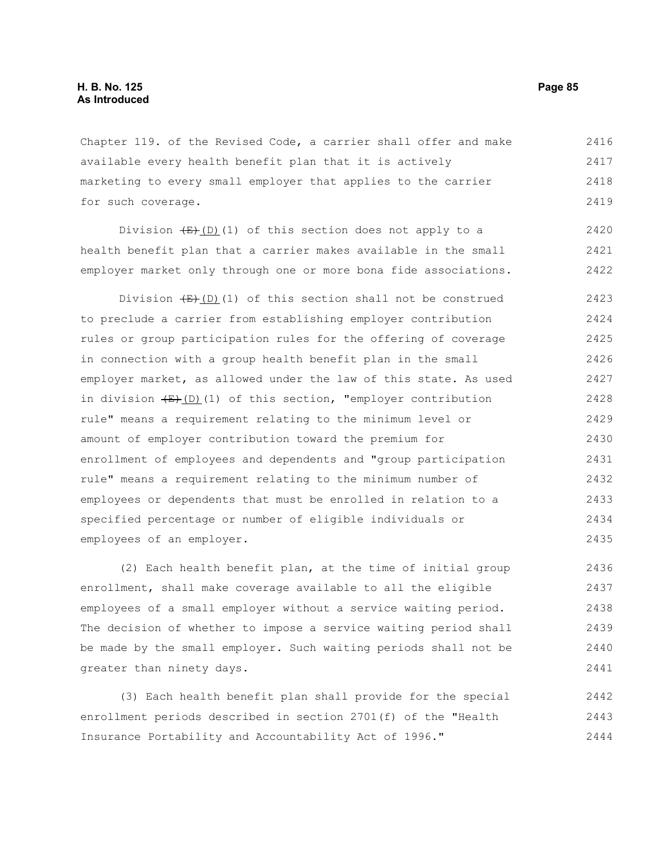Chapter 119. of the Revised Code, a carrier shall offer and make available every health benefit plan that it is actively marketing to every small employer that applies to the carrier for such coverage. 2416 2417 2418 2419

Division  $(E)$ (D)(1) of this section does not apply to a health benefit plan that a carrier makes available in the small employer market only through one or more bona fide associations. 2420 2421 2422

Division  $(E)$ (D)(1) of this section shall not be construed to preclude a carrier from establishing employer contribution rules or group participation rules for the offering of coverage in connection with a group health benefit plan in the small employer market, as allowed under the law of this state. As used in division  $(E)$ (D)(1) of this section, "employer contribution rule" means a requirement relating to the minimum level or amount of employer contribution toward the premium for enrollment of employees and dependents and "group participation rule" means a requirement relating to the minimum number of employees or dependents that must be enrolled in relation to a specified percentage or number of eligible individuals or employees of an employer. 2423 2424 2425 2426 2427 2428 2429 2430 2431 2432 2433 2434 2435

(2) Each health benefit plan, at the time of initial group enrollment, shall make coverage available to all the eligible employees of a small employer without a service waiting period. The decision of whether to impose a service waiting period shall be made by the small employer. Such waiting periods shall not be greater than ninety days. 2436 2437 2438 2439 2440 2441

(3) Each health benefit plan shall provide for the special enrollment periods described in section 2701(f) of the "Health Insurance Portability and Accountability Act of 1996." 2442 2443 2444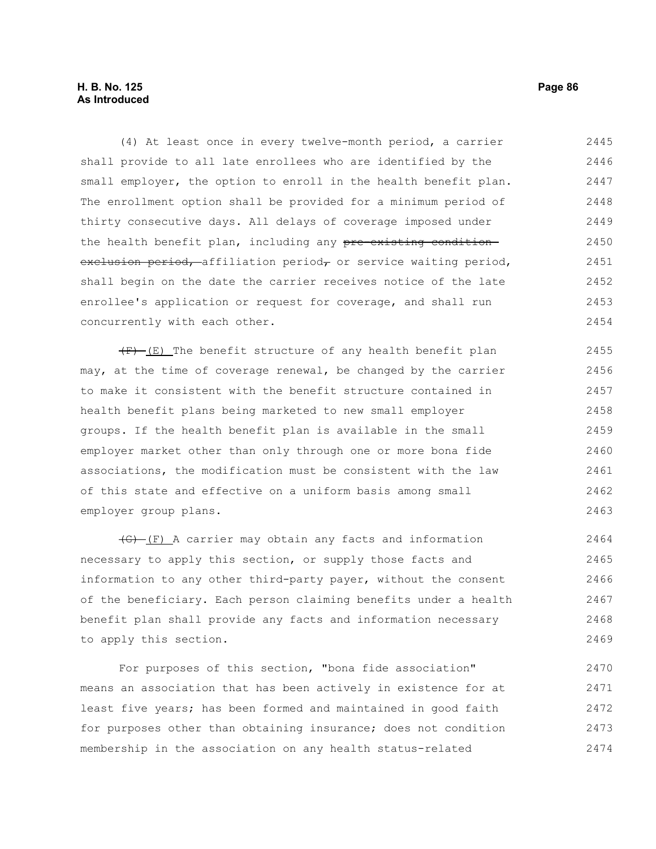# **H. B. No. 125 Page 86 As Introduced**

(4) At least once in every twelve-month period, a carrier shall provide to all late enrollees who are identified by the small employer, the option to enroll in the health benefit plan. The enrollment option shall be provided for a minimum period of thirty consecutive days. All delays of coverage imposed under the health benefit plan, including any pre-existing condition exclusion period, affiliation period, or service waiting period, shall begin on the date the carrier receives notice of the late enrollee's application or request for coverage, and shall run concurrently with each other. 2445 2446 2447 2448 2449 2450 2451 2452 2453 2454

 $(F)$  (E) The benefit structure of any health benefit plan may, at the time of coverage renewal, be changed by the carrier to make it consistent with the benefit structure contained in health benefit plans being marketed to new small employer groups. If the health benefit plan is available in the small employer market other than only through one or more bona fide associations, the modification must be consistent with the law of this state and effective on a uniform basis among small employer group plans. 2455 2456 2457 2458 2459 2460 2461 2462 2463

(G) (F) A carrier may obtain any facts and information necessary to apply this section, or supply those facts and information to any other third-party payer, without the consent of the beneficiary. Each person claiming benefits under a health benefit plan shall provide any facts and information necessary to apply this section. 2464 2465 2466 2467 2468 2469

For purposes of this section, "bona fide association" means an association that has been actively in existence for at least five years; has been formed and maintained in good faith for purposes other than obtaining insurance; does not condition membership in the association on any health status-related 2470 2471 2472 2473 2474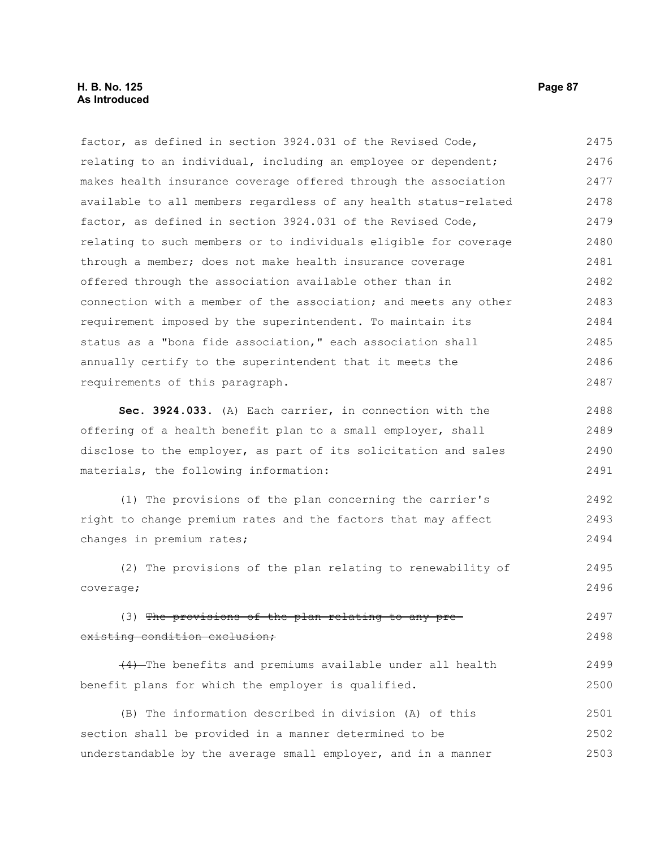## **H. B. No. 125 Page 87 As Introduced**

factor, as defined in section 3924.031 of the Revised Code, relating to an individual, including an employee or dependent; makes health insurance coverage offered through the association available to all members regardless of any health status-related factor, as defined in section 3924.031 of the Revised Code, relating to such members or to individuals eligible for coverage through a member; does not make health insurance coverage offered through the association available other than in connection with a member of the association; and meets any other requirement imposed by the superintendent. To maintain its status as a "bona fide association," each association shall annually certify to the superintendent that it meets the requirements of this paragraph. **Sec. 3924.033.** (A) Each carrier, in connection with the offering of a health benefit plan to a small employer, shall disclose to the employer, as part of its solicitation and sales materials, the following information: (1) The provisions of the plan concerning the carrier's right to change premium rates and the factors that may affect changes in premium rates; (2) The provisions of the plan relating to renewability of coverage; (3) The provisions of the plan relating to any preexisting condition exclusion; (4) The benefits and premiums available under all health benefit plans for which the employer is qualified. (B) The information described in division (A) of this section shall be provided in a manner determined to be understandable by the average small employer, and in a manner 2475 2476 2477 2478 2479 2480 2481 2482 2483 2484 2485 2486 2487 2488 2489 2490 2491 2492 2493 2494 2495 2496 2497 2498 2499 2500 2501 2502 2503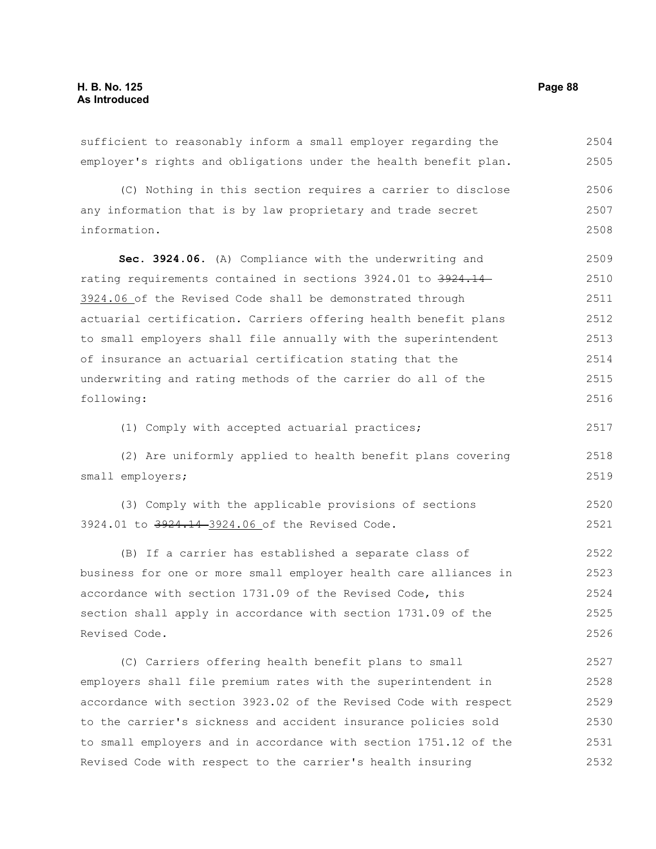information.

sufficient to reasonably inform a small employer regarding the employer's rights and obligations under the health benefit plan. (C) Nothing in this section requires a carrier to disclose any information that is by law proprietary and trade secret 2504 2505 2506 2507

**Sec. 3924.06.** (A) Compliance with the underwriting and rating requirements contained in sections 3924.01 to 3924.14 3924.06 of the Revised Code shall be demonstrated through actuarial certification. Carriers offering health benefit plans to small employers shall file annually with the superintendent of insurance an actuarial certification stating that the underwriting and rating methods of the carrier do all of the following: 2509 2510 2511 2512 2513 2514 2515 2516

(1) Comply with accepted actuarial practices;

(2) Are uniformly applied to health benefit plans covering small employers; 2518 2519

(3) Comply with the applicable provisions of sections 3924.01 to 3924.14-3924.06 of the Revised Code. 2520 2521

(B) If a carrier has established a separate class of business for one or more small employer health care alliances in accordance with section 1731.09 of the Revised Code, this section shall apply in accordance with section 1731.09 of the Revised Code. 2522 2523 2524 2525 2526

(C) Carriers offering health benefit plans to small employers shall file premium rates with the superintendent in accordance with section 3923.02 of the Revised Code with respect to the carrier's sickness and accident insurance policies sold to small employers and in accordance with section 1751.12 of the Revised Code with respect to the carrier's health insuring 2527 2528 2529 2530 2531 2532

2508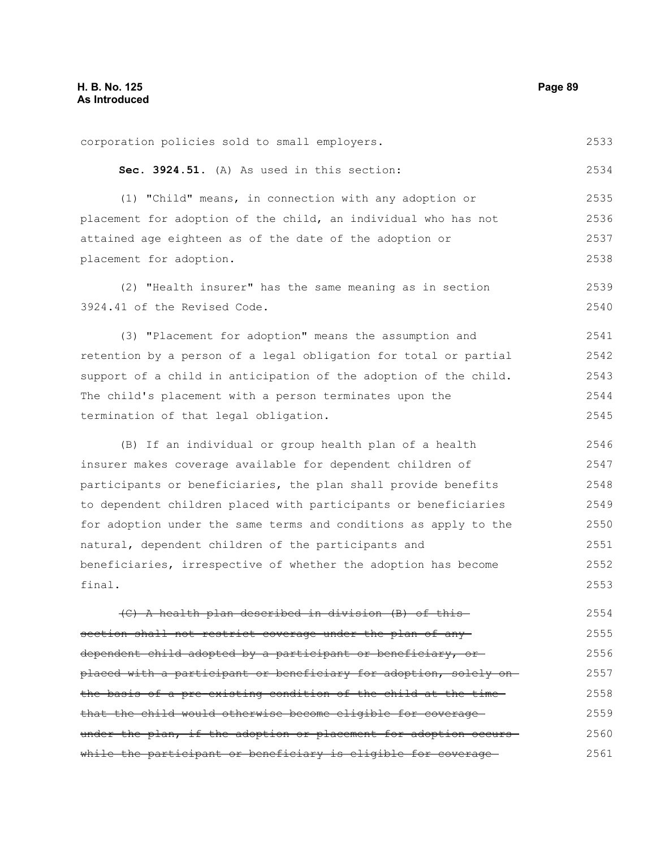corporation policies sold to small employers. **Sec. 3924.51.** (A) As used in this section: (1) "Child" means, in connection with any adoption or placement for adoption of the child, an individual who has not attained age eighteen as of the date of the adoption or placement for adoption. (2) "Health insurer" has the same meaning as in section 3924.41 of the Revised Code. (3) "Placement for adoption" means the assumption and retention by a person of a legal obligation for total or partial support of a child in anticipation of the adoption of the child. The child's placement with a person terminates upon the termination of that legal obligation. (B) If an individual or group health plan of a health insurer makes coverage available for dependent children of participants or beneficiaries, the plan shall provide benefits to dependent children placed with participants or beneficiaries for adoption under the same terms and conditions as apply to the natural, dependent children of the participants and beneficiaries, irrespective of whether the adoption has become final. (C) A health plan described in division (B) of this section shall not restrict coverage under the plan of anydependent child adopted by a participant or beneficiary, or placed with a participant or beneficiary for adoption, solely on the basis of a pre-existing condition of the child at the timethat the child would otherwise become eligible for coverage under the plan, if the adoption or placement for adoption occurswhile the participant or beneficiary is eligible for coverage 2533 2534 2535 2536 2537 2538 2539 2540 2541 2542 2543 2544 2545 2546 2547 2548 2549 2550 2551 2552 2553 2554 2555 2556 2557 2558 2559 2560 2561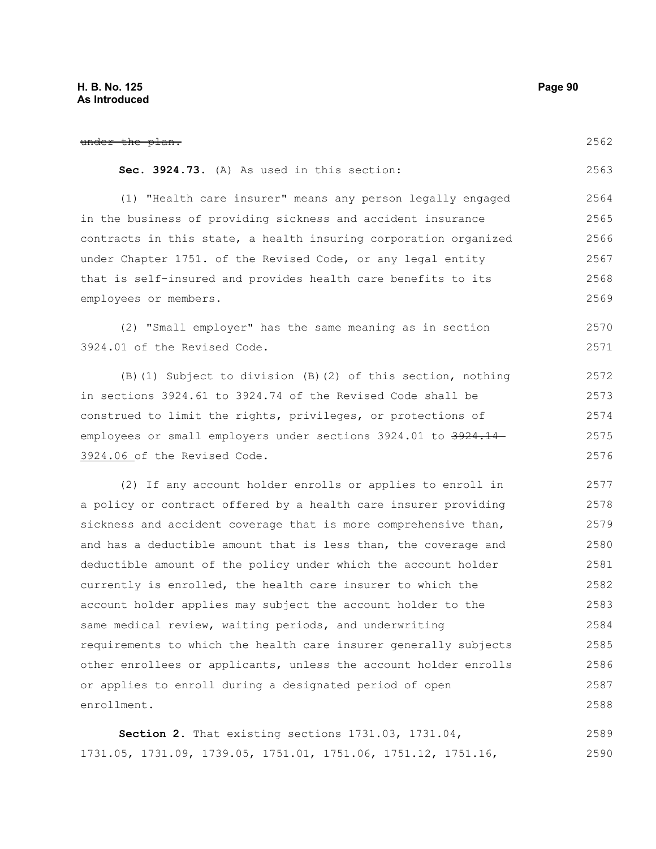| under the plan.                                                  | 2562 |
|------------------------------------------------------------------|------|
| Sec. 3924.73. (A) As used in this section:                       | 2563 |
| (1) "Health care insurer" means any person legally engaged       | 2564 |
| in the business of providing sickness and accident insurance     | 2565 |
| contracts in this state, a health insuring corporation organized | 2566 |
| under Chapter 1751. of the Revised Code, or any legal entity     | 2567 |
| that is self-insured and provides health care benefits to its    | 2568 |
| employees or members.                                            | 2569 |
| (2) "Small employer" has the same meaning as in section          | 2570 |
| 3924.01 of the Revised Code.                                     | 2571 |
| (B) (1) Subject to division (B) (2) of this section, nothing     | 2572 |
| in sections 3924.61 to 3924.74 of the Revised Code shall be      | 2573 |
| construed to limit the rights, privileges, or protections of     | 2574 |
| employees or small employers under sections 3924.01 to 3924.14   | 2575 |
| 3924.06 of the Revised Code.                                     | 2576 |
| (2) If any account holder enrolls or applies to enroll in        | 2577 |
| a policy or contract offered by a health care insurer providing  | 2578 |
| sickness and accident coverage that is more comprehensive than,  | 2579 |
| and has a deductible amount that is less than, the coverage and  | 2580 |
| deductible amount of the policy under which the account holder   | 2581 |
| currently is enrolled, the health care insurer to which the      | 2582 |
| account holder applies may subject the account holder to the     | 2583 |
| same medical review, waiting periods, and underwriting           | 2584 |
| requirements to which the health care insurer generally subjects | 2585 |
| other enrollees or applicants, unless the account holder enrolls | 2586 |
| or applies to enroll during a designated period of open          | 2587 |
| enrollment.                                                      | 2588 |
|                                                                  |      |

**Section 2.** That existing sections 1731.03, 1731.04, 1731.05, 1731.09, 1739.05, 1751.01, 1751.06, 1751.12, 1751.16, 2589 2590